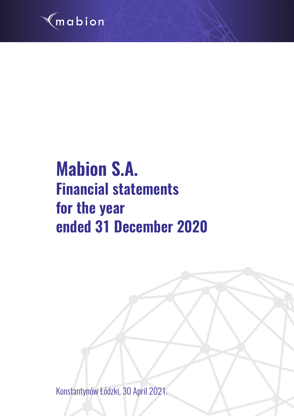

# **Mabion S.A. Financial statements for the year ended 31 December 2020**

Konstantynów Łódzki, 30 April 2021.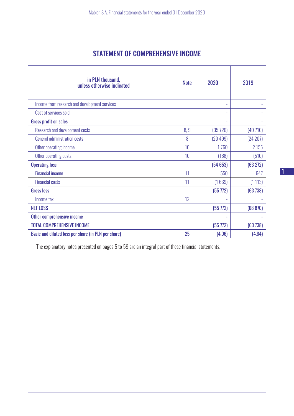# STATEMENT OF COMPREHENSIVE INCOME

| in PLN thousand,<br>unless otherwise indicated      | <b>Note</b> | 2020     | 2019     |
|-----------------------------------------------------|-------------|----------|----------|
| Income from research and development services       |             | ٠        |          |
| Cost of services sold                               |             | ٠        |          |
| <b>Gross profit on sales</b>                        |             |          |          |
| Research and development costs                      | 8,9         | (35726)  | (40710)  |
| General administration costs                        | 8           | (20499)  | (24 207) |
| Other operating income                              | 10          | 1760     | 2 1 5 5  |
| Other operating costs                               | 10          | (188)    | (510)    |
| <b>Operating loss</b>                               |             | (54653)  | (63 272) |
| <b>Financial income</b>                             | 11          | 550      | 647      |
| <b>Financial costs</b>                              | 11          | (1669)   | (1113)   |
| <b>Gross loss</b>                                   |             | (55 772) | (63738)  |
| Income tax                                          | 12          |          |          |
| <b>NET LOSS</b>                                     |             | (55 772) | (68 870) |
| Other comprehensive income                          |             |          |          |
| <b>TOTAL COMPREHENSIVE INCOME</b>                   |             | (55 772) | (63738)  |
| Basic and diluted loss per share (in PLN per share) | 25          | (4.06)   | (4.64)   |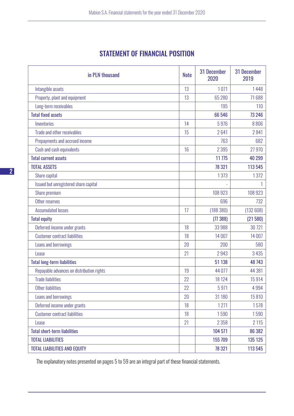# STATEMENT OF FINANCIAL POSITION

| in PLN thousand                           | <b>Note</b> | <b>31 December</b><br>2020 | <b>31 December</b><br>2019 |
|-------------------------------------------|-------------|----------------------------|----------------------------|
| Intangible assets                         | 13          | 1071                       | 1448                       |
| Property, plant and equipment             | 13          | 65 280                     | 71688                      |
| Long-term receivables                     |             | 195                        | 110                        |
| <b>Total fixed assets</b>                 |             | 66 546                     | 73 246                     |
| Inventories                               | 14          | 5976                       | 8806                       |
| Trade and other receivables               | 15          | 2641                       | 2841                       |
| Prepayments and accrued income            |             | 763                        | 682                        |
| Cash and cash equivalents                 | 16          | 2 3 9 5                    | 27 970                     |
| <b>Total current assets</b>               |             | 11775                      | 40 299                     |
| <b>TOTAL ASSETS</b>                       |             | 78 321                     | 113 545                    |
| Share capital                             |             | 1373                       | 1372                       |
| Issued but unregistered share capital     |             |                            | 1                          |
| Share premium                             |             | 108 923                    | 108 923                    |
| Other reserves                            |             | 696                        | 732                        |
| <b>Accumulated losses</b>                 | 17          | (188 380)                  | (132608)                   |
| <b>Total equity</b>                       |             | (77388)                    | (21580)                    |
| Deferred income under grants              | 18          | 33 988                     | 30 721                     |
| <b>Customer contract liabilities</b>      | 18          | 14 007                     | 14 007                     |
| Loans and borrowings                      | 20          | 200                        | 580                        |
| Lease                                     | 21          | 2943                       | 3 4 3 5                    |
| <b>Total long-term liabilities</b>        |             | 51 138                     | 48 743                     |
| Repayable advances on distribution rights | 19          | 44 0 77                    | 44 381                     |
| <b>Trade liabilities</b>                  | 22          | 18 124                     | 15914                      |
| <b>Other liabilities</b>                  | 22          | 5971                       | 4994                       |
| Loans and borrowings                      | 20          | 31 180                     | 15810                      |
| Deferred income under grants              | 18          | 1271                       | 1578                       |
| <b>Customer contract liabilities</b>      | 18          | 1590                       | 1590                       |
| Lease                                     | 21          | 2 3 5 8                    | 2 1 1 5                    |
| <b>Total short-term liabilities</b>       |             | 104 571                    | 86 382                     |
| <b>TOTAL LIABILITIES</b>                  |             | 155 709                    | 135 125                    |
| <b>TOTAL LIABILITIES AND EQUITY</b>       |             | 78 321                     | 113 545                    |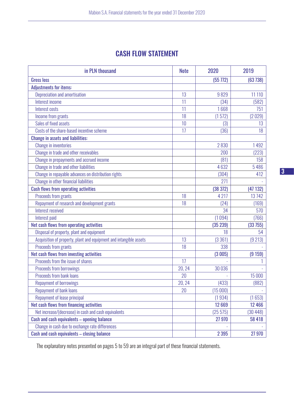# CASH FLOW STATEMENT

| in PLN thousand                                                    | <b>Note</b> | 2020     | 2019    |
|--------------------------------------------------------------------|-------------|----------|---------|
| <b>Gross loss</b>                                                  |             | (55 772) | (63738) |
| <b>Adjustments for items:</b>                                      |             |          |         |
| Depreciation and amortisation                                      | 13          | 9829     | 11 110  |
| Interest income                                                    | 11          | (34)     | (582)   |
| <b>Interest costs</b>                                              | 11          | 1668     | 751     |
| Income from grants                                                 | 18          | (1572)   | (2029)  |
| Sales of fixed assets                                              | 10          | (3)      | 13      |
| Costs of the share-based incentive scheme                          | 17          | (36)     | 18      |
| <b>Change in assets and liabilities:</b>                           |             |          |         |
| <b>Change in inventories</b>                                       |             | 2830     | 1492    |
| Change in trade and other receivables                              |             | 200      | (223)   |
| Change in prepayments and accrued income                           |             | (81)     | 158     |
| Change in trade and other liabilities                              |             | 4632     | 5486    |
| Change in repayable advances on distribution rights                |             | (304)    | 412     |
| Change in other financial liabilities                              |             | 271      |         |
| <b>Cash flows from operating activities</b>                        |             | (38 372) | (47132) |
| Proceeds from grants                                               | 18          | 4 2 1 7  | 13742   |
| Repayment of research and development grants                       | 18          | (24)     | (169)   |
| Interest received                                                  |             | 34       | 570     |
| Interest paid                                                      |             | (1094)   | (766)   |
| Net cash flows from operating activities                           |             | (35 239) | (33755) |
| Disposal of property, plant and equipment                          |             | 18       | 54      |
| Acquisition of property, plant and equipment and intangible assets | 13          | (3361)   | (9 213) |
| Proceeds from grants                                               | 18          | 338      |         |
| Net cash flows from investing activities                           |             | (3005)   | (9159)  |
| Proceeds from the issue of shares                                  | 17          |          |         |
| <b>Proceeds from borrowings</b>                                    | 20, 24      | 30 0 36  |         |
| <b>Proceeds from bank loans</b>                                    | 20          |          | 15 000  |
| <b>Repayment of borrowings</b>                                     | 20, 24      | (433)    | (882)   |
| Repayment of bank loans                                            | 20          | (15000)  |         |
| Repayment of lease principal                                       |             | (1934)   | (1653)  |
| Net cash flows from financing activities                           |             | 12 669   | 12 466  |
| Net increase/(decrease) in cash and cash equivalents               |             | (25575)  | (30448) |
| Cash and cash equivalents - opening balance                        |             | 27 970   | 58 418  |
| Change in cash due to exchange rate differences                    |             |          |         |
| Cash and cash equivalents - closing balance                        |             | 2 3 9 5  | 27 970  |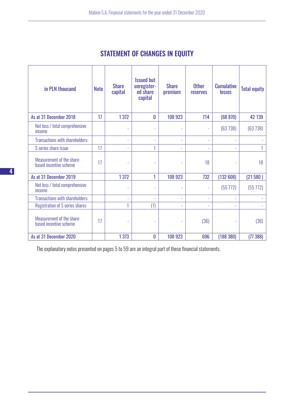| in PLN thousand                                     | <b>Note</b> | <b>Share</b><br>capital | <b>Issued but</b><br>unregister-<br>ed share<br>capital | <b>Share</b><br>premium  | <b>Other</b><br><b>reserves</b> | <b>Cumulative</b><br><b>losses</b> | <b>Total equity</b> |
|-----------------------------------------------------|-------------|-------------------------|---------------------------------------------------------|--------------------------|---------------------------------|------------------------------------|---------------------|
| As at 31 December 2018                              | 17          | 1 3 7 2                 | 0                                                       | 108 923                  | 714                             | (68 870)                           | 42 139              |
| Net loss / total comprehensive<br>income            |             | L,                      | ÷,                                                      | ÷,                       | $\overline{\phantom{a}}$        | (63738)                            | (63738)             |
| Transactions with shareholders:                     |             | L,                      | ٠                                                       | ÷                        | ÷,                              |                                    |                     |
| S series share issue                                | 17          | ÷                       |                                                         | $\bar{a}$                | ÷,                              |                                    |                     |
| Measurement of the share-<br>based incentive scheme | 17          |                         | ÷,                                                      | ÷                        | 18                              |                                    | 18                  |
| As at 31 December 2019                              |             | 1 3 7 2                 | 1                                                       | 108 923                  | 732                             | (132608)                           | (21580)             |
| Net loss / total comprehensive<br>income            |             | ÷,                      | $\overline{\phantom{a}}$                                | $\overline{\phantom{a}}$ | ÷                               | (55 772)                           | (55772)             |
| Transactions with shareholders:                     |             | L                       | ÷.                                                      | $\overline{\phantom{a}}$ | ÷,                              |                                    |                     |
| Registration of S series shares                     |             | 1                       | (1)                                                     | $\overline{\phantom{a}}$ | ÷,                              |                                    |                     |
| Measurement of the share-<br>based incentive scheme | 17          | L                       | $\sim$                                                  | ٠                        | (36)                            |                                    | (36)                |
| As at 31 December 2020                              |             | 1 3 7 3                 | 0                                                       | 108 923                  | 696                             | (188 380)                          | (77388)             |

# STATEMENT OF CHANGES IN EQUITY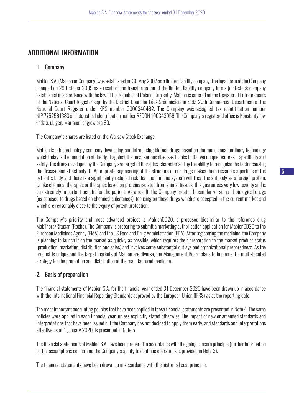# ADDITIONAL INFORMATION

#### 1. Company

Mabion S.A. (Mabion or Company) was established on 30 May 2007 as a limited liability company. The legal form of the Company changed on 29 October 2009 as a result of the transformation of the limited liability company into a joint-stock company established in accordance with the law of the Republic of Poland. Currently, Mabion is entered on the Register of Entrepreneurs of the National Court Register kept by the District Court for Łódź-Śródmieście in Łódź, 20th Commercial Department of the National Court Register under KRS number 0000340462. The Company was assigned tax identification number NIP 7752561383 and statistical identification number REGON 100343056. The Company's registered office is Konstantynów Łódzki, ul. gen. Mariana Langiewicza 60.

The Company's shares are listed on the Warsaw Stock Exchange.

Mabion is a biotechnology company developing and introducing biotech drugs based on the monoclonal antibody technology which today is the foundation of the fight against the most serious diseases thanks to its two unique features – specificity and safety. The drugs developed by the Company are targeted therapies, characterised by the ability to recognise the factor causing the disease and affect only it. Appropriate engineering of the structure of our drugs makes them resemble a particle of the patient's body and there is a significantly reduced risk that the immune system will treat the antibody as a foreign protein. Unlike chemical therapies or therapies based on proteins isolated from animal tissues, this guarantees very low toxicity and is an extremely important benefit for the patient. As a result, the Company creates biosimilar versions of biological drugs (as opposed to drugs based on chemical substances), focusing on those drugs which are accepted in the current market and which are reasonably close to the expiry of patent protection.

The Company's priority and most advanced project is MabionCD20, a proposed biosimilar to the reference drug MabThera/Rituxan (Roche). The Company is preparing to submit a marketing authorisation application for MabionCD20 to the European Medicines Agency (EMA) and the US Food and Drug Administration (FDA). After registering the medicine, the Company is planning to launch it on the market as quickly as possible, which requires their preparation to the market product status (production, marketing, distribution and sales) and involves some substantial outlays and organizational preparedness. As the product is unique and the target markets of Mabion are diverse, the Management Board plans to implement a multi-faceted strategy for the promotion and distribution of the manufactured medicine.

# 2. Basis of preparation

The financial statements of Mabion S.A. for the financial year ended 31 December 2020 have been drawn up in accordance with the International Financial Reporting Standards approved by the European Union (IFRS) as at the reporting date.

The most important accounting policies that have been applied in these financial statements are presented in Note 4. The same policies were applied in each financial year, unless explicitly stated otherwise. The impact of new or amended standards and interpretations that have been issued but the Company has not decided to apply them early, and standards and interpretations effective as of 1 January 2020, is presented in Note 5.

The financial statements of Mabion S.A. have been prepared in accordance with the going concern principle (further information on the assumptions concerning the Company's ability to continue operations is provided in Note 3).

The financial statements have been drawn up in accordance with the historical cost principle.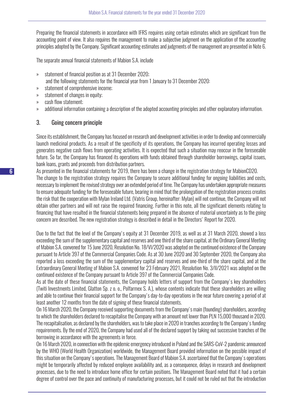Preparing the financial statements in accordance with IFRS requires using certain estimates which are significant from the accounting point of view. It also requires the management to make a subjective judgment on the application of the accounting principles adopted by the Company. Significant accounting estimates and judgments of the management are presented in Note 6.

The separate annual financial statements of Mabion S.A. include

- » statement of financial position as at 31 December 2020;
	- and the following statements for the financial year from 1 January to 31 December 2020:
- » statement of comprehensive income;
- » statement of changes in equity;
- » cash flow statement;
- » additional information containing a description of the adopted accounting principles and other explanatory information.

#### 3. Going concern principle

Since its establishment, the Company has focused on research and development activities in order to develop and commercially launch medicinal products. As a result of the specificity of its operations, the Company has incurred operating losses and generates negative cash flows from operating activities. It is expected that such a situation may reoccur in the foreseeable future. So far, the Company has financed its operations with funds obtained through shareholder borrowings, capital issues, bank loans, grants and proceeds from distribution partners.

As presented in the financial statements for 2019, there has been a change in the registration strategy for MabionCD20. The change to the registration strategy requires the Company to secure additional funding for ongoing liabilities and costs, necessary to implement the revised strategy over an extended period of time. The Company has undertaken appropriate measures to ensure adequate funding for the foreseeable future, bearing in mind that the prolongation of the registration process creates the risk that the cooperation with Mylan Ireland Ltd. (Vatris Group, hereinafter: Mylan) will not continue, the Company will not obtain other partners and will not raise the required financing. Further in this note, all the significant elements relating to financing that have resulted in the financial statements being prepared in the absence of material uncertainty as to the going concern are described. The new registration strategy is described in detail in the Directors' Report for 2020.

Due to the fact that the level of the Company's equity at 31 December 2019, as well as at 31 March 2020, showed a loss exceeding the sum of the supplementary capital and reserves and one third of the share capital, at the Ordinary General Meeting of Mabion S.A. convened for 15 June 2020, Resolution No. 18/VI/2020 was adopted on the continued existence of the Company pursuant to Article 397 of the Commercial Companies Code. As at 30 June 2020 and 30 September 2020, the Company also reported a loss exceeding the sum of the supplementary capital and reserves and one-third of the share capital, and at the Extraordinary General Meeting of Mabion S.A. convened for 23 February 2021, Resolution No. 3/II/2021 was adopted on the continued existence of the Company pursuant to Article 397 of the Commercial Companies Code.

As at the date of these financial statements, the Company holds letters of support from the Company's key shareholders (Twiti Investments Limited, Glatton Sp. z o. o., Polfarmex S. A.), whose contents indicate that these shareholders are willing and able to continue their financial support for the Company's day-to-day operations in the near future covering a period of at least another 12 months from the date of signing of these financial statements.

On 16 March 2020, the Company received supporting documents from the Company's main (founding) shareholders, according to which the shareholders declared to recapitalise the Company with an amount not lower than PLN 15,000 thousand in 2020. The recapitalisation, as declared by the shareholders, was to take place in 2020 in tranches according to the Company's funding requirements. By the end of 2020, the Company had used all of the declared support by taking out successive tranches of the borrowing in accordance with the agreements in force.

On 16 March 2020, in connection with the epidemic emergency introduced in Poland and the SARS-CoV-2 pandemic announced by the WHO (World Health Organization) worldwide, the Management Board provided information on the possible impact of this situation on the Company's operations. The Management Board of Mabion S.A. ascertained that the Company's operations might be temporarily affected by reduced employee availability and, as a consequence, delays in research and development processes, due to the need to introduce home office for certain positions. The Management Board noted that it had a certain degree of control over the pace and continuity of manufacturing processes, but it could not be ruled out that the introduction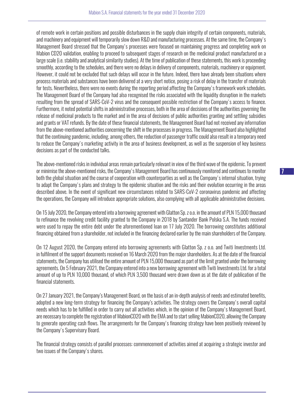of remote work in certain positions and possible disturbances in the supply chain integrity of certain components, materials, and machinery and equipment will temporarily slow down R&D and manufacturing processes. At the same time, the Company's Management Board stressed that the Company's processes were focused on maintaining progress and completing work on Mabion CD20 validation, enabling to proceed to subsequent stages of research on the medicinal product manufactured on a large scale (i.e. stability and analytical similarity studies). At the time of publication of these statements, this work is proceeding smoothly, according to the schedules, and there were no delays in delivery of components, materials, machinery or equipment. However, it could not be excluded that such delays will occur in the future. Indeed, there have already been situations where process materials and substances have been delivered at a very short notice, posing a risk of delay in the transfer of materials for tests. Nevertheless, there were no events during the reporting period affecting the Company's framework work schedules. The Management Board of the Company had also recognised the risks associated with the liquidity disruption in the markets resulting from the spread of SARS-CoV-2 virus and the consequent possible restriction of the Company's access to finance. Furthermore, it noted potential shifts in administrative processes, both in the area of decisions of the authorities governing the release of medicinal products to the market and in the area of decisions of public authorities granting and settling subsidies and grants or VAT refunds. By the date of these financial statements, the Management Board had not received any information from the above-mentioned authorities concerning the shift in the processes in progress. The Management Board also highlighted that the continuing pandemic, including, among others, the reduction of passenger traffic could also result in a temporary need to reduce the Company's marketing activity in the area of business development, as well as the suspension of key business decisions as part of the conducted talks.

The above-mentioned risks in individual areas remain particularly relevant in view of the third wave of the epidemic. To prevent or minimise the above-mentioned risks, the Company's Management Board has continuously monitored and continues to monitor both the global situation and the course of cooperation with counterparties as well as the Company's internal situation, trying to adapt the Company's plans and strategy to the epidemic situation and the risks and their evolution occurring in the areas described above. In the event of significant new circumstances related to SARS-CoV-2 coronavirus pandemic and affecting the operations, the Company will introduce appropriate solutions, also complying with all applicable administrative decisions.

On 15 July 2020, the Company entered into a borrowing agreement with Glatton Sp. z o.o. in the amount of PLN 15,000 thousand to refinance the revolving credit facility granted to the Company in 2018 by Santander Bank Polska S.A. The funds received were used to repay the entire debt under the aforementioned loan on 17 July 2020. The borrowing constitutes additional financing obtained from a shareholder, not included in the financing declared earlier by the main shareholders of the Company.

On 12 August 2020, the Company entered into borrowing agreements with Glatton Sp. z o.o. and Twiti Investments Ltd. in fulfilment of the support documents received on 16 March 2020 from the major shareholders. As at the date of the financial statements, the Company has utilised the entire amount of PLN 15,000 thousand as part of the limit granted under the borrowing agreements. On 5 February 2021, the Company entered into a new borrowing agreement with Twiti Investments Ltd. for a total amount of up to PLN 10,000 thousand, of which PLN 3,500 thousand were drawn down as at the date of publication of the financial statements.

On 27 January 2021, the Company's Management Board, on the basis of an in-depth analysis of needs and estimated benefits, adopted a new long-term strategy for financing the Company's activities. The strategy covers the Company's overall capital needs which has to be fulfilled in order to carry out all activities which, in the opinion of the Company's Management Board, are necessary to complete the registration of MabionCD20 with the EMA and to start selling MabionCD20, allowing the Company to generate operating cash flows. The arrangements for the Company's financing strategy have been positively reviewed by the Company's Supervisory Board.

The financial strategy consists of parallel processes: commencement of activities aimed at acquiring a strategic investor and two issues of the Company's shares.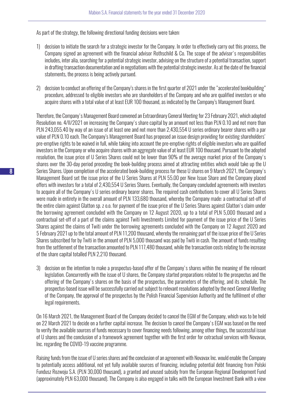As part of the strategy, the following directional funding decisions were taken:

- 1) decision to initiate the search for a strategic investor for the Company. In order to effectively carry out this process, the Company signed an agreement with the financial advisor Rothschild & Co. The scope of the advisor's responsibilities includes, inter alia, searching for a potential strategic investor, advising on the structure of a potential transaction, support in drafting transaction documentation and in negotiations with the potential strategic investor. As at the date of the financial statements, the process is being actively pursued.
- 2) decision to conduct an offering of the Company's shares in the first quarter of 2021 under the "accelerated bookbuilding" procedure, addressed to eligible investors who are shareholders of the Company and who are qualified investors or who acquire shares with a total value of at least EUR 100 thousand, as indicated by the Company's Management Board.

Therefore, the Company's Management Board convened an Extraordinary General Meeting for 23 February 2021, which adopted Resolution no. 4/II/2021 on increasing the Company's share capital by an amount not less than PLN 0.10 and not more than PLN 243,055.40 by way of an issue of at least one and not more than 2,430,554 U series ordinary bearer shares with a par value of PLN 0.10 each. The Company's Management Board has proposed an issue design providing for existing shareholders' pre-emptive rights to be waived in full, while taking into account the pre-emptive rights of eligible investors who are qualified investors in the Company or who acquire shares with an aggregate value of at least EUR 100 thousand. Pursuant to the adopted resolution, the issue price of U Series Shares could not be lower than 90% of the average market price of the Company's shares over the 30-day period preceding the book-building process aimed at attracting entities which would take up the U Series Shares. Upon completion of the accelerated book-building process for these U shares on 9 March 2021, the Company's Management Board set the issue price of the U Series Shares at PLN 55.00 per New Issue Share and the Company placed offers with investors for a total of 2,430,554 U Series Shares. Eventually, the Company concluded agreements with investors to acquire all of the Company's U series ordinary bearer shares. The required cash contributions to cover all U Series Shares were made in entirety in the overall amount of PLN 133,680 thousand, whereby the Company made: a contractual set-off of the entire claim against Glatton sp. z o.o. for payment of the issue price of the U Series Shares against Glatton's claim under the borrowing agreement concluded with the Company on 12 August 2020, up to a total of PLN 5,000 thousand and a contractual set-off of a part of the claims against Twiti Investments Limited for payment of the issue price of the U Series Shares against the claims of Twiti under the borrowing agreements concluded with the Company on 12 August 2020 and 5 February 2021 up to the total amount of PLN 11,200 thousand, whereby the remaining part of the issue price of the U Series Shares subscribed for by Twiti in the amount of PLN 5,000 thousand was paid by Twiti in cash. The amount of funds resulting from the settlement of the transaction amounted to PLN 117,480 thousand, while the transaction costs relating to the increase of the share capital totalled PLN 2,210 thousand.

3) decision on the intention to make a prospectus-based offer of the Company's shares within the meaning of the relevant legislation. Concurrently with the issue of U shares, the Company started preparations related to the prospectus and the offering of the Company's shares on the basis of the prospectus, the parameters of the offering, and its schedule. The prospectus-based issue will be successfully carried out subject to relevant resolutions adopted by the next General Meeting of the Company, the approval of the prospectus by the Polish Financial Supervision Authority and the fulfilment of other legal requirements.

On 16 March 2021, the Management Board of the Company decided to cancel the EGM of the Company, which was to be held on 22 March 2021 to decide on a further capital increase. The decision to cancel the Company's EGM was based on the need to verify the available sources of funds necessary to cover financing needs following, among other things, the successful issue of U shares and the conclusion of a framework agreement together with the first order for cotractual services with Novavax, Inc. regarding the COVID-19 vaccine programme.

Raising funds from the issue of U series shares and the conclusion of an agreement with Novavax Inc. would enable the Company to potentially access additional, not yet fully available sources of financing, including potential debt financing from Polski Fundusz Rozwoju S.A. (PLN 30,000 thousand), a granted and unused subsidy from the European Regional Development Fund (approximately PLN 63,000 thousand). The Company is also engaged in talks with the European Investment Bank with a view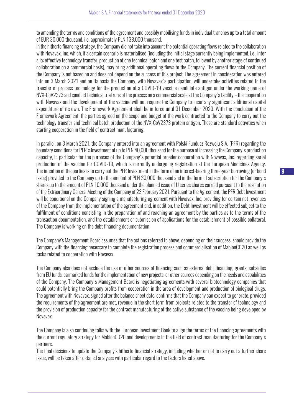to amending the terms and conditions of the agreement and possibly mobilising funds in individual tranches up to a total amount of EUR 30,000 thousand, i.e. approximately PLN 138,000 thousand.

In the hitherto financing strategy, the Company did not take into account the potential operating flows related to the collaboration with Novavax, Inc. which, if a certain scenario is materialised (including the initial stage currently being implemented, i.e., inter alia: effective technology transfer, production of one technical batch and one test batch, followed by another stage of continued collaboration on a commercial basis), may bring additional operating flows to the Company. The current financial position of the Company is not based on and does not depend on the success of this project. The agreement in consideration was entered into on 3 March 2021 and on its basis the Company, with Novavax's participation, will undertake activities related to the transfer of process technology for the production of a COVID-19 vaccine candidate antigen under the working name of NVX-CoV2373 and conduct technical trial runs of the process on a commercial scale at the Company's facility – the cooperation with Novavax and the development of the vaccine will not require the Company to incur any significant additional capital expenditure of its own. The Framework Agreement shall be in force until 31 December 2023. With the conclusion of the Framework Agreement, the parties agreed on the scope and budget of the work contracted to the Company to carry out the technology transfer and technical batch production of the NVX-CoV2373 protein antigen. These are standard activities when starting cooperation in the field of contract manufacturing.

In parallel, on 3 March 2021, the Company entered into an agreement with Polski Fundusz Rozwoju S.A. (PFR) regarding the boundary conditions for PFR's investment of up to PLN 40,000 thousand for the purpose of increasing the Company's production capacity, in particular for the purposes of the Company's potential broader cooperation with Novavax, Inc. regarding serial production of the vaccine for COVID-19, which is currently undergoing registration at the European Medicines Agency. The intention of the parties is to carry out the PFR Investment in the form of an interest-bearing three-year borrowing (or bond issue) provided to the Company up to the amount of PLN 30,000 thousand and in the form of subscription for the Company's shares up to the amount of PLN 10,000 thousand under the planned issue of U series shares carried pursuant to the resolution of the Extraordinary General Meeting of the Company of 23 February 2021. Pursuant to the Agreement, the PFR Debt Investment will be conditional on the Company signing a manufacturing agreement with Novavax, Inc. providing for certain net revenues of the Company from the implementation of the agreement and, in addition, the Debt Investment will be effected subject to the fulfilment of conditions consisting in the preparation of and reaching an agreement by the parties as to the terms of the transaction documentation, and the establishment or submission of applications for the establishment of possible collateral. The Company is working on the debt financing documentation.

The Company's Management Board assumes that the actions referred to above, depending on their success, should provide the Company with the financing necessary to complete the registration process and commercialisation of MabionCD20 as well as tasks related to cooperation with Novavax.

The Company also does not exclude the use of other sources of financing such as external debt financing, grants, subsidies from EU funds, earmarked funds for the implementation of new projects, or other sources depending on the needs and capabilities of the Company. The Company's Management Board is negotiating agreements with several biotechnology companies that could potentially bring the Company profits from cooperation in the area of development and production of biological drugs. The agreement with Novavax, signed after the balance sheet date, confirms that the Company can expect to generate, provided the requirements of the agreement are met, revenue in the short term from projects related to the transfer of technology and the provision of production capacity for the contract manufacturing of the active substance of the vaccine being developed by Novavax.

The Company is also continuing talks with the European Investment Bank to align the terms of the financing agreements with the current regulatory strategy for MabionCD20 and developments in the field of contract manufacturing for the Company's partners.

The final decisions to update the Company's hitherto financial strategy, including whether or not to carry out a further share issue, will be taken after detailed analyses with particular regard to the factors listed above.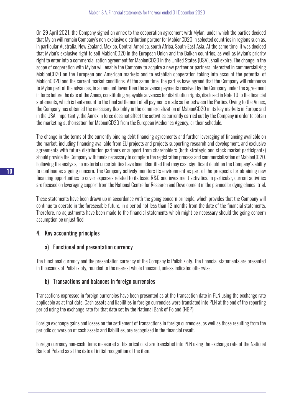On 29 April 2021, the Company signed an annex to the cooperation agreement with Mylan, under which the parties decided that Mylan will remain Company's non-exclusive distribution partner for MabionCD20 in selected countries in regions such as, in particular Australia, New Zealand, Mexico, Central America, south Africa, South-East Asia. At the same time, it was decided that Mylan's exclusive right to sell MabionCD20 in the European Union and the Balkan countries, as well as Mylan's priority right to enter into a commercialization agreement for MabionCD20 in the United States (USA), shall expire. The change in the scope of cooperation with Mylan will enable the Company to acquire a new partner or partners interested in commercializing MabionCD20 on the European and American markets and to establish cooperation taking into account the potential of MabionCD20 and the current market conditions. At the same time, the parties have agreed that the Company will reimburse to Mylan part of the advances, in an amount lower than the advance payments received by the Company under the agreement in force before the date of the Annex, constituting repayable advances for distribution rights, disclosed in Note 19 to the financial statements, which is tantamount to the final settlement of all payments made so far between the Parties. Owing to the Annex, the Company has obtained the necessary flexibility in the commercialization of MabionCD20 in its key markets in Europe and in the USA. Importantly, the Annex in force does not affect the activities currently carried out by the Company in order to obtain the marketing authorisation for MabionCD20 from the European Medicines Agency, or their schedule.

The change in the terms of the currently binding debt financing agreements and further leveraging of financing available on the market, including financing available from EU projects and projects supporting research and development, and exclusive agreements with future distribution partners or support from shareholders (both strategic and stock market participants) should provide the Company with funds necessary to complete the registration process and commercialization of MabionCD20. Following the analysis, no material uncertainties have been identified that may cast significant doubt on the Company's ability to continue as a going concern. The Company actively monitors its environment as part of the prospects for obtaining new financing opportunities to cover expenses related to its basic R&D and investment activities. In particular, current activities are focused on leveraging support from the National Centre for Research and Development in the planned bridging clinical trial.

These statements have been drawn up in accordance with the going concern principle, which provides that the Company will continue to operate in the foreseeable future, in a period not less than 12 months from the date of the financial statements. Therefore, no adjustments have been made to the financial statements which might be necessary should the going concern assumption be unjustified.

# 4. Key accounting principles

# a) Functional and presentation currency

The functional currency and the presentation currency of the Company is Polish zloty. The financial statements are presented in thousands of Polish zloty, rounded to the nearest whole thousand, unless indicated otherwise.

# b) Transactions and balances in foreign currencies

Transactions expressed in foreign currencies have been presented as at the transaction date in PLN using the exchange rate applicable as at that date. Cash assets and liabilities in foreign currencies were translated into PLN at the end of the reporting period using the exchange rate for that date set by the National Bank of Poland (NBP).

Foreign exchange gains and losses on the settlement of transactions in foreign currencies, as well as those resulting from the periodic conversion of cash assets and liabilities, are recognised in the financial result.

Foreign currency non-cash items measured at historical cost are translated into PLN using the exchange rate of the National Bank of Poland as at the date of initial recognition of the item.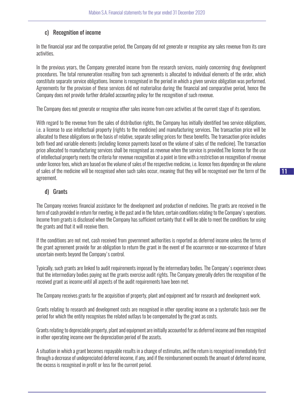# c) Recognition of income

In the financial year and the comparative period, the Company did not generate or recognise any sales revenue from its core activities.

In the previous years, the Company generated income from the research services, mainly concerning drug development procedures. The total remuneration resulting from such agreements is allocated to individual elements of the order, which constitute separate service obligations. Income is recognised in the period in which a given service obligation was performed. Agreements for the provision of these services did not materialise during the financial and comparative period, hence the Company does not provide further detailed accounting policy for the recognition of such revenue.

The Company does not generate or recognise other sales income from core activities at the current stage of its operations.

With regard to the revenue from the sales of distribution rights, the Company has initially identified two service obligations, i.e. a license to use intellectual property (rights to the medicine) and manufacturing services. The transaction price will be allocated to these obligations on the basis of relative, separate selling prices for these benefits. The transaction price includes both fixed and variable elements (including licence payments based on the volume of sales of the medicine). The transaction price allocated to manufacturing services shall be recognised as revenue when the service is provided.The licence for the use of intellectual property meets the criteria for revenue recognition at a point in time with a restriction on recognition of revenue under licence fees, which are based on the volume of sales of the respective medicine, i.e. licence fees depending on the volume of sales of the medicine will be recognised when such sales occur, meaning that they will be recognised over the term of the agreement.

# d) Grants

The Company receives financial assistance for the development and production of medicines. The grants are received in the form of cash provided in return for meeting, in the past and in the future, certain conditions relating to the Company's operations. Income from grants is disclosed when the Company has sufficient certainty that it will be able to meet the conditions for using the grants and that it will receive them.

If the conditions are not met, cash received from government authorities is reported as deferred income unless the terms of the grant agreement provide for an obligation to return the grant in the event of the occurrence or non-occurrence of future uncertain events beyond the Company's control.

Typically, such grants are linked to audit requirements imposed by the intermediary bodies. The Company's experience shows that the intermediary bodies paying out the grants exercise audit rights. The Company generally defers the recognition of the received grant as income until all aspects of the audit requirements have been met.

The Company receives grants for the acquisition of property, plant and equipment and for research and development work.

Grants relating to research and development costs are recognised in other operating income on a systematic basis over the period for which the entity recognises the related outlays to be compensated by the grant as costs.

Grants relating to depreciable property, plant and equipment are initially accounted for as deferred income and then recognised in other operating income over the depreciation period of the assets.

A situation in which a grant becomes repayable results in a change of estimates, and the return is recognised immediately first through a decrease of undepreciated deferred income, if any, and if the reimbursement exceeds the amount of deferred income, the excess is recognised in profit or loss for the current period.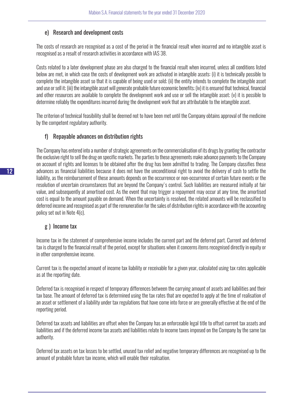#### e) Research and development costs

The costs of research are recognised as a cost of the period in the financial result when incurred and no intangible asset is recognised as a result of research activities in accordance with IAS 38.

Costs related to a later development phase are also charged to the financial result when incurred, unless all conditions listed below are met, in which case the costs of development work are activated in intangible assets: (i) it is technically possible to complete the intangible asset so that it is capable of being used or sold; (ii) the entity intends to complete the intangible asset and use or sell it; (iii) the intangible asset will generate probable future economic benefits; (iv) it is ensured that technical, financial and other resources are available to complete the development work and use or sell the intangible asset; (v) it is possible to determine reliably the expenditures incurred during the development work that are attributable to the intangible asset.

The criterion of technical feasibility shall be deemed not to have been met until the Company obtains approval of the medicine by the competent regulatory authority.

#### f) Repayable advances on distribution rights

The Company has entered into a number of strategic agreements on the commercialisation of its drugs by granting the contractor the exclusive right to sell the drug on specific markets. The parties to these agreements make advance payments to the Company on account of rights and licenses to be obtained after the drug has been admitted to trading. The Company classifies these advances as financial liabilities because it does not have the unconditional right to avoid the delivery of cash to settle the liability, as the reimbursement of these amounts depends on the occurrence or non-occurrence of certain future events or the resolution of uncertain circumstances that are beyond the Company's control. Such liabilities are measured initially at fair value, and subsequently at amortised cost. As the event that may trigger a repayment may occur at any time, the amortised cost is equal to the amount payable on demand. When the uncertainty is resolved, the related amounts will be reclassified to deferred income and recognised as part of the remuneration for the sales of distribution rights in accordance with the accounting policy set out in Note 4(c).

#### g ) Income tax

Income tax in the statement of comprehensive income includes the current part and the deferred part. Current and deferred tax is charged to the financial result of the period, except for situations when it concerns items recognised directly in equity or in other comprehensive income.

Current tax is the expected amount of income tax liability or receivable for a given year, calculated using tax rates applicable as at the reporting date.

Deferred tax is recognised in respect of temporary differences between the carrying amount of assets and liabilities and their tax base. The amount of deferred tax is determined using the tax rates that are expected to apply at the time of realisation of an asset or settlement of a liability under tax regulations that have come into force or are generally effective at the end of the reporting period.

Deferred tax assets and liabilities are offset when the Company has an enforceable legal title to offset current tax assets and liabilities and if the deferred income tax assets and liabilities relate to income taxes imposed on the Company by the same tax authority.

Deferred tax assets on tax losses to be settled, unused tax relief and negative temporary differences are recognised up to the amount of probable future tax income, which will enable their realisation.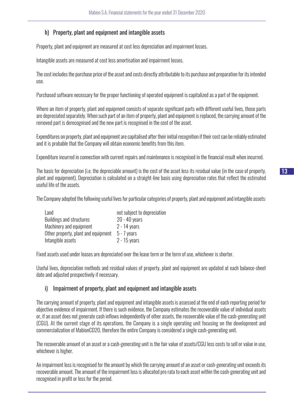# h) Property, plant and equipment and intangible assets

Property, plant and equipment are measured at cost less depreciation and impairment losses.

Intangible assets are measured at cost less amortisation and impairment losses.

The cost includes the purchase price of the asset and costs directly attributable to its purchase and preparation for its intended use.

Purchased software necessary for the proper functioning of operated equipment is capitalized as a part of the equipment.

Where an item of property, plant and equipment consists of separate significant parts with different useful lives, those parts are depreciated separately. When such part of an item of property, plant and equipment is replaced, the carrying amount of the removed part is derecognised and the new part is recognised in the cost of the asset.

Expenditures on property, plant and equipment are capitalised after their initial recognition if their cost can be reliably estimated and it is probable that the Company will obtain economic benefits from this item.

Expenditure incurred in connection with current repairs and maintenance is recognised in the financial result when incurred.

The basis for depreciation (i.e. the depreciable amount) is the cost of the asset less its residual value (in the case of property, plant and equipment). Depreciation is calculated on a straight-line basis using depreciation rates that reflect the estimated useful life of the assets.

The Company adopted the following useful lives for particular categories of property, plant and equipment and intangible assets:

| not subject to depreciation |
|-----------------------------|
| $20 - 40$ years             |
| $2 - 14$ years              |
| $5 - 7$ years               |
| $2 - 15$ years              |
|                             |

Fixed assets used under leases are depreciated over the lease term or the term of use, whichever is shorter.

Useful lives, depreciation methods and residual values of property, plant and equipment are updated at each balance-sheet date and adjusted prospectively if necessary.

#### i) Impairment of property, plant and equipment and intangible assets

The carrying amount of property, plant and equipment and intangible assets is assessed at the end of each reporting period for objective evidence of impairment. If there is such evidence, the Company estimates the recoverable value of individual assets or, if an asset does not generate cash inflows independently of other assets, the recoverable value of the cash-generating unit (CGU). At the current stage of its operations, the Company is a single operating unit focusing on the development and commercialization of MabionCD20, therefore the entire Company is considered a single cash-generating unit.

The recoverable amount of an asset or a cash-generating unit is the fair value of assets/CGU less costs to sell or value in use, whichever is higher.

An impairment loss is recognised for the amount by which the carrying amount of an asset or cash-generating unit exceeds its recoverable amount. The amount of the impairment loss is allocated pro rata to each asset within the cash-generating unit and recognised in profit or loss for the period.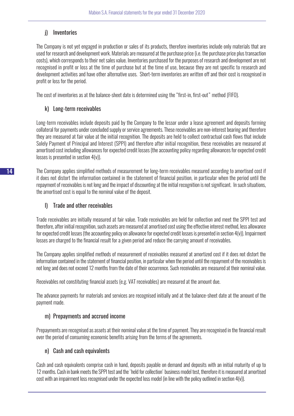# j) Inventories

The Company is not yet engaged in production or sales of its products, therefore inventories include only materials that are used for research and development work. Materials are measured at the purchase price (i.e. the purchase price plus transaction costs), which corresponds to their net sales value. Inventories purchased for the purposes of research and development are not recognised in profit or loss at the time of purchase but at the time of use, because they are not specific to research and development activities and have other alternative uses. Short-term inventories are written off and their cost is recognised in profit or loss for the period.

The cost of inventories as at the balance-sheet date is determined using the "first-in, first-out" method (FIFO).

# k) Long-term receivables

Long-term receivables include deposits paid by the Company to the lessor under a lease agreement and deposits forming collateral for payments under concluded supply or service agreements. These receivables are non-interest bearing and therefore they are measured at fair value at the initial recognition. The deposits are held to collect contractual cash flows that include Solely Payment of Principal and Interest (SPPI) and therefore after initial recognition, these receivables are measured at amortised cost including allowances for expected credit losses (the accounting policy regarding allowances for expected credit losses is presented in section 4(v)).

The Company applies simplified methods of measurement for long-term receivables measured according to amortised cost if it does not distort the information contained in the statement of financial position, in particular when the period until the repayment of receivables is not long and the impact of discounting at the initial recognition is not significant. In such situations, the amortised cost is equal to the nominal value of the deposit.

# l) Trade and other receivables

Trade receivables are initially measured at fair value. Trade receivables are held for collection and meet the SPPI test and therefore, after initial recognition, such assets are measured at amortised cost using the effective interest method, less allowance for expected credit losses (the accounting policy on allowance for expected credit losses is presented in section 4(v)). Impairment losses are charged to the financial result for a given period and reduce the carrying amount of receivables.

The Company applies simplified methods of measurement of receivables measured at amortized cost if it does not distort the information contained in the statement of financial position, in particular when the period until the repayment of the receivables is not long and does not exceed 12 months from the date of their occurrence. Such receivables are measured at their nominal value.

Receivables not constituting financial assets (e.g. VAT receivables) are measured at the amount due.

The advance payments for materials and services are recognised initially and at the balance-sheet date at the amount of the payment made.

# m) Prepayments and accrued income

Prepayments are recognised as assets at their nominal value at the time of payment. They are recognised in the financial result over the period of consuming economic benefits arising from the terms of the agreements.

# n) Cash and cash equivalents

Cash and cash equivalents comprise cash in hand, deposits payable on demand and deposits with an initial maturity of up to 12 months. Cash in bank meets the SPPI test and the 'held for collection' business model test, therefore it is measured at amortised cost with an impairment loss recognised under the expected loss model (in line with the policy outlined in section 4(v)).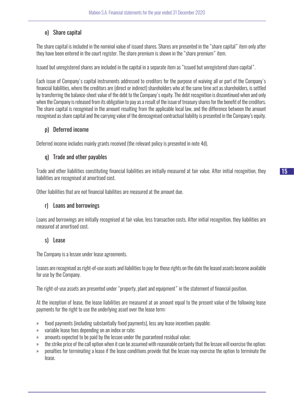# o) Share capital

The share capital is included in the nominal value of issued shares. Shares are presented in the "share capital" item only after they have been entered in the court register. The share premium is shown in the "share premium" item.

Issued but unregistered shares are included in the capital in a separate item as "issued but unregistered share capital".

Each issue of Company's capital instruments addressed to creditors for the purpose of waiving all or part of the Company's financial liabilities, where the creditors are (direct or indirect) shareholders who at the same time act as shareholders, is settled by transferring the balance-sheet value of the debt to the Company's equity. The debt recognition is discontinued when and only when the Company is released from its obligation to pay as a result of the issue of treasury shares for the benefit of the creditors. The share capital is recognised in the amount resulting from the applicable local law, and the difference between the amount recognised as share capital and the carrying value of the derecognised contractual liability is presented in the Company's equity.

# p) Deferred income

Deferred income includes mainly grants received (the relevant policy is presented in note 4d).

# q) Trade and other payables

Trade and other liabilities constituting financial liabilities are initially measured at fair value. After initial recognition, they liabilities are recognised at amortised cost.

Other liabilities that are not financial liabilities are measured at the amount due.

# r) Loans and borrowings

Loans and borrowings are initially recognised at fair value, less transaction costs. After initial recognition, they liabilities are measured at amortised cost.

# s) Lease

The Company is a lessee under lease agreements.

Leases are recognised as right-of-use assets and liabilities to pay for those rights on the date the leased assets become available for use by the Company.

The right-of-use assets are presented under "property, plant and equipment" in the statement of financial position.

At the inception of lease, the lease liabilities are measured at an amount equal to the present value of the following lease payments for the right to use the underlying asset over the lease term:

- » fixed payments (including substantially fixed payments), less any lease incentives payable;
- » variable lease fees depending on an index or rate;
- » amounts expected to be paid by the lessee under the guaranteed residual value;
- » the strike price of the call option when it can be assumed with reasonable certainty that the lessee will exercise the option;
- » penalties for terminating a lease if the lease conditions provide that the lessee may exercise the option to terminate the lease.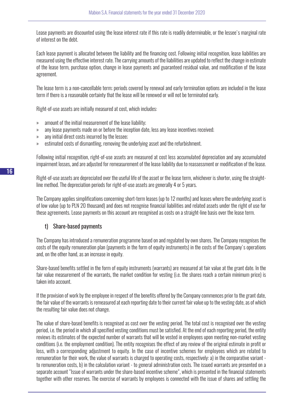Lease payments are discounted using the lease interest rate if this rate is readily determinable, or the lessee's marginal rate of interest on the debt.

Each lease payment is allocated between the liability and the financing cost. Following initial recognition, lease liabilities are measured using the effective interest rate. The carrying amounts of the liabilities are updated to reflect the change in estimate of the lease term, purchase option, change in lease payments and guaranteed residual value, and modification of the lease agreement.

The lease term is a non-cancellable term; periods covered by renewal and early termination options are included in the lease term if there is a reasonable certainty that the lease will be renewed or will not be terminated early.

Right-of-use assets are initially measured at cost, which includes:

- » amount of the initial measurement of the lease liability;
- » any lease payments made on or before the inception date, less any lease incentives received;
- » any initial direct costs incurred by the lessee;
- » estimated costs of dismantling, removing the underlying asset and the refurbishment.

Following initial recognition, right-of-use assets are measured at cost less accumulated depreciation and any accumulated impairment losses, and are adjusted for remeasurement of the lease liability due to reassessment or modification of the lease.

Right-of-use assets are depreciated over the useful life of the asset or the lease term, whichever is shorter, using the straightline method. The depreciation periods for right-of-use assets are generally 4 or 5 years.

The Company applies simplifications concerning short-term leases (up to 12 months) and leases where the underlying asset is of low value (up to PLN 20 thousand) and does not recognise financial liabilities and related assets under the right of use for these agreements. Lease payments on this account are recognised as costs on a straight-line basis over the lease term.

# t) Share-based payments

The Company has introduced a remuneration programme based on and regulated by own shares. The Company recognises the costs of the equity remuneration plan (payments in the form of equity instruments) in the costs of the Company's operations and, on the other hand, as an increase in equity.

Share-based benefits settled in the form of equity instruments (warrants) are measured at fair value at the grant date. In the fair value measurement of the warrants, the market condition for vesting (i.e. the shares reach a certain minimum price) is taken into account.

If the provision of work by the employee in respect of the benefits offered by the Company commences prior to the grant date, the fair value of the warrants is remeasured at each reporting date to their current fair value up to the vesting date, as of which the resulting fair value does not change.

The value of share-based benefits is recognised as cost over the vesting period. The total cost is recognised over the vesting period, i.e. the period in which all specified vesting conditions must be satisfied. At the end of each reporting period, the entity reviews its estimates of the expected number of warrants that will be vested in employees upon meeting non-market vesting conditions (i.e. the employment condition). The entity recognises the effect of any review of the original estimate in profit or loss, with a corresponding adjustment to equity. In the case of incentive schemes for employees which are related to remuneration for their work, the value of warrants is charged to operating costs, respectively: a) in the comparative variant to remuneration costs, b) in the calculation variant - to general administration costs. The issued warrants are presented on a separate account "Issue of warrants under the share-based incentive scheme", which is presented in the financial statements together with other reserves. The exercise of warrants by employees is connected with the issue of shares and settling the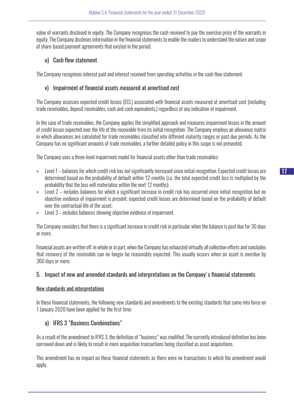value of warrants disclosed in equity. The Company recognises the cash received to pay the exercise price of the warrants in equity. The Company discloses information in the financial statements to enable the readers to understand the nature and scope of share-based payment agreements that existed in the period.

# u) Cash flow statement

The Company recognises interest paid and interest received from operating activities in the cash flow statement.

# v) Impairment of financial assets measured at amortised cost

The Company assesses expected credit losses (ECL) associated with financial assets measured at amortised cost (including trade receivables, deposit receivables, cash and cash equivalents,) regardless of any indication of impairment.

In the case of trade receivables, the Company applies the simplified approach and measures impairment losses in the amount of credit losses expected over the life of the receivable from its initial recognition. The Company employs an allowance matrix in which allowances are calculated for trade receivables classified into different maturity ranges or past due periods. As the Company has no significant amounts of trade receivables, a further detailed policy in this scope is not presented.

The Company uses a three-level impairment model for financial assets other than trade receivables:

- » Level 1 balances for which credit risk has not significantly increased since initial recognition. Expected credit losses are determined based on the probability of default within 12 months (i.e. the total expected credit loss is multiplied by the probability that the loss will materialise within the next 12 months);
- » Level 2 includes balances for which a significant increase in credit risk has occurred since initial recognition but no objective evidence of impairment is present; expected credit losses are determined based on the probability of default over the contractual life of the asset;
- » Level 3 includes balances showing objective evidence of impairment.

The Company considers that there is a significant increase in credit risk in particular when the balance is past due for 30 days or more.

Financial assets are written off, in whole or in part, when the Company has exhausted virtually all collection efforts and concludes that recovery of the receivable can no longer be reasonably expected. This usually occurs when an asset is overdue by 360 days or more.

# 5. Impact of new and amended standards and interpretations on the Company's financial statements

#### New standards and interpretations

In these financial statements, the following new standards and amendments to the existing standards that came into force on 1 January 2020 have been applied for the first time:

# a) IFRS 3 "Business Combinations"

As a result of the amendment to IFRS 3, the definition of "business" was modified. The currently introduced definition has been narrowed down and is likely to result in more acquisition transactions being classified as asset acquisitions.

This amendment has no impact on these financial statements as there were no transactions to which the amendment would apply.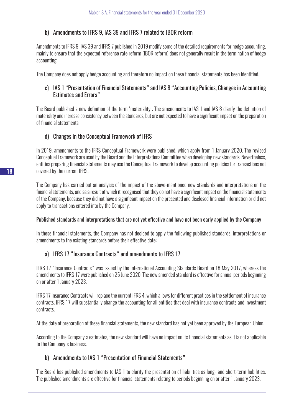# b) Amendments to IFRS 9, IAS 39 and IFRS 7 related to IBOR reform

Amendments to IFRS 9, IAS 39 and IFRS 7 published in 2019 modify some of the detailed requirements for hedge accounting, mainly to ensure that the expected reference rate reform (IBOR reform) does not generally result in the termination of hedge accounting.

The Company does not apply hedge accounting and therefore no impact on these financial statements has been identified.

# c) IAS 1 "Presentation of Financial Statements" and IAS 8 "Accounting Policies, Changes in Accounting Estimates and Errors"

The Board published a new definition of the term 'materiality'. The amendments to IAS 1 and IAS 8 clarify the definition of materiality and increase consistency between the standards, but are not expected to have a significant impact on the preparation of financial statements.

# d) Changes in the Conceptual Framework of IFRS

In 2019, amendments to the IFRS Conceptual Framework were published, which apply from 1 January 2020. The revised Conceptual Framework are used by the Board and the Interpretations Committee when developing new standards. Nevertheless, entities preparing financial statements may use the Conceptual Framework to develop accounting policies for transactions not covered by the current IFRS.

The Company has carried out an analysis of the impact of the above-mentioned new standards and interpretations on the financial statements, and as a result of which it recognised that they do not have a significant impact on the financial statements of the Company, because they did not have a significant impact on the presented and disclosed financial information or did not apply to transactions entered into by the Company.

# Published standards and interpretations that are not yet effective and have not been early applied by the Company

In these financial statements, the Company has not decided to apply the following published standards, interpretations or amendments to the existing standards before their effective date:

# a) IFRS 17 "Insurance Contracts" and amendments to IFRS 17

IFRS 17 "Insurance Contracts" was issued by the International Accounting Standards Board on 18 May 2017, whereas the amendments to IFRS 17 were published on 25 June 2020. The new amended standard is effective for annual periods beginning on or after 1 January 2023.

IFRS 17 Insurance Contracts will replace the current IFRS 4, which allows for different practices in the settlement of insurance contracts. IFRS 17 will substantially change the accounting for all entities that deal with insurance contracts and investment contracts.

At the date of preparation of these financial statements, the new standard has not yet been approved by the European Union.

According to the Company's estimates, the new standard will have no impact on its financial statements as it is not applicable to the Company's business.

# b) Amendments to IAS 1 "Presentation of Financial Statements"

The Board has published amendments to IAS 1 to clarify the presentation of liabilities as long- and short-term liabilities. The published amendments are effective for financial statements relating to periods beginning on or after 1 January 2023.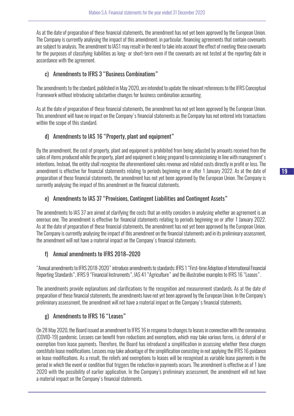As at the date of preparation of these financial statements, the amendment has not yet been approved by the European Union. The Company is currently analysing the impact of this amendment; in particular, financing agreements that contain covenants are subject to analysis. The amendment to IAS1 may result in the need to take into account the effect of meeting these covenants for the purposes of classifying liabilities as long- or short-term even if the covenants are not tested at the reporting date in accordance with the agreement.

# c) Amendments to IFRS 3 "Business Combinations"

The amendments to the standard, published in May 2020, are intended to update the relevant references to the IFRS Conceptual Framework without introducing substantive changes for business combination accounting.

As at the date of preparation of these financial statements, the amendment has not yet been approved by the European Union. This amendment will have no impact on the Company's financial statements as the Company has not entered into transactions within the scope of this standard.

# d) Amendments to IAS 16 "Property, plant and equipment"

By the amendment, the cost of property, plant and equipment is prohibited from being adjusted by amounts received from the sales of items produced while the property, plant and equipment is being prepared to commissioning in line with management's intentions. Instead, the entity shall recognise the aforementioned sales revenue and related costs directly in profit or loss. The amendment is effective for financial statements relating to periods beginning on or after 1 January 2022. As at the date of preparation of these financial statements, the amendment has not yet been approved by the European Union. The Company is currently analysing the impact of this amendment on the financial statements.

# e) Amendments to IAS 37 "Provisions, Contingent Liabilities and Contingent Assets"

The amendments to IAS 37 are aimed at clarifying the costs that an entity considers in analysing whether an agreement is an onerous one. The amendment is effective for financial statements relating to periods beginning on or after 1 January 2022. As at the date of preparation of these financial statements, the amendment has not yet been approved by the European Union. The Company is currently analysing the impact of this amendment on the financial statements and in its preliminary assessment, the amendment will not have a material impact on the Company's financial statements.

# f) Annual amendments to IFRS 2018–2020

"Annual amendments to IFRS 2018-2020" introduce amendments to standards: IFRS 1 "First-time Adoption of International Financial Reporting Standards", IFRS 9 "Financial Instruments", IAS 41 "Agriculture" and the illustrative examples to IFRS 16 "Leases".

The amendments provide explanations and clarifications to the recognition and measurement standards. As at the date of preparation of these financial statements, the amendments have not yet been approved by the European Union. In the Company's preliminary assessment, the amendment will not have a material impact on the Company's financial statements.

# g) Amendments to IFRS 16 "Leases"

On 28 May 2020, the Board issued an amendment to IFRS 16 in response to changes to leases in connection with the coronavirus (COVID-19) pandemic. Lessees can benefit from reductions and exemptions, which may take various forms, i.e. deferral of or exemption from lease payments. Therefore, the Board has introduced a simplification in assessing whether these changes constitute lease modifications. Lessees may take advantage of the simplification consisting in not applying the IFRS 16 guidance on lease modifications. As a result, the reliefs and exemptions to leases will be recognised as variable lease payments in the period in which the event or condition that triggers the reduction in payments occurs. The amendment is effective as of 1 June 2020 with the possibility of earlier application. In the Company's preliminary assessment, the amendment will not have a material impact on the Company's financial statements.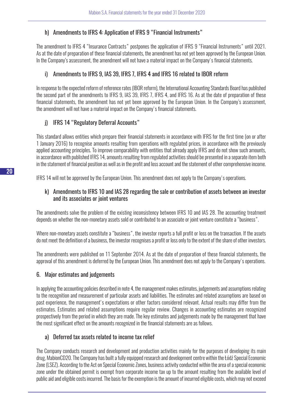# h) Amendments to IFRS 4: Application of IFRS 9 "Financial Instruments"

The amendment to IFRS 4 "Insurance Contracts" postpones the application of IFRS 9 "Financial Instruments" until 2021. As at the date of preparation of these financial statements, the amendment has not yet been approved by the European Union. In the Company's assessment, the amendment will not have a material impact on the Company's financial statements.

# i) Amendments to IFRS 9, IAS 39, IFRS 7, IFRS 4 and IFRS 16 related to IBOR reform

In response to the expected reform of reference rates (IBOR reform), the International Accounting Standards Board has published the second part of the amendments to IFRS 9, IAS 39, IFRS 7, IFRS 4, and IFRS 16. As at the date of preparation of these financial statements, the amendment has not yet been approved by the European Union. In the Company's assessment, the amendment will not have a material impact on the Company's financial statements.

# j) IFRS 14 "Regulatory Deferral Accounts"

This standard allows entities which prepare their financial statements in accordance with IFRS for the first time (on or after 1 January 2016) to recognise amounts resulting from operations with regulated prices, in accordance with the previously applied accounting principles. To improve comparability with entities that already apply IFRS and do not show such amounts, in accordance with published IFRS 14, amounts resulting from regulated activities should be presented in a separate item both in the statement of financial position as well as in the profit and loss account and the statement of other comprehensive income.

IFRS 14 will not be approved by the European Union. This amendment does not apply to the Company's operations.

# k) Amendments to IFRS 10 and IAS 28 regarding the sale or contribution of assets between an investor and its associates or joint ventures

The amendments solve the problem of the existing inconsistency between IFRS 10 and IAS 28. The accounting treatment depends on whether the non-monetary assets sold or contributed to an associate or joint venture constitute a "business".

Where non-monetary assets constitute a "business", the investor reports a full profit or loss on the transaction. If the assets do not meet the definition of a business, the investor recognises a profit or loss only to the extent of the share of other investors.

The amendments were published on 11 September 2014. As at the date of preparation of these financial statements, the approval of this amendment is deferred by the European Union. This amendment does not apply to the Company's operations.

# 6. Major estimates and judgements

In applying the accounting policies described in note 4, the management makes estimates, judgements and assumptions relating to the recognition and measurement of particular assets and liabilities. The estimates and related assumptions are based on past experience, the management's expectations or other factors considered relevant. Actual results may differ from the estimates. Estimates and related assumptions require regular review. Changes in accounting estimates are recognized prospectively from the period in which they are made. The key estimates and judgements made by the management that have the most significant effect on the amounts recognized in the financial statements are as follows.

# a) Deferred tax assets related to income tax relief

The Company conducts research and development and production activities mainly for the purposes of developing its main drug, MabionCD20. The Company has built a fully equipped research and development centre within the Łódź Special Economic Zone (LSEZ). According to the Act on Special Economic Zones, business activity conducted within the area of a special economic zone under the obtained permit is exempt from corporate income tax up to the amount resulting from the available level of public aid and eligible costs incurred. The basis for the exemption is the amount of incurred eligible costs, which may not exceed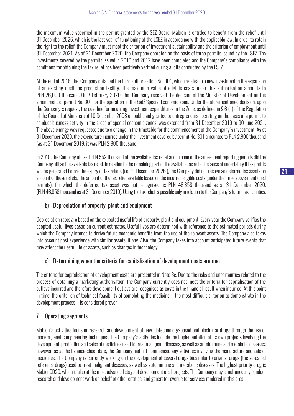the maximum value specified in the permit granted by the SEZ Board. Mabion is entitled to benefit from the relief until 31 December 2026, which is the last year of functioning of the LSEZ in accordance with the applicable law. In order to retain the right to the relief, the Company must meet the criterion of investment sustainability and the criterion of employment until 31 December 2021. As of 31 December 2020, the Company operated on the basis of three permits issued by the LSEZ. The investments covered by the permits issued in 2010 and 2012 have been completed and the Company's compliance with the conditions for obtaining the tax relief has been positively verified during audits conducted by the LSEZ.

At the end of 2016, the Company obtained the third authorisation, No. 301, which relates to a new investment in the expansion of an existing medicine production facility. The maximum value of eligible costs under this authorisation amounts to PLN 26,000 thousand. On 7 February 2020, the Company received the decision of the Minister of Development on the amendment of permit No. 301 for the operation in the Łódź Special Economic Zone. Under the aforementioned decision, upon the Company's request, the deadline for incurring investment expenditures in the Zone, as defined in § 6 (1) of the Regulation of the Council of Ministers of 10 December 2008 on public aid granted to entrepreneurs operating on the basis of a permit to conduct business activity in the areas of special economic zones, was extended from 31 December 2019 to 30 June 2021. The above change was requested due to a change in the timetable for the commencement of the Company's investment. As at 31 December 2020, the expenditure incurred under the investment covered by permit No. 301 amounted to PLN 2,800 thousand (as at 31 December 2019, it was PLN 2,800 thousand)

In 2010, the Company utilised PLN 552 thousand of the available tax relief and in none of the subsequent reporting periods did the Company utilise the available tax relief. In relation to the remaining part of the available tax relief, because of uncertainty if tax profits will be generated before the expiry of tax reliefs (i.e. 31 December 2026 ), the Company did not recognise deferred tax assets on account of these reliefs. The amount of the tax relief available based on the incurred eligible costs (under the three above-mentioned permits), for which the deferred tax asset was not recognised, is PLN 46,858 thousand as at 31 December 2020. (PLN 46,858 thousand as at 31 December 2019). Using the tax relief is possible only in relation to the Company's future tax liabilities.

# b) Depreciation of property, plant and equipment

Depreciation rates are based on the expected useful life of property, plant and equipment. Every year the Company verifies the adopted useful lives based on current estimates. Useful lives are determined with reference to the estimated periods during which the Company intends to derive future economic benefits from the use of the relevant assets. The Company also takes into account past experience with similar assets, if any. Also, the Company takes into account anticipated future events that may affect the useful life of assets, such as changes in technology.

# c) Determining when the criteria for capitalisation of development costs are met

The criteria for capitalisation of development costs are presented in Note 3e. Due to the risks and uncertainties related to the process of obtaining a marketing authorisation, the Company currently does not meet the criteria for capitalisation of the outlays incurred and therefore development outlays are recognised as costs in the financial result when incurred. At this point in time, the criterion of technical feasibility of completing the medicine – the most difficult criterion to demonstrate in the development process – is considered proven.

# 7. Operating segments

Mabion's activities focus on research and development of new biotechnology-based and biosimilar drugs through the use of modern genetic engineering techniques. The Company's activities include the implementation of its own projects involving the development, production and sales of medicines used to treat malignant diseases, as well as autoimmune and metabolic diseases; however, as at the balance-sheet date, the Company had not commenced any activities involving the manufacture and sale of medicines. The Company is currently working on the development of several drugs biosimilar to original drugs (the so-called reference drugs) used to treat malignant diseases, as well as autoimmune and metabolic diseases. The highest priority drug is MabionCD20, which is also at the most advanced stage of development of all projects. The Company may simultaneously conduct research and development work on behalf of other entities, and generate revenue for services rendered in this area.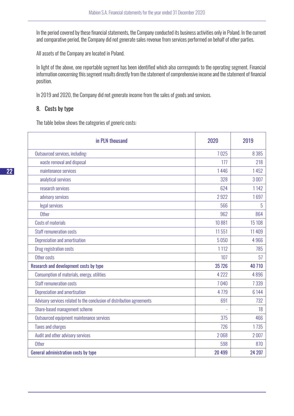In the period covered by these financial statements, the Company conducted its business activities only in Poland. In the current and comparative period, the Company did not generate sales revenue from services performed on behalf of other parties.

All assets of the Company are located in Poland.

In light of the above, one reportable segment has been identified which also corresponds to the operating segment. Financial information concerning this segment results directly from the statement of comprehensive income and the statement of financial position.

In 2019 and 2020, the Company did not generate income from the sales of goods and services.

# 8. Costs by type

The table below shows the categories of generic costs:

| in PLN thousand                                                        | 2020    | 2019     |
|------------------------------------------------------------------------|---------|----------|
| Outsourced services, including:                                        | 7025    | 8 3 8 5  |
| waste removal and disposal                                             | 177     | 218      |
| maintenance services                                                   | 1446    | 1452     |
| analytical services                                                    | 328     | 3007     |
| research services                                                      | 624     | 1142     |
| advisory services                                                      | 2922    | 1697     |
| legal services                                                         | 566     | 5        |
| <b>Other</b>                                                           | 962     | 864      |
| <b>Costs of materials</b>                                              | 10881   | 15 108   |
| <b>Staff remuneration costs</b>                                        | 11 551  | 11 4 0 9 |
| Depreciation and amortisation                                          | 5050    | 4966     |
| <b>Drug registration costs</b>                                         | 1 1 1 2 | 785      |
| Other costs                                                            | 107     | 57       |
| Research and development costs by type                                 | 35 7 26 | 40710    |
| Consumption of materials, energy, utilities                            | 4 2 2 2 | 4896     |
| <b>Staff remuneration costs</b>                                        | 7040    | 7339     |
| Depreciation and amortisation                                          | 4779    | 6 1 4 4  |
| Advisory services related to the conclusion of distribution agreements | 691     | 732      |
| Share-based management scheme                                          |         | 18       |
| Outsourced equipment maintenance services                              | 375     | 466      |
| <b>Taxes and charges</b>                                               | 726     | 1735     |
| Audit and other advisory services                                      | 2068    | 2007     |
| <b>Other</b>                                                           | 598     | 870      |
| General administration costs by type                                   | 20 499  | 24 207   |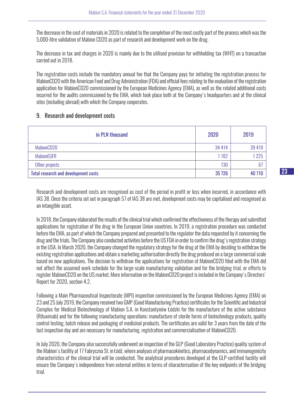The decrease in the cost of materials in 2020 is related to the completion of the most costly part of the process which was the 5,000-litre validation of Mabion CD20 as part of research and development work on the drug.

The decrease in tax and charges in 2020 is mainly due to the utilised provision for withholding tax (WHT) on a transaction carried out in 2018.

The registration costs include the mandatory annual fee that the Company pays for initiating the registration process for MabionCD20 with the American Food and Drug Administration (FDA) and official fees relating to the evaluation of the registration application for MabionCD20 commissioned by the European Medicines Agency (EMA), as well as the related additional costs incurred for the audits commissioned by the EMA, which took place both at the Company's headquarters and at the clinical sites (including abroad) with which the Company cooperates.

# 9. Research and development costs

| in PLN thousand                             | 2020    | 2019   |
|---------------------------------------------|---------|--------|
| MabionCD20                                  | 34 4 14 | 39 418 |
| <b>MabionEGFR</b>                           | 1182    | 1225   |
| Other projects                              | 130     | 67     |
| <b>Total research and development costs</b> | 35 7 26 | 40 710 |

Research and development costs are recognised as cost of the period in profit or loss when incurred, in accordance with IAS 38. Once the criteria set out in paragraph 57 of IAS 38 are met, development costs may be capitalised and recognised as an intangible asset.

In 2018, the Company elaborated the results of the clinical trial which confirmed the effectiveness of the therapy and submitted applications for registration of the drug in the European Union countries. In 2019, a registration procedure was conducted before the EMA, as part of which the Company prepared and presented to the regulator the data requested by it concerning the drug and the trials. The Company also conducted activities before the US FDA in order to confirm the drug's registration strategy in the USA. In March 2020, the Company changed the regulatory strategy for the drug at the EMA by deciding to withdraw the existing registration applications and obtain a marketing authorisation directly the drug produced on a large commercial scale based on new applications. The decision to withdraw the applications for registration of MabionCD20 filed with the EMA did not affect the assumed work schedule for the large-scale manufacturing validation and for the bridging trial, or efforts to register MabionCD20 on the US market. More information on the MabionCD20 project is included in the Company's Directors' Report for 2020, section 4.2.

Following a Main Pharmaceutical Inspectorate (MPI) inspection commissioned by the European Medicines Agency (EMA) on 23 and 25 July 2019, the Company received two GMP (Good Manufacturing Practice) certificates for the Scientific and Industrial Complex for Medical Biotechnology of Mabion S.A. in Konstantynów Łódzki for the manufacture of the active substance (Rituximab) and for the following manufacturing operations: manufacture of sterile forms of biotechnology products, quality control testing, batch release and packaging of medicinal products. The certificates are valid for 3 years from the date of the last inspection day and are necessary for manufacturing, registration and commercialisation of MabionCD20.

In July 2020, the Company also successfully underwent an inspection of the GLP (Good Laboratory Practice) quality system of the Mabion's facility at 17 Fabryczna St. in Łódź, where analyses of pharmacokinetics, pharmacodynamics, and immunogenicity characteristics of the clinical trial will be conducted. The analytical procedures developed at the GLP-certified facility will ensure the Company's independence from external entities in terms of characterisation of the key endpoints of the bridging trial.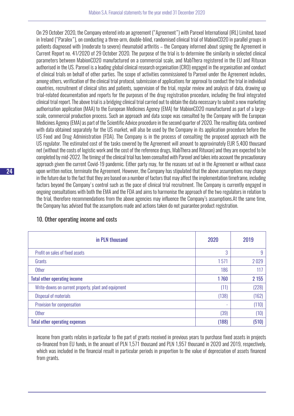On 29 October 2020, the Company entered into an agreement ("Agreement") with Parexel International (IRL) Limited, based in Ireland ("Paralex"), on conducting a three-arm, double-blind, randomised clinical trial of MabionCD20 in parallel groups in patients diagnosed with (moderate to severe) rheumatoid arthritis – the Company informed about signing the Agreement in Current Report no. 41/2020 of 29 October 2020. The purpose of the trial is to determine the similarity in selected clinical parameters between MabionCD20 manufactured on a commercial scale, and MabThera registered in the EU and Rituxan authorised in the US. Parexel is a leading global clinical research organisation (CRO) engaged in the organisation and conduct of clinical trials on behalf of other parties. The scope of activities commissioned to Parexel under the Agreement includes, among others, verification of the clinical trial protocol, submission of applications for approval to conduct the trial in individual countries, recruitment of clinical sites and patients, supervision of the trial, regular review and analysis of data, drawing up trial-related documentation and reports for the purposes of the drug registration procedure, including the final integrated clinical trial report. The above trial is a bridging clinical trial carried out to obtain the data necessary to submit a new marketing authorisation application (MAA) to the European Medicines Agency (EMA) for MabionCD20 manufactured as part of a largescale, commercial production process. Such an approach and data scope was consulted by the Company with the European Medicines Agency (EMA) as part of the Scientific Advice procedure in the second quarter of 2020. The resulting data, combined with data obtained separately for the US market, will also be used by the Company in its application procedure before the US Food and Drug Administration (FDA). The Company is in the process of consulting the proposed approach with the US regulator. The estimated cost of the tasks covered by the Agreement will amount to approximately EUR 5,400 thousand net (without the costs of logistic work and the cost of the reference drugs, MabThera and Rituxan) and they are expected to be completed by mid-2022. The timing of the clinical trial has been consulted with Parexel and takes into account the precautionary approach given the current Covid-19 pandemic. Either party may, for the reasons set out in the Agreement or without cause upon written notice, terminate the Agreement. However, the Company has stipulated that the above assumptions may change in the future due to the fact that they are based on a number of factors that may affect the implementation timeframe, including factors beyond the Company's control such as the pace of clinical trial recruitment. The Company is currently engaged in ongoing consultations with both the EMA and the FDA and aims to harmonise the approach of the two regulators in relation to the trial, therefore recommendations from the above agencies may influence the Company's assumptions.At the same time, the Company has advised that the assumptions made and actions taken do not guarantee product registration.

| in PLN thousand                                      | 2020  | 2019    |
|------------------------------------------------------|-------|---------|
| Profit on sales of fixed assets                      | 3     | 9       |
| Grants                                               | 1571  | 2029    |
| <b>Other</b>                                         | 186   | 117     |
| <b>Total other operating income</b>                  | 1760  | 2 1 5 5 |
| Write-downs on current property, plant and equipment | (11)  | (228)   |
| <b>Disposal of materials</b>                         | (138) | (162)   |
| Provision for compensation                           | ٠     | (110)   |
| <b>Other</b>                                         | (39)  | (10)    |
| <b>Total other operating expenses</b>                | (188) | (510)   |

# 10. Other operating income and costs

Income from grants relates in particular to the part of grants received in previous years to purchase fixed assets in projects co-financed from EU funds, in the amount of PLN 1,571 thousand and PLN 1,957 thousand in 2020 and 2019, respectively, which was included in the financial result in particular periods in proportion to the value of depreciation of assets financed from grants.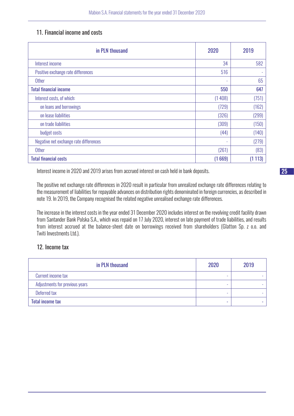# 11. Financial income and costs

| in PLN thousand                        | 2020                     | 2019   |
|----------------------------------------|--------------------------|--------|
| Interest income                        | 34                       | 582    |
| Positive exchange rate differences     | 516                      |        |
| <b>Other</b>                           | $\overline{\phantom{a}}$ | 65     |
| <b>Total financial income</b>          | 550                      | 647    |
| Interest costs, of which:              | (1408)                   | (751)  |
| on loans and borrowings                | (729)                    | (162)  |
| on lease liabilities                   | (326)                    | (299)  |
| on trade liabilities                   | (309)                    | (150)  |
| budget costs                           | (44)                     | (140)  |
| Negative net exchange rate differences | ٠                        | (279)  |
| <b>Other</b>                           | (261)                    | (83)   |
| <b>Total financial costs</b>           | (1669)                   | (1113) |

Interest income in 2020 and 2019 arises from accrued interest on cash held in bank deposits.

The positive net exchange rate differences in 2020 result in particular from unrealized exchange rate differences relating to the measurement of liabilities for repayable advances on distribution rights denominated in foreign currencies, as described in note 19. In 2019, the Company recognised the related negative unrealised exchange rate differences.

The increase in the interest costs in the year ended 31 December 2020 includes interest on the revolving credit facility drawn from Santander Bank Polska S.A., which was repaid on 17 July 2020, interest on late payment of trade liabilities, and results from interest accrued at the balance-sheet date on borrowings received from shareholders (Glatton Sp. z o.o. and Twiti Investments Ltd.).

# 12. Income tax

| in PLN thousand                | 2020 | 2019 |
|--------------------------------|------|------|
| Current income tax             |      |      |
| Adjustments for previous years |      |      |
| Deferred tax                   | -    |      |
| <b>Total income tax</b>        | -    |      |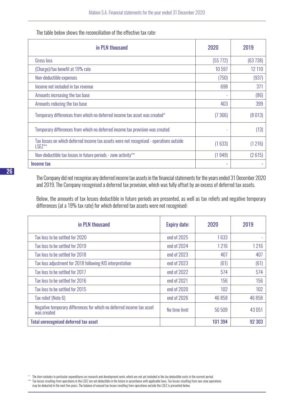The table below shows the reconciliation of the effective tax rate:

| in PLN thousand                                                                                     | 2020     | 2019    |
|-----------------------------------------------------------------------------------------------------|----------|---------|
| Gross loss                                                                                          | (55 772) | (63738) |
| (Charge)/tax benefit at 19% rate                                                                    | 10597    | 12 110  |
| Non-deductible expenses                                                                             | (750)    | (937)   |
| Income not included in tax revenue                                                                  | 698      | 371     |
| Amounts increasing the tax base                                                                     |          | (86)    |
| Amounts reducing the tax base                                                                       | 403      | 399     |
| Temporary differences from which no deferred income tax asset was created*                          | (7366)   | (8013)  |
| Temporary differences from which no deferred income tax provision was created                       |          | (13)    |
| Tax losses on which deferred income tax assets were not recognised - operations outside<br>$LSEZ**$ | (1633)   | (1216)  |
| Non-deductible tax losses in future periods - zone activity**                                       | (1949)   | (2615)  |
| Income tax                                                                                          | ۰        |         |

The Company did not recognise any deferred income tax assets in the financial statements for the years ended 31 December 2020 and 2019. The Company recognised a deferred tax provision, which was fully offset by an excess of deferred tax assets.

Below, the amounts of tax losses deductible in future periods are presented, as well as tax reliefs and negative temporary differences (at a 19% tax rate) for which deferred tax assets were not recognised:

| in PLN thousand                                                                      | <b>Expiry date:</b> | 2020    | 2019    |
|--------------------------------------------------------------------------------------|---------------------|---------|---------|
| Tax loss to be settled for 2020                                                      | end of 2025         | 1633    |         |
| Tax loss to be settled for 2019                                                      | end of 2024         | 1216    | 1216    |
| Tax loss to be settled for 2018                                                      | end of 2023         | 407     | 407     |
| Tax loss adjustment for 2018 following KIS interpretation                            | end of 2023         | (61)    | (61)    |
| Tax loss to be settled for 2017                                                      | end of 2022         | 574     | 574     |
| Tax loss to be settled for 2016                                                      | end of 2021         | 156     | 156     |
| Tax loss to be settled for 2015                                                      | end of 2020         | 102     | 102     |
| Tax relief (Note 6)                                                                  | end of 2026         | 46 8 58 | 46 8 58 |
| Negative temporary differences for which no deferred income tax asset<br>was created | No time limit       | 50 509  | 43051   |
| <b>Total unrecognised deferred tax asset</b>                                         |                     | 101 394 | 92 303  |

\* The item includes in particular expenditures on research and development work, which are not yet included in the tax deductible costs in the current period. \*\* Tax losses resulting from operations in the LSEZ are not deductible in the future in accordance with applicable laws. Tax losses resulting from non-zone operations may be deducted in the next five years. The balance of unused tax losses resulting from operations outside the LSEZ is presented below.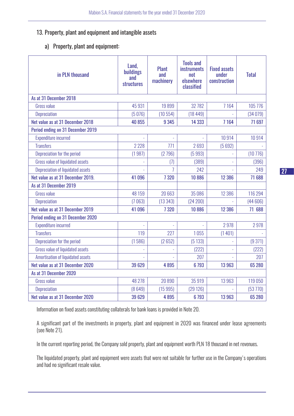# 13. Property, plant and equipment and intangible assets

a) Property, plant and equipment:

| in PLN thousand                   | Land,<br>buildings<br>and<br><b>structures</b> | <b>Plant</b><br>and<br>machinery | <b>Tools and</b><br><b>instruments</b><br>not<br>elsewhere<br>classified | <b>Fixed assets</b><br>under<br>construction | <b>Total</b> |  |  |  |  |
|-----------------------------------|------------------------------------------------|----------------------------------|--------------------------------------------------------------------------|----------------------------------------------|--------------|--|--|--|--|
| As at 31 December 2018            |                                                |                                  |                                                                          |                                              |              |  |  |  |  |
| <b>Gross value</b>                | 45 931                                         | 19899                            | 32 782                                                                   | 7164                                         | 105 776      |  |  |  |  |
| Depreciation                      | (5076)                                         | (10554)                          | (18449)                                                                  |                                              | (34079)      |  |  |  |  |
| Net value as at 31 December 2018  | 40 855                                         | 9 3 4 5                          | 14 3 33                                                                  | 7164                                         | 71 697       |  |  |  |  |
| Period ending on 31 December 2019 |                                                |                                  |                                                                          |                                              |              |  |  |  |  |
| <b>Expenditure incurred</b>       |                                                |                                  |                                                                          | 10914                                        | 10914        |  |  |  |  |
| <b>Transfers</b>                  | 2 2 2 8                                        | 771                              | 2693                                                                     | (5692)                                       |              |  |  |  |  |
| Depreciation for the period       | (1987)                                         | (2796)                           | (5993)                                                                   |                                              | (10776)      |  |  |  |  |
| Gross value of liquidated assets  | ÷,                                             | (7)                              | (389)                                                                    | ÷,                                           | (396)        |  |  |  |  |
| Depreciation of liquidated assets |                                                | $\overline{1}$                   | 242                                                                      |                                              | 249          |  |  |  |  |
| Net value as at 31 December 2019. | 41096                                          | 7320                             | 10886                                                                    | 12 386                                       | 71 688       |  |  |  |  |
| As at 31 December 2019            |                                                |                                  |                                                                          |                                              |              |  |  |  |  |
| <b>Gross value</b>                | 48 159                                         | 20663                            | 35 086                                                                   | 12 386                                       | 116 294      |  |  |  |  |
| <b>Depreciation</b>               | (7063)                                         | (13343)                          | (24 200)                                                                 |                                              | (44606)      |  |  |  |  |
| Net value as at 31 December 2019  | 41 096                                         | 7320                             | 10886                                                                    | 12 386                                       | 71 688       |  |  |  |  |
| Period ending on 31 December 2020 |                                                |                                  |                                                                          |                                              |              |  |  |  |  |
| <b>Expenditure incurred</b>       |                                                |                                  |                                                                          | 2978                                         | 2978         |  |  |  |  |
| <b>Transfers</b>                  | 119                                            | 227                              | 1055                                                                     | (1401)                                       |              |  |  |  |  |
| Depreciation for the period       | (1586)                                         | (2652)                           | (5133)                                                                   |                                              | (9371)       |  |  |  |  |
| Gross value of liquidated assets  |                                                |                                  | (222)                                                                    |                                              | (222)        |  |  |  |  |
| Amortisation of liquidated assets |                                                |                                  | 207                                                                      |                                              | 207          |  |  |  |  |
| Net value as at 31 December 2020  | 39 629                                         | 4895                             | 6 7 9 3                                                                  | 13 963                                       | 65 280       |  |  |  |  |
| As at 31 December 2020            |                                                |                                  |                                                                          |                                              |              |  |  |  |  |
| <b>Gross value</b>                | 48 278                                         | 20 8 90                          | 35 919                                                                   | 13963                                        | 119 050      |  |  |  |  |
| Depreciation                      | (8649)                                         | (15995)                          | (29126)                                                                  |                                              | (53770)      |  |  |  |  |
| Net value as at 31 December 2020  | 39 629                                         | 4895                             | 6793                                                                     | 13 963                                       | 65 280       |  |  |  |  |

Information on fixed assets constituting collaterals for bank loans is provided in Note 20.

A significant part of the investments in property, plant and equipment in 2020 was financed under lease agreements (see Note 21).

In the current reporting period, the Company sold property, plant and equipment worth PLN 18 thousand in net revenues.

The liquidated property, plant and equipment were assets that were not suitable for further use in the Company's operations and had no significant resale value.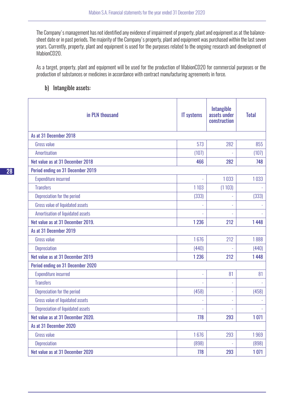The Company's management has not identified any evidence of impairment of property, plant and equipment as at the balancesheet date or in past periods. The majority of the Company's property, plant and equipment was purchased within the last seven years. Currently, property, plant and equipment is used for the purposes related to the ongoing research and development of MabionCD20.

As a target, property, plant and equipment will be used for the production of MabionCD20 for commercial purposes or the production of substances or medicines in accordance with contract manufacturing agreements in force.

#### b) Intangible assets:

| in PLN thousand                   | <b>IT</b> systems | <b>Intangible</b><br>assets under<br>construction | <b>Total</b> |
|-----------------------------------|-------------------|---------------------------------------------------|--------------|
| As at 31 December 2018            |                   |                                                   |              |
| <b>Gross value</b>                | 573               | 282                                               | 855          |
| Amortisation                      | (107)             |                                                   | (107)        |
| Net value as at 31 December 2018  | 466               | 282                                               | 748          |
| Period ending on 31 December 2019 |                   |                                                   |              |
| <b>Expenditure incurred</b>       |                   | 1033                                              | 1033         |
| <b>Transfers</b>                  | 1 1 0 3           | (1103)                                            |              |
| Depreciation for the period       | (333)             | L,                                                | (333)        |
| Gross value of liquidated assets  |                   |                                                   |              |
| Amortisation of liquidated assets |                   |                                                   |              |
| Net value as at 31 December 2019. | 1 2 3 6           | 212                                               | 1448         |
| As at 31 December 2019            |                   |                                                   |              |
| <b>Gross value</b>                | 1676              | 212                                               | 1888         |
| Depreciation                      | (440)             |                                                   | (440)        |
| Net value as at 31 December 2019  | 1 2 3 6           | 212                                               | 1448         |
| Period ending on 31 December 2020 |                   |                                                   |              |
| <b>Expenditure incurred</b>       |                   | 81                                                | 81           |
| <b>Transfers</b>                  |                   | L,                                                |              |
| Depreciation for the period       | (458)             | ÷,                                                | (458)        |
| Gross value of liquidated assets  |                   | L,                                                |              |
| Depreciation of liquidated assets |                   |                                                   |              |
| Net value as at 31 December 2020. | 778               | 293                                               | 1071         |
| As at 31 December 2020            |                   |                                                   |              |
| <b>Gross value</b>                | 1676              | 293                                               | 1969         |
| Depreciation                      | (898)             |                                                   | (898)        |
| Net value as at 31 December 2020  | 778               | 293                                               | 1071         |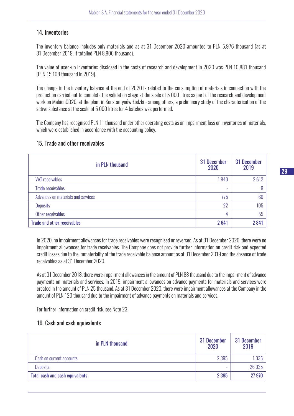#### 14. Inventories

The inventory balance includes only materials and as at 31 December 2020 amounted to PLN 5,976 thousand (as at 31 December 2019, it totalled PLN 8,806 thousand).

The value of used-up inventories disclosed in the costs of research and development in 2020 was PLN 10,881 thousand (PLN 15,108 thousand in 2019).

The change in the inventory balance at the end of 2020 is related to the consumption of materials in connection with the production carried out to complete the validation stage at the scale of 5 000 litres as part of the research and development work on MabionCD20, at the plant in Konstantynów Łódzki - among others, a preliminary study of the characterisation of the active substance at the scale of 5 000 litres for 4 batches was performed.

The Company has recognised PLN 11 thousand under other operating costs as an impairment loss on inventories of materials, which were established in accordance with the accounting policy.

#### 15. Trade and other receivables

| in PLN thousand                    | 31 December<br>2020 | 31 December<br>2019 |
|------------------------------------|---------------------|---------------------|
| <b>VAT receivables</b>             | 1840                | 2612                |
| <b>Trade receivables</b>           | ۰                   | 9                   |
| Advances on materials and services | 775                 | 60                  |
| <b>Deposits</b>                    | 22                  | 105                 |
| Other receivables                  | 4                   | 55                  |
| <b>Trade and other receivables</b> | 2641                | 2841                |

In 2020, no impairment allowances for trade receivables were recognised or reversed. As at 31 December 2020, there were no impairment allowances for trade receivables. The Company does not provide further information on credit risk and expected credit losses due to the immateriality of the trade receivable balance amount as at 31 December 2019 and the absence of trade receivables as at 31 December 2020.

As at 31 December 2018, there were impairment allowances in the amount of PLN 88 thousand due to the impairment of advance payments on materials and services. In 2019, impairment allowances on advance payments for materials and services were created in the amount of PLN 25 thousand. As at 31 December 2020, there were impairment allowances at the Company in the amount of PLN 120 thousand due to the impairment of advance payments on materials and services.

For further information on credit risk, see Note 23.

# 16. Cash and cash equivalents

| in PLN thousand                        | 31 December<br>2020 | 31 December<br>2019 |
|----------------------------------------|---------------------|---------------------|
| Cash on current accounts               | 2 3 9 5             | 035                 |
| <b>Deposits</b>                        | -                   | 26 935              |
| <b>Total cash and cash equivalents</b> | 2 3 9 5             | 27 970              |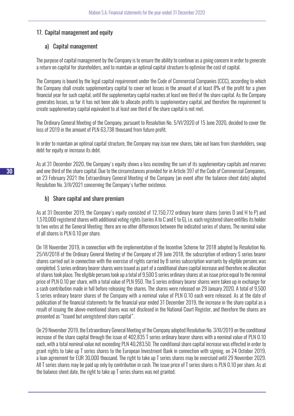#### 17. Capital management and equity

#### a) Capital management

The purpose of capital management by the Company is to ensure the ability to continue as a going concern in order to generate a return on capital for shareholders, and to maintain an optimal capital structure to optimise the cost of capital.

The Company is bound by the legal capital requirement under the Code of Commercial Companies (CCC), according to which the Company shall create supplementary capital to cover net losses in the amount of at least 8% of the profit for a given financial year for such capital, until the supplementary capital reaches at least one third of the share capital. As the Company generates losses, so far it has not been able to allocate profits to supplementary capital, and therefore the requirement to create supplementary capital equivalent to at least one third of the share capital is not met.

The Ordinary General Meeting of the Company, pursuant to Resolution No. 5/VI/2020 of 15 June 2020, decided to cover the loss of 2019 in the amount of PLN 63,738 thousand from future profit.

In order to maintain an optimal capital structure, the Company may issue new shares, take out loans from shareholders, swap debt for equity or increase its debt.

As at 31 December 2020, the Company's equity shows a loss exceeding the sum of its supplementary capitals and reserves and one third of the share capital. Due to the circumstances provided for in Article 397 of the Code of Commercial Companies, on 23 February 2021 the Extraordinary General Meeting of the Company (an event after the balance-sheet date) adopted Resolution No. 3/II/2021 concerning the Company's further existence.

#### b) Share capital and share premium

As at 31 December 2019, the Company's equity consisted of 12,150,772 ordinary bearer shares (series D and H to P) and 1,570,000 registered shares with additional voting rights (series A to C and E to G), i.e. each registered share entitles its holder to two votes at the General Meeting; there are no other differences between the indicated series of shares. The nominal value of all shares is PLN 0.10 per share.

On 18 November 2019, in connection with the implementation of the Incentive Scheme for 2018 adopted by Resolution No. 25/VI/2018 of the Ordinary General Meeting of the Company of 28 June 2018, the subscription of ordinary S series bearer shares carried out in connection with the exercise of rights carried by B series subscription warrants by eligible persons was completed. S series ordinary bearer shares were issued as part of a conditional share capital increase and therefore no allocation of shares took place. The eligible persons took up a total of 9,500 S series ordinary shares at an issue price equal to the nominal price of PLN 0.10 per share, with a total value of PLN 950. The S series ordinary bearer shares were taken up in exchange for a cash contribution made in full before releasing the shares. The shares were released on 29 January 2020. A total of 9,500 S series ordinary bearer shares of the Company with a nominal value of PLN 0.10 each were released. As at the date of publication of the financial statements for the financial year ended 31 December 2019, the increase in the share capital as a result of issuing the above-mentioned shares was not disclosed in the National Court Register, and therefore the shares are presented as "Issued but unregistered share capital".

On 29 November 2019, the Extraordinary General Meeting of the Company adopted Resolution No. 3/XI/2019 on the conditional increase of the share capital through the issue of 402,835 T series ordinary bearer shares with a nominal value of PLN 0.10 each, with a total nominal value not exceeding PLN 40,283.50. The conditional share capital increase was effected in order to grant rights to take up T series shares to the European Investment Bank in connection with signing, on 24 October 2019, a loan agreement for EUR 30,000 thousand. The right to take up T series shares may be exercised until 29 November 2029. All T series shares may be paid up only by contribution in cash. The issue price of T series shares is PLN 0.10 per share. As at the balance sheet date, the right to take up T series shares was not granted.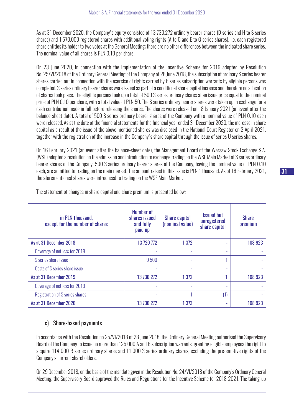As at 31 December 2020, the Company's equity consisted of 13,730,272 ordinary bearer shares (D series and H to S series shares) and 1,570,000 registered shares with additional voting rights (A to C and E to G series shares), i.e. each registered share entitles its holder to two votes at the General Meeting; there are no other differences between the indicated share series. The nominal value of all shares is PLN 0.10 per share.

On 23 June 2020, in connection with the implementation of the Incentive Scheme for 2019 adopted by Resolution No. 25/VI/2018 of the Ordinary General Meeting of the Company of 28 June 2018, the subscription of ordinary S series bearer shares carried out in connection with the exercise of rights carried by B series subscription warrants by eligible persons was completed. S series ordinary bearer shares were issued as part of a conditional share capital increase and therefore no allocation of shares took place. The eligible persons took up a total of 500 S series ordinary shares at an issue price equal to the nominal price of PLN 0.10 per share, with a total value of PLN 50. The S series ordinary bearer shares were taken up in exchange for a cash contribution made in full before releasing the shares. The shares were released on 18 January 2021 (an event after the balance-sheet date). A total of 500 S series ordinary bearer shares of the Company with a nominal value of PLN 0.10 each were released. As at the date of the financial statements for the financial year ended 31 December 2020, the increase in share capital as a result of the issue of the above mentioned shares was disclosed in the National Court Register on 2 April 2021, together with the registration of the increase in the Company's share capital through the issue of series U series shares.

On 16 February 2021 (an event after the balance-sheet date), the Management Board of the Warsaw Stock Exchange S.A. (WSE) adopted a resolution on the admission and introduction to exchange trading on the WSE Main Market of S series ordinary bearer shares of the Company. 500 S series ordinary bearer shares of the Company, having the nominal value of PLN 0.10 each, are admitted to trading on the main market. The amount raised in this issue is PLN 1 thousand. As of 18 February 2021, the aforementioned shares were introduced to trading on the WSE Main Market.

| in PLN thousand,<br>except for the number of shares | Number of<br>shares issued<br>and fully<br>paid up | <b>Share capital</b><br>(nominal value) | <b>Issued but</b><br>unregistered<br>share capital | <b>Share</b><br>premium |
|-----------------------------------------------------|----------------------------------------------------|-----------------------------------------|----------------------------------------------------|-------------------------|
| As at 31 December 2018                              | 13 720 772                                         | 1 3 7 2                                 | ٠                                                  | 108 923                 |
| Coverage of net loss for 2018                       |                                                    |                                         | $\overline{\phantom{a}}$                           |                         |
| S series share issue                                | 9500                                               |                                         |                                                    |                         |
| Costs of S series share issue                       | ٠                                                  |                                         | ٠                                                  |                         |
| As at 31 December 2019                              | 13 730 272                                         | 1 3 7 2                                 |                                                    | 108 923                 |
| Coverage of net loss for 2019                       |                                                    |                                         | ٠                                                  |                         |
| Registration of S series shares                     | ٠                                                  |                                         | (1)                                                |                         |
| As at 31 December 2020                              | 13 730 272                                         | 1 3 7 3                                 | ٠                                                  | 108 923                 |

The statement of changes in share capital and share premium is presented below:

# c) Share-based payments

In accordance with the Resolution no 25/VI/2018 of 28 June 2018, the Ordinary General Meeting authorised the Supervisory Board of the Company to issue no more than 125 000 A and B subscription warrants, granting eligible employees the right to acquire 114 000 R series ordinary shares and 11 000 S series ordinary shares, excluding the pre-emptive rights of the Company's current shareholders.

On 29 December 2018, on the basis of the mandate given in the Resolution No. 24/VI/2018 of the Company's Ordinary General Meeting, the Supervisory Board approved the Rules and Regulations for the Incentive Scheme for 2018-2021. The taking-up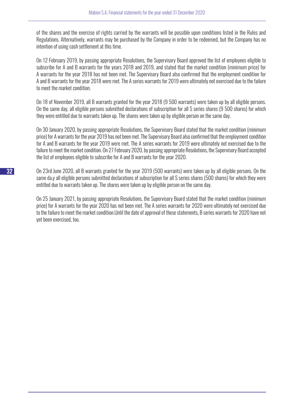of the shares and the exercise of rights carried by the warrants will be possible upon conditions listed in the Rules and Regulations. Alternatively, warrants may be purchased by the Company in order to be redeemed, but the Company has no intention of using cash settlement at this time.

On 12 February 2019, by passing appropriate Resolutions, the Supervisory Board approved the list of employees eligible to subscribe for A and B warrants for the years 2018 and 2019, and stated that the market condition (minimum price) for A warrants for the year 2018 has not been met. The Supervisory Board also confirmed that the employment condition for A and B warrants for the year 2018 were met. The A series warrants for 2019 were ultimately not exercised due to the failure to meet the market condition.

On 18 of November 2019, all B warrants granted for the year 2018 (9 500 warrants) were taken up by all eligible persons. On the same day, all eligible persons submitted declarations of subscription for all S series shares (9 500 shares) for which they were entitled due to warrants taken up. The shares were taken up by eligible person on the same day.

On 30 January 2020, by passing appropriate Resolutions, the Supervisory Board stated that the market condition (minimum price) for A warrants for the year 2019 has not been met. The Supervisory Board also confirmed that the employment condition for A and B warrants for the year 2019 were met. The A series warrants for 2019 were ultimately not exercised due to the failure to meet the market condition. On 27 February 2020, by passing appropriate Resolutions, the Supervisory Board accepted the list of employees eligible to subscribe for A and B warrants for the year 2020.

On 23rd June 2020, all B warrants granted for the year 2019 (500 warrants) were taken up by all eligible persons. On the same da,y all eligible persons submitted declarations of subscription for all S series shares (500 shares) for which they were entitled due to warrants taken up. The shares were taken up by eligible person on the same day.

On 25 January 2021, by passing appropriate Resolutions, the Supervisory Board stated that the market condition (minimum price) for A warrants for the year 2020 has not been met. The A series warrants for 2020 were ultimately not exercised due to the failure to meet the market condition.Until the date of approval of these statements, B series warrants for 2020 have not yet been exercised, too.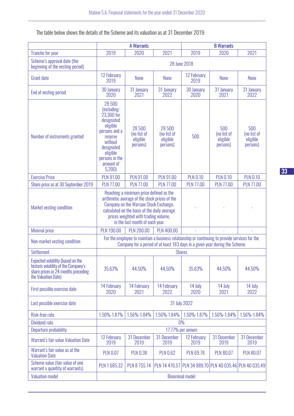The table below shows the details of the Scheme and its valuation as at 31 December 2019:

|                                                                                                                                         | <b>A Warrants</b>                                                                                                                                                      |                                                                                                                                                                                                                                                             |                                               | <b>B</b> Warrants                                                                                                                                                             |                                            |                                                         |
|-----------------------------------------------------------------------------------------------------------------------------------------|------------------------------------------------------------------------------------------------------------------------------------------------------------------------|-------------------------------------------------------------------------------------------------------------------------------------------------------------------------------------------------------------------------------------------------------------|-----------------------------------------------|-------------------------------------------------------------------------------------------------------------------------------------------------------------------------------|--------------------------------------------|---------------------------------------------------------|
| <b>Tranche for year</b>                                                                                                                 | 2019                                                                                                                                                                   | 2020                                                                                                                                                                                                                                                        | 2021                                          | 2019                                                                                                                                                                          | 2020                                       | 2021                                                    |
| Scheme's approval date (the<br>beginning of the vesting period)                                                                         |                                                                                                                                                                        |                                                                                                                                                                                                                                                             |                                               | 28 June 2018                                                                                                                                                                  |                                            |                                                         |
| <b>Grant date</b>                                                                                                                       | 12 February<br>2019                                                                                                                                                    | None                                                                                                                                                                                                                                                        | None                                          | 12 February<br>2019                                                                                                                                                           | <b>None</b>                                | <b>None</b>                                             |
| End of vesting period                                                                                                                   | 30 January<br>2020                                                                                                                                                     | 31 January<br>2021                                                                                                                                                                                                                                          | 31 January<br>2022                            | 30 January<br>2020                                                                                                                                                            | 31 January<br>2021                         | 31 January<br>2022                                      |
| Number of instruments granted                                                                                                           | 28 500<br>(including:<br>23,300 for<br>designated<br>eligible<br>persons and a<br>reserve<br>without<br>designated<br>eligible<br>persons in the<br>amount of<br>5,200 | 28 500<br>(no list of<br>eligible<br>persons)                                                                                                                                                                                                               | 28 500<br>(no list of<br>eligible<br>persons) | 500                                                                                                                                                                           | 500<br>(no list of<br>eligible<br>persons) | 500<br>(no list of<br>eligible<br>persons)              |
| <b>Exercise Price</b>                                                                                                                   | <b>PLN 91.00</b>                                                                                                                                                       | <b>PLN 91.00</b>                                                                                                                                                                                                                                            | <b>PLN 91.00</b>                              | <b>PLN 0.10</b>                                                                                                                                                               | <b>PLN 0.10</b>                            | <b>PLN 0.10</b>                                         |
| Share price as at 30 September 2019                                                                                                     | <b>PLN 77.00</b>                                                                                                                                                       | <b>PLN 77.00</b>                                                                                                                                                                                                                                            | <b>PLN 77.00</b>                              | <b>PLN 77.00</b>                                                                                                                                                              | <b>PLN 77.00</b>                           | <b>PLN 77.00</b>                                        |
| Market vesting condition                                                                                                                |                                                                                                                                                                        | Reaching a minimum price defined as the<br>arithmetic average of the stock prices of the<br>Company on the Warsaw Stock Exchange,<br>calculated on the basis of the daily average<br>prices weighted with trading volume,<br>in the last month of each year |                                               |                                                                                                                                                                               |                                            |                                                         |
| <b>Minimal price</b>                                                                                                                    | <b>PLN 190.00</b>                                                                                                                                                      | <b>PLN 280.00</b>                                                                                                                                                                                                                                           | <b>PLN 400.00</b>                             |                                                                                                                                                                               |                                            |                                                         |
| Non-market vesting condition                                                                                                            |                                                                                                                                                                        |                                                                                                                                                                                                                                                             |                                               | For the employee to maintain a business relationship or continuing to provide services for the<br>Company for a period of at least 183 days in a given year during the Scheme |                                            |                                                         |
| <b>Settlement</b>                                                                                                                       |                                                                                                                                                                        |                                                                                                                                                                                                                                                             |                                               | <b>Shares</b>                                                                                                                                                                 |                                            |                                                         |
| Expected volatility (based on the<br>historic volatility of the Company's<br>share prices in 24 months preceding<br>the Valuation Date) | 35.63%                                                                                                                                                                 | 44.50%                                                                                                                                                                                                                                                      | 44.50%                                        | 35.63%                                                                                                                                                                        | 44.50%                                     | 44.50%                                                  |
| First possible exercise date                                                                                                            | 14 February<br>2020                                                                                                                                                    | 14 February<br>2021                                                                                                                                                                                                                                         | 14 February<br>2022                           | 14 July<br>2020                                                                                                                                                               | 14 July<br>2021                            | 14 July<br>2022                                         |
| Last possible exercise date                                                                                                             | 31 July 2022                                                                                                                                                           |                                                                                                                                                                                                                                                             |                                               |                                                                                                                                                                               |                                            |                                                         |
| Risk-free rate                                                                                                                          | 1.50%-1.87%                                                                                                                                                            | 1.56%-1.84%                                                                                                                                                                                                                                                 | 1.56%-1.84%                                   | 1.50%-1.87%                                                                                                                                                                   | 1.56%-1.84%                                | 1.56%-1.84%                                             |
| Dividend rate                                                                                                                           |                                                                                                                                                                        |                                                                                                                                                                                                                                                             |                                               | 0%                                                                                                                                                                            |                                            |                                                         |
| Departure probability                                                                                                                   | 17.77% per annum                                                                                                                                                       |                                                                                                                                                                                                                                                             |                                               |                                                                                                                                                                               |                                            |                                                         |
| Warrant's fair value Valuation Date                                                                                                     | 12 February<br>2019                                                                                                                                                    | 31 December<br>2019                                                                                                                                                                                                                                         | 31 December<br>2019                           | 12 February<br>2019                                                                                                                                                           | 31 December<br>2019                        | 31 December<br>2019                                     |
| Warrant's fair value as at the<br><b>Valuation Date</b>                                                                                 | <b>PLN 0.07</b>                                                                                                                                                        | <b>PLN 0.38</b>                                                                                                                                                                                                                                             | <b>PLN 0.62</b>                               | <b>PLN 69.78</b>                                                                                                                                                              | <b>PLN 80.07</b>                           | <b>PLN 80.07</b>                                        |
| Scheme value (fair value of one<br>warrant x quantity of warrants)                                                                      | PLN 1 685.32                                                                                                                                                           | PLN 8 755.14                                                                                                                                                                                                                                                |                                               |                                                                                                                                                                               |                                            | PLN 14 476.57 PLN 34 889.70 PLN 40 035.46 PLN 40 035.49 |
| <b>Valuation model</b>                                                                                                                  |                                                                                                                                                                        |                                                                                                                                                                                                                                                             |                                               | <b>Binominal model</b>                                                                                                                                                        |                                            |                                                         |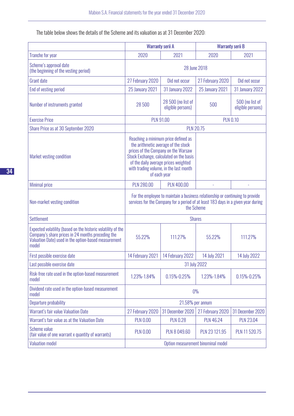The table below shows the details of the Scheme and its valuation as at 31 December 2020:

|                                                                                                                                                                                    |                                                                                                                                                                                  | <b>Warranty serii A</b>                                                                                                                                                                                                                                        | <b>Warranty serii B</b> |                                      |  |  |
|------------------------------------------------------------------------------------------------------------------------------------------------------------------------------------|----------------------------------------------------------------------------------------------------------------------------------------------------------------------------------|----------------------------------------------------------------------------------------------------------------------------------------------------------------------------------------------------------------------------------------------------------------|-------------------------|--------------------------------------|--|--|
| <b>Tranche for year</b>                                                                                                                                                            | 2020                                                                                                                                                                             | 2021                                                                                                                                                                                                                                                           | 2020                    | 2021                                 |  |  |
| Scheme's approval date<br>(the beginning of the vesting period)                                                                                                                    |                                                                                                                                                                                  |                                                                                                                                                                                                                                                                | 28 June 2018            |                                      |  |  |
| <b>Grant date</b>                                                                                                                                                                  | 27 February 2020                                                                                                                                                                 | Did not occur                                                                                                                                                                                                                                                  | 27 February 2020        | Did not occur                        |  |  |
| End of vesting period                                                                                                                                                              | <b>25 January 2021</b>                                                                                                                                                           | <b>31 January 2022</b>                                                                                                                                                                                                                                         | <b>25 January 2021</b>  | <b>31 January 2022</b>               |  |  |
| Number of instruments granted                                                                                                                                                      | 28 500                                                                                                                                                                           | 28 500 (no list of<br>eligible persons)                                                                                                                                                                                                                        | 500                     | 500 (no list of<br>eligible persons) |  |  |
| <b>Exercise Price</b>                                                                                                                                                              |                                                                                                                                                                                  | <b>PLN 91.00</b>                                                                                                                                                                                                                                               |                         | <b>PLN 0.10</b>                      |  |  |
| Share Price as at 30 September 2020                                                                                                                                                |                                                                                                                                                                                  |                                                                                                                                                                                                                                                                | <b>PLN 20.75</b>        |                                      |  |  |
| Market vesting condition                                                                                                                                                           |                                                                                                                                                                                  | Reaching a minimum price defined as<br>the arithmetic average of the stock<br>prices of the Company on the Warsaw<br>Stock Exchange, calculated on the basis<br>of the daily average prices weighted<br>with trading volume, in the last month<br>of each year |                         |                                      |  |  |
| <b>Minimal price</b>                                                                                                                                                               | <b>PLN 280.00</b><br><b>PLN 400.00</b>                                                                                                                                           |                                                                                                                                                                                                                                                                |                         |                                      |  |  |
| Non-market vesting condition                                                                                                                                                       | For the employee to maintain a business relationship or continuing to provide<br>services for the Company for a period of at least 183 days in a given year during<br>the Scheme |                                                                                                                                                                                                                                                                |                         |                                      |  |  |
| <b>Settlement</b>                                                                                                                                                                  |                                                                                                                                                                                  |                                                                                                                                                                                                                                                                | <b>Shares</b>           |                                      |  |  |
| Expected volatility (based on the historic volatility of the<br>Company's share prices in 24 months preceding the<br>Valuation Date) used in the option-based measurement<br>model | 55.22%<br>111.27%                                                                                                                                                                |                                                                                                                                                                                                                                                                | 55.22%                  | 111.27%                              |  |  |
| First possible exercise date                                                                                                                                                       | 14 February 2021                                                                                                                                                                 | 14 February 2022                                                                                                                                                                                                                                               | 14 July 2021            | 14 July 2022                         |  |  |
| Last possible exercise date                                                                                                                                                        | 31 July 2022                                                                                                                                                                     |                                                                                                                                                                                                                                                                |                         |                                      |  |  |
| Risk-free rate used in the option-based measurement<br>model                                                                                                                       | 1.23%-1.84%                                                                                                                                                                      | 0.15%-0.25%                                                                                                                                                                                                                                                    | 1.23%-1.84%             | 0.15%-0.25%                          |  |  |
| Dividend rate used in the option-based measurement<br>model                                                                                                                        | 0%                                                                                                                                                                               |                                                                                                                                                                                                                                                                |                         |                                      |  |  |
| Departure probability                                                                                                                                                              | 21.58% per annum                                                                                                                                                                 |                                                                                                                                                                                                                                                                |                         |                                      |  |  |
| Warrant's fair value Valuation Date                                                                                                                                                | 27 February 2020                                                                                                                                                                 | 31 December 2020                                                                                                                                                                                                                                               | 27 February 2020        | 31 December 2020                     |  |  |
| Warrant's fair value as at the Valuation Date                                                                                                                                      | <b>PLN 0.00</b>                                                                                                                                                                  | <b>PLN 0.28</b>                                                                                                                                                                                                                                                | <b>PLN 46.24</b>        | <b>PLN 23.04</b>                     |  |  |
| Scheme value<br>(fair value of one warrant x quantity of warrants)                                                                                                                 | <b>PLN 0.00</b>                                                                                                                                                                  | PLN 8 049.60                                                                                                                                                                                                                                                   | PLN 23 121.95           | PLN 11 520.75                        |  |  |
| <b>Valuation model</b>                                                                                                                                                             | Option measurement binominal model                                                                                                                                               |                                                                                                                                                                                                                                                                |                         |                                      |  |  |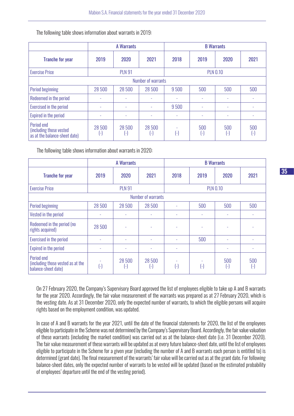The following table shows information about warrants in 2019:

|                                                                        | <b>A Warrants</b>        |             |                             | <b>B</b> Warrants                  |                             |                                   |           |
|------------------------------------------------------------------------|--------------------------|-------------|-----------------------------|------------------------------------|-----------------------------|-----------------------------------|-----------|
| <b>Tranche for year</b>                                                | 2019                     | 2020        | 2021                        | 2018                               | 2019                        | 2020                              | 2021      |
| <b>Exercise Price</b>                                                  | <b>PLN 91</b>            |             |                             | <b>PLN 0.10</b>                    |                             |                                   |           |
| Number of warrants                                                     |                          |             |                             |                                    |                             |                                   |           |
| <b>Period beginning</b>                                                | 28 500                   | 28 500      | 28 500                      | 9500                               | 500                         | 500                               | 500       |
| Redeemed in the period                                                 | $\overline{\phantom{a}}$ | ٠           | ٠                           | ٠                                  | ۰                           | ٠                                 |           |
| Exercised in the period                                                | ٠                        | ۰           |                             | 9500                               |                             | ۰                                 |           |
| Expired in the period                                                  | ٠                        | ٠           | ٠                           | ٠                                  |                             |                                   |           |
| Period end<br>(including those vested<br>as at the balance-sheet date) | 28 500<br>ŀ.             | 28 500<br>٥ | 28 500<br>$\left( -\right)$ | $\left(\frac{\cdot}{\cdot}\right)$ | 500<br>$\left(\cdot\right)$ | 500<br>$\left( \mathbf{-}\right]$ | 500<br>ŀ. |

The following table shows information about warrants in 2020:

|                                                                        | <b>A Warrants</b>      |                                    |                                      | <b>B</b> Warrants  |                        |                           |                  |
|------------------------------------------------------------------------|------------------------|------------------------------------|--------------------------------------|--------------------|------------------------|---------------------------|------------------|
| <b>Tranche for year</b>                                                | 2019                   | 2020                               | 2021                                 | 2018               | 2019                   | 2020                      | 2021             |
| <b>Exercise Price</b>                                                  |                        | <b>PLN 91</b>                      |                                      |                    |                        | <b>PLN 0.10</b>           |                  |
| Number of warrants                                                     |                        |                                    |                                      |                    |                        |                           |                  |
| Period beginning                                                       | 28 500                 | 28 500                             | 28 500                               |                    | 500                    | 500                       | 500              |
| Vested in the period                                                   | ٠                      | ٠                                  | ۰                                    | ٠                  | ٠                      | ٠                         | ۰                |
| Redeemed in the period (no<br>rights acquired)                         | 28 500                 | $\overline{\phantom{a}}$           | ٠                                    | ٠                  | ٠                      | ٠                         |                  |
| Exercised in the period                                                | ۰                      | ٠                                  | ۰                                    |                    | 500                    | ٠                         |                  |
| Expired in the period                                                  |                        | ٠                                  |                                      |                    |                        | ٠                         |                  |
| Period end<br>(including those vested as at the<br>balance-sheet date) | $\left( \cdot \right)$ | 28 500<br>$\left[ \text{-}\right]$ | 28 500<br>$\left( \mathsf{-}\right]$ | $(\textnormal{-})$ | $\left( \cdot \right]$ | 500<br>$(\textnormal{-})$ | 500<br>$(\cdot)$ |

On 27 February 2020, the Company's Supervisory Board approved the list of employees eligible to take up A and B warrants for the year 2020. Accordingly, the fair value measurement of the warrants was prepared as at 27 February 2020, which is the vesting date. As at 31 December 2020, only the expected number of warrants, to which the eligible persons will acquire rights based on the employment condition, was updated.

In case of A and B warrants for the year 2021, until the date of the financial statements for 2020, the list of the employees eligible to participate in the Scheme was not determined by the Company's Supervisory Board. Accordingly, the fair value valuation of these warrants (including the market condition) was carried out as at the balance-sheet date (i.e. 31 December 2020). The fair value measurement of these warrants will be updated as at every future balance-sheet date, until the list of employees eligible to participate in the Scheme for a given year (including the number of A and B warrants each person is entitled to) is determined (grant date). The final measurement of the warrants' fair value will be carried out as at the grant date. For following balance-sheet dates, only the expected number of warrants to be vested will be updated (based on the estimated probability of employees' departure until the end of the vesting period).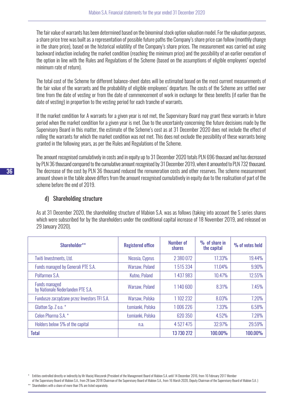The fair value of warrants has been determined based on the binominal stock option valuation model. For the valuation purposes, a share price tree was built as a representation of possible future paths the Company's share price can follow (monthly change in the share price), based on the historical volatility of the Company's share prices. The measurement was carried out using backward induction including the market condition (reaching the minimum price) and the possibility of an earlier execution of the option in line with the Rules and Regulations of the Scheme (based on the assumptions of eligible employees' expected minimum rate of return).

The total cost of the Scheme for different balance-sheet dates will be estimated based on the most current measurements of the fair value of the warrants and the probability of eligible employees' departure. The costs of the Scheme are settled over time from the date of vesting or from the date of commencement of work in exchange for these benefits (if earlier than the date of vesting) in proportion to the vesting period for each tranche of warrants.

If the market condition for A warrants for a given year is not met, the Supervisory Board may grant these warrants in future period when the market condition for a given year is met. Due to the uncertainty concerning the future decisions made by the Supervisory Board in this matter, the estimate of the Scheme's cost as at 31 December 2020 does not include the effect of rolling the warrants for which the market condition was not met. This does not exclude the possibility of these warrants being granted in the following years, as per the Rules and Regulations of the Scheme.

The amount recognised cumulatively in costs and in equity up to 31 December 2020 totals PLN 696 thousand and has decreased by PLN 36 thousand compared to the cumulative amount recognised by 31 December 2019, when it amounted to PLN 732 thousand. The decrease of the cost by PLN 36 thousand reduced the remuneration costs and other reserves. The scheme measurement amount shown in the table above differs from the amount recognised cumulatively in equity due to the realisation of part of the scheme before the end of 2019.

# d) Shareholding structure

As at 31 December 2020, the shareholding structure of Mabion S.A. was as follows (taking into account the S series shares which were subscribed for by the shareholders under the conditional capital increase of 18 November 2019, and released on 29 January 2020).

| Shareholder**                                             | <b>Registered office</b> | <b>Number of</b><br>shares | $\%$ of share in<br>the capital | % of votes held |
|-----------------------------------------------------------|--------------------------|----------------------------|---------------------------------|-----------------|
| Twiti Investments, Ltd.                                   | Nicosia, Cyprus          | 2 380 072                  | 17.33%                          | 19.44%          |
| Funds managed by Generali PTE S.A.                        | Warsaw, Poland           | 1515334                    | 11.04%                          | 9.90%           |
| Polfarmex S.A.                                            | Kutno, Poland            | 1437983                    | 10.47%                          | 12.55%          |
| <b>Funds managed</b><br>by Nationale Nederlanden PTE S.A. | Warsaw, Poland           | 1140600                    | 8.31%                           | 7.45%           |
| Fundusze zarządzane przez Investors TFI S.A.              | Warsaw, Polska           | 1102232                    | 8.03%                           | 7.20%           |
| Glatton Sp. Z o.o. *                                      | Łomianki, Polska         | 1006226                    | 7.33%                           | 6.58%           |
| Celon Pharma S.A. *                                       | Łomianki, Polska         | 620 350                    | 4.52%                           | 7.28%           |
| Holders below 5% of the capital                           | n.a.                     | 4 5 27 4 7 5               | 32.97%                          | 29.59%          |
| <b>Total</b>                                              |                          | 13 730 272                 | 100.00%                         | 100.00%         |

- of the Supervisory Board of Mabion S.A., from 28 June 2018 Chairman of the Supervisory Board of Mabion S.A., from 16 March 2020, Deputy Chairman of the Supervisory Board of Mabion S.A. )
- Shareholders with a share of more than 5% are listed separately.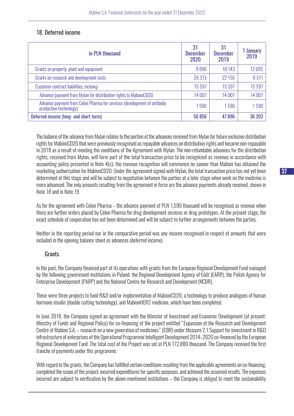# 18. Deferred income

| in PLN thousand                                                                                   | 31<br><b>December</b><br>2020 | 31<br><b>December</b><br>2019 | <b>January</b><br>2019 |
|---------------------------------------------------------------------------------------------------|-------------------------------|-------------------------------|------------------------|
| Grants on property, plant and equipment                                                           | 8886                          | 10 14 3                       | 12095                  |
| Grants on research and development costs                                                          | 26 373                        | 22 156                        | 8511                   |
| Customer contract liabilities, incluing:                                                          | 15 597                        | 15 5 97                       | 15 5 97                |
| Advance payment from Mylan for distribution rights to MabionCD20                                  | 14 007                        | 14 007                        | 14 007                 |
| Advance payment from Celon Pharma for services (development of antibody<br>production technology) | 1590                          | 1590                          | 1590                   |
| Deferred income (long- and short-term)                                                            | 50 856                        | 47896                         | 36 203                 |

The balance of the advance from Mylan relates to the portion of the advances received from Mylan for future exclusive distribution rights for MabionCD20 that were previously recognised as repayable advances on distribution rights and became non-repayable in 2018 as a result of meeting the conditions of the Agreement with Mylan. The non-refundable advances for the distribution rights, received from Mylan, will form part of the total transaction price to be recognised as revenue in accordance with accounting policy presented in Note 4(c); the revenue recognition will commence no sooner than Mabion has obtained the marketing authorisation for MabionCD20. Under the agreement signed with Mylan, the total transaction price has not yet been determined at this stage and will be subject to negotiation between the parties at a later stage when work on the medicine is more advanced. The only amounts resulting from the agreement in force are the advance payments already received, shown in Note 18 and in Note 19.

As for the agreement with Celon Pharma – the advance payment of PLN 1,590 thousand will be recognised as revenue when there are further orders placed by Celon Pharma for drug development services or drug prototypes. At the present stage, the exact schedule of cooperation has not been determined and will be subject to further arrangements between the parties.

Neither in the reporting period nor in the comparative period was any income recognised in respect of amounts that were included in the opening balance sheet as advances (deferred income).

# **Grants**

In the past, the Company financed part of its operations with grants from the European Regional Development Fund managed by the following government institutions in Poland: the Regional Development Agency of Łódź (ŁARR), the Polish Agency for Enterprise Development (PARP) and the National Centre for Research and Development (NCBR).

These were three projects to fund R&D and/or implementation of MabionCD20, a technology to produce analogues of human hormone insulin (double cutting technology), and MabionHER2 medicine, which have been completed.

In June 2018, the Company signed an agreement with the Minister of Investment and Economic Development (at present: Ministry of Funds and Regional Policy) for co-financing of the project entitled "Expansion of the Research and Development Centre of Mabion S.A. – research on a new generation of medicines" (CBR) under Measure 2.1 Support for investment in R&D infrastructure of enterprises of the Operational Programme Intelligent Development 2014–2020 co-financed by the European Regional Development Fund. The total cost of the Project was set at PLN 172,880 thousand. The Company received the first tranche of payments under this programme.

With regard to the grants, the Company has fulfilled certain conditions resulting from the applicable agreements on co-financing, completed the scope of the project, incurred expenditures for specific purposes, and achieved the assumed results. The expenses incurred are subject to verification by the above-mentioned institutions – the Company is obliged to meet the sustainability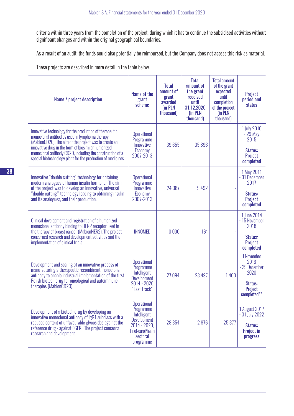criteria within three years from the completion of the project, during which it has to continue the subsidised activities without significant changes and within the original geographical boundaries.

As a result of an audit, the funds could also potentially be reimbursed, but the Company does not assess this risk as material.

These projects are described in more detail in the table below.

| Name / project description                                                                                                                                                                                                                                                                                                                             | Name of the<br>grant<br>scheme                                                                                                         | <b>Total</b><br>amount of<br>grant<br>awarded<br>(in PLN<br>thousand) | <b>Total</b><br>amount of<br>the grant<br>received<br>until<br>31.12.2020<br>(in PLN<br>thousand) | <b>Total amount</b><br>of the grant<br>expected<br>until<br>completion<br>of the project<br>(in PLN<br>thousand) | Project<br>period and<br>status                                                  |
|--------------------------------------------------------------------------------------------------------------------------------------------------------------------------------------------------------------------------------------------------------------------------------------------------------------------------------------------------------|----------------------------------------------------------------------------------------------------------------------------------------|-----------------------------------------------------------------------|---------------------------------------------------------------------------------------------------|------------------------------------------------------------------------------------------------------------------|----------------------------------------------------------------------------------|
| Innovative technology for the production of therapeutic<br>monoclonal antibodies used in lymphoma therapy<br>(MabionCD20). The aim of the project was to create an<br>innovative drug in the form of biosimilar humanized<br>monoclonal antibody CD20, including the construction of a<br>special biotechnology plant for the production of medicines. | <b>Operational</b><br>Programme<br>Innovative<br>Economy<br>2007-2013                                                                  | 39 655                                                                | 35 896                                                                                            |                                                                                                                  | 1 July 2010<br>$-29$ May<br>2015<br>Status:<br>Project<br>completed              |
| Innovative "double cutting" technology for obtaining<br>modern analogues of human insulin hormone. The aim<br>of the project was to develop an innovative, universal<br>"double cutting" technology leading to obtaining insulin<br>and its analogues, and their production.                                                                           | <b>Operational</b><br>Programme<br>Innovative<br>Economy<br>2007-2013                                                                  | 24 087                                                                | 9492                                                                                              |                                                                                                                  | 1 May 2011<br>- 31 December<br>2017<br>Status:<br>Project<br>completed           |
| Clinical development and registration of a humanized<br>monoclonal antibody binding to HER2 receptor used in<br>the therapy of breast cancer (MabionHER2). The project<br>concerned research and development activities and the<br>implementation of clinical trials.                                                                                  | <b>INNOMED</b>                                                                                                                         | 10 000                                                                | $16*$                                                                                             |                                                                                                                  | 1 June 2014<br>- 15 November<br>2018<br>Status:<br>Project<br>completed          |
| Development and scaling of an innovative process of<br>manufacturing a therapeutic recombinant monoclonal<br>antibody to enable industrial implementation of the first<br>Polish biotech drug for oncological and autoimmune<br>therapies (MabionCD20).                                                                                                | <b>Operational</b><br>Programme<br>Intelligent<br><b>Development</b><br>$2014 - 2020$<br>"Fast Track"                                  | 27094                                                                 | 23 4 97                                                                                           | 1400                                                                                                             | 1 November<br>2016<br>- 29 December<br>2020<br>Status:<br>Project<br>completed** |
| Development of a biotech drug by developing an<br>innovative monoclonal antibody of IgG1 subclass with a<br>reduced content of unfavourable glycosides against the<br>reference drug - against EGFR. The project concerns<br>research and development.                                                                                                 | <b>Operational</b><br>Programme<br>Intelligent<br><b>Development</b><br>2014 - 2020,<br><b>InnoNeuroPharm</b><br>sectoral<br>programme | 28 3 54                                                               | 2876                                                                                              | 25 377                                                                                                           | 1 August 2017<br>$-31$ July 2022<br>Status:<br><b>Project in</b><br>progress     |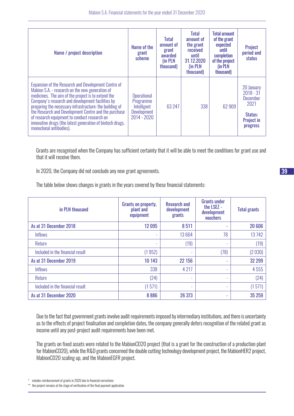| Name / project description                                                                                                                                                                                                                                                                                                                                                                                                                                                  | Name of the<br>grant<br>scheme                                                        | <b>Total</b><br>amount of<br>grant<br>awarded<br>(in PLN<br>thousand) | <b>Total</b><br>amount of<br>the grant<br>received<br>until<br>31.12.2020<br>(in PLN<br>thousand) | <b>Total amount</b><br>of the grant<br>expected<br>until<br>completion<br>of the project<br>(in PLN<br>thousand) | Project<br>period and<br>status                                                                         |
|-----------------------------------------------------------------------------------------------------------------------------------------------------------------------------------------------------------------------------------------------------------------------------------------------------------------------------------------------------------------------------------------------------------------------------------------------------------------------------|---------------------------------------------------------------------------------------|-----------------------------------------------------------------------|---------------------------------------------------------------------------------------------------|------------------------------------------------------------------------------------------------------------------|---------------------------------------------------------------------------------------------------------|
| Expansion of the Research and Development Centre of<br>Mabion S.A. - research on the new generation of<br>medicines. The aim of the project is to extend the<br>Company's research and development facilities by<br>preparing the necessary infrastructure: the building of<br>the Research and Development Centre and the purchase<br>of research equipment to conduct research on<br>innovative drugs (the latest generation of biotech drugs,<br>monoclonal antibodies). | <b>Operational</b><br>Programme<br>Intelligent<br><b>Development</b><br>$2014 - 2020$ | 63 247                                                                | 338                                                                                               | 62 909                                                                                                           | 20 January<br>$2018 - 31$<br><b>December</b><br>2021<br>Status:<br><b>Project in</b><br><b>progress</b> |

Grants are recognised when the Company has sufficient certainty that it will be able to meet the conditions for grant use and that it will receive them.

In 2020, the Company did not conclude any new grant agreements.

The table below shows changes in grants in the years covered by these financial statements:

| in PLN thousand                  | Grants on property,<br>plant and<br>equipment | <b>Research and</b><br>development<br>grants | <b>Grants under</b><br>the LSEZ -<br>development<br>vouchers | <b>Total grants</b> |
|----------------------------------|-----------------------------------------------|----------------------------------------------|--------------------------------------------------------------|---------------------|
| As at 31 December 2018           | 12 095                                        | 8511                                         | ۰                                                            | 20 606              |
| <b>Inflows</b>                   | ۰                                             | 13664                                        | 78                                                           | 13742               |
| Return                           | ٠                                             | (19)                                         | $\sim$                                                       | (19)                |
| Included in the financial result | (1952)                                        |                                              | (78)                                                         | (2030)              |
| As at 31 December 2019           | 10 143                                        | 22 156                                       | ٠                                                            | 32 299              |
| <b>Inflows</b>                   | 338                                           | 4 2 1 7                                      | ٠                                                            | 4555                |
| Return                           | (24)                                          |                                              | ٠                                                            | (24)                |
| Included in the financial result | (1571)                                        |                                              | ٠                                                            | (1571)              |
| As at 31 December 2020           | 8886                                          | 26 373                                       | ٠                                                            | 35 25 9             |

Due to the fact that government grants involve audit requirements imposed by intermediary institutions, and there is uncertainty as to the effects of project finalisation and completion dates, the company generally defers recognition of the related grant as income until any post-project audit requirements have been met.

The grants on fixed assets were related to the MabionCD20 project (that is a grant for the construction of a production plant for MabionCD20), while the R&D grants concerned the double cutting technology development project, the MabionHER2 project, MabionCD20 scaling up, and the MabionEGFR project.

ncludes reimbursement of grants in 2020 due to financial corrections

 $^{\circ}$  the project remains at the stage of verification of the final payment application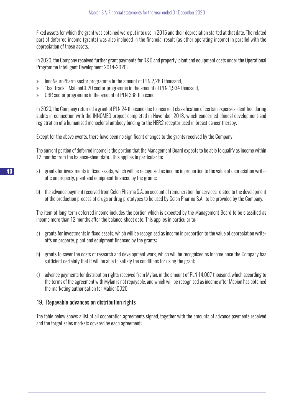Fixed assets for which the grant was obtained were put into use in 2015 and their depreciation started at that date. The related part of deferred income (grants) was also included in the financial result (as other operating income) in parallel with the depreciation of these assets.

In 2020, the Company received further grant payments for R&D and property, plant and equipment costs under the Operational Programme Intelligent Development 2014-2020:

- » InnoNeuroPharm sector programme in the amount of PLN 2,283 thousand,
- » "fast track" MabionCD20 sector programme in the amount of PLN 1,934 thousand,
- » CBR sector programme in the amount of PLN 338 thousand.

In 2020, the Company returned a grant of PLN 24 thousand due to incorrect classification of certain expenses identified during audits in connection with the INNOMED project completed in November 2018, which concerned clinical development and registration of a humanised monoclonal antibody binding to the HER2 receptor used in breast cancer therapy.

Except for the above events, there have been no significant changes to the grants received by the Company.

The current portion of deferred income is the portion that the Management Board expects to be able to qualify as income within 12 months from the balance-sheet date. This applies in particular to:

- a) grants for investments in fixed assets, which will be recognized as income in proportion to the value of depreciation writeoffs on property, plant and equipment financed by the grants;
- b) the advance payment received from Celon Pharma S.A. on account of remuneration for services related to the development of the production process of drugs or drug prototypes to be used by Celon Pharma S.A., to be provided by the Company.

The item of long-term deferred income includes the portion which is expected by the Management Board to be classified as income more than 12 months after the balance-sheet date. This applies in particular to:

- a) grants for investments in fixed assets, which will be recognised as income in proportion to the value of depreciation writeoffs on property, plant and equipment financed by the grants;
- b) grants to cover the costs of research and development work, which will be recognised as income once the Company has sufficient certainty that it will be able to satisfy the conditions for using the grant;
- c) advance payments for distribution rights received from Mylan, in the amount of PLN 14,007 thousand, which according to the terms of the agreement with Mylan is not repayable, and which will be recognised as income after Mabion has obtained the marketing authorisation for MabionCD20.

# 19. Repayable advances on distribution rights

The table below shows a list of all cooperation agreements signed, together with the amounts of advance payments received and the target sales markets covered by each agreement: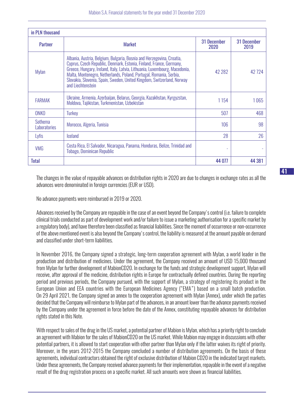| in PLN thousand         |                                                                                                                                                                                                                                                                                                                                                                                                 |                            |                     |
|-------------------------|-------------------------------------------------------------------------------------------------------------------------------------------------------------------------------------------------------------------------------------------------------------------------------------------------------------------------------------------------------------------------------------------------|----------------------------|---------------------|
| <b>Partner</b>          | <b>Market</b>                                                                                                                                                                                                                                                                                                                                                                                   | <b>31 December</b><br>2020 | 31 December<br>2019 |
| Mylan                   | Albania, Austria, Belgium, Bulgaria, Bosnia and Herzegovina, Croatia,<br>Cyprus, Czech Republic, Denmark, Estonia, Finland, France, Germany,<br>Greece, Hungary, Ireland, Italy, Latvia, Lithuania, Luxembourg, Macedonia,<br>Malta, Montenegro, Netherlands, Poland, Portugal, Romania, Serbia,<br>Slovakia, Slovenia, Spain, Sweden, United Kingdom, Switzerland, Norway<br>and Liechtenstein | 42 28 2                    | 42724               |
| <b>FARMAK</b>           | Ukraine, Armenia, Azerbaijan, Belarus, Georgia, Kazakhstan, Kyrgyzstan,<br>Moldova, Tajikistan, Turkmenistan, Uzbekistan                                                                                                                                                                                                                                                                        | 1154                       | 1065                |
| ONKO                    | <b>Turkey</b>                                                                                                                                                                                                                                                                                                                                                                                   | 507                        | 468                 |
| Sothema<br>Laboratories | Morocco, Algeria, Tunisia                                                                                                                                                                                                                                                                                                                                                                       | 106                        | 98                  |
| Lyfis                   | <b>Iceland</b>                                                                                                                                                                                                                                                                                                                                                                                  | 28                         | 26                  |
| <b>VMG</b>              | Costa Rica, El Salvador, Nicaragua, Panama, Honduras, Belize, Trinidad and<br><b>Tobago, Dominican Republic</b>                                                                                                                                                                                                                                                                                 | ٠                          |                     |
| Total                   |                                                                                                                                                                                                                                                                                                                                                                                                 | 44 077                     | 44 381              |

The changes in the value of repayable advances on distribution rights in 2020 are due to changes in exchange rates as all the advances were denominated in foreign currencies (EUR or USD).

No advance payments were reimbursed in 2019 or 2020.

Advances received by the Company are repayable in the case of an event beyond the Company's control (i.e. failure to complete clinical trials conducted as part of development work and/or failure to issue a marketing authorisation for a specific market by a regulatory body), and have therefore been classified as financial liabilities. Since the moment of occurrence or non-occurrence of the above mentioned event is also beyond the Company's control, the liability is measured at the amount payable on demand and classified under short-term liabilities.

In November 2016, the Company signed a strategic, long-term cooperation agreement with Mylan, a world leader in the production and distribution of medicines. Under the agreement, the Company received an amount of USD 15,000 thousand from Mylan for further development of MabionCD20. In exchange for the funds and strategic development support, Mylan will receive, after approval of the medicine, distribution rights in Europe for contractually defined countries. During the reporting period and previous periods, the Company pursued, with the support of Mylan, a strategy of registering its product in the European Union and EEA countries with the European Medicines Agency ("EMA") based on a small batch production. On 29 April 2021, the Company signed an annex to the cooperation agreement with Mylan (Annex), under which the parties decided that the Company will reimburse to Mylan part of the advances, in an amount lower than the advance payments received by the Company under the agreement in force before the date of the Annex, constituting repayable advances for distribution rights stated in this Note.

With respect to sales of the drug in the US market, a potential partner of Mabion is Mylan, which has a priority right to conclude an agreement with Mabion for the sales of MabionCD20 on the US market. While Mabion may engage in discussions with other potential partners, it is allowed to start cooperation with other partner than Mylan only if the latter waives its right of priority. Moreover, in the years 2012-2015 the Company concluded a number of distribution agreements. On the basis of these agreements, individual contractors obtained the right of exclusive distribution of Mabion CD20 in the indicated target markets. Under these agreements, the Company received advance payments for their implementation, repayable in the event of a negative result of the drug registration process on a specific market. All such amounts were shown as financial liabilities.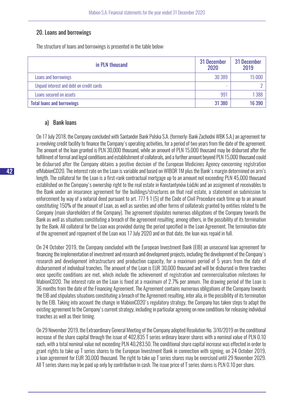#### 20. Loans and borrowings

The structure of loans and borrowings is presented in the table below:

| in PLN thousand                          | 31 December<br>2020 | 31 December<br>2019 |
|------------------------------------------|---------------------|---------------------|
| Loans and borrowings                     | 30 389              | 15 000              |
| Unpaid interest and debt on credit cards | -                   |                     |
| Loans secured on assets                  | 991                 | 1 388               |
| <b>Total loans and borrowings</b>        | 31 380              | 16 390              |

# a) Bank loans

On 17 July 2018, the Company concluded with Santander Bank Polska S.A. (formerly: Bank Zachodni WBK S.A.) an agreement for a revolving credit facility to finance the Company's operating activities, for a period of two years from the date of the agreement. The amount of the loan granted is PLN 30,000 thousand, while an amount of PLN 15,000 thousand may be disbursed after the fulfilment of formal and legal conditions and establishment of collaterals, and a further amount beyond PLN 15,000 thousand could be disbursed after the Company obtains a positive decision of the European Medicines Agency concerning registration ofMabionCD20. The interest rate on the Loan is variable and based on WIBOR 1M plus the Bank's margin determined on arm's length. The collateral for the Loan is a first-rank contractual mortgage up to an amount not exceeding PLN 45,000 thousand established on the Company's ownership right to the real estate in Konstantynów Łódzki and an assignment of receivables to the Bank under an insurance agreement for the buildings/structures on that real estate, a statement on submission to enforcement by way of a notarial deed pursuant to art. 777 § 1 (5) of the Code of Civil Procedure each time up to an amount constituting 150% of the amount of Loan, as well as sureties and other forms of collaterals granted by entities related to the Company (main shareholders of the Company). The agreement stipulates numerous obligations of the Company towards the Bank as well as situations constituting a breach of the agreement resulting, among others, in the possibility of its termination by the Bank. All collateral for the Loan was provided during the period specified in the Loan Agreement. The termination date of the agreement and repayment of the Loan was 17 July 2020 and on that date, the loan was repaid in full.

On 24 October 2019, the Company concluded with the European Investment Bank (EIB) an unsecured loan agreement for financing the implementation of investment and research and development projects, including the development of the Company's research and development infrastructure and production capacity, for a maximum period of 5 years from the date of disbursement of individual tranches. The amount of the Loan is EUR 30,000 thousand and will be disbursed in three tranches once specific conditions are met, which include the achievement of registration and commercialisation milestones for MabionCD20. The interest rate on the Loan is fixed at a maximum of 2.7% per annum. The drawing period of the Loan is 36 months from the date of the Financing Agreement. The Agreement contains numerous obligations of the Company towards the EIB and stipulates situations constituting a breach of the Agreement resulting, inter alia, in the possibility of its termination by the EIB. Taking into account the change in MabionCD20's regulatory strategy, the Company has taken steps to adapt the existing agreement to the Company's current strategy, including in particular agreeing on new conditions for releasing individual tranches as well as their timing.

On 29 November 2019, the Extraordinary General Meeting of the Company adopted Resolution No. 3/XI/2019 on the conditional increase of the share capital through the issue of 402,835 T series ordinary bearer shares with a nominal value of PLN 0.10 each, with a total nominal value not exceeding PLN 40,283.50. The conditional share capital increase was effected in order to grant rights to take up T series shares to the European Investment Bank in connection with signing, on 24 October 2019, a loan agreement for EUR 30,000 thousand. The right to take up T series shares may be exercised until 29 November 2029. All T series shares may be paid up only by contribution in cash. The issue price of T series shares is PLN 0.10 per share.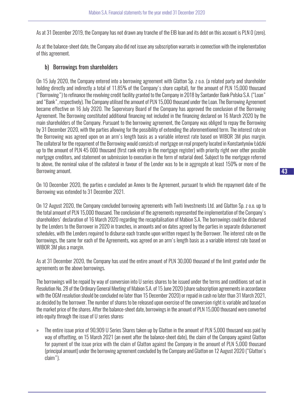As at 31 December 2019, the Company has not drawn any tranche of the EIB loan and its debt on this account is PLN 0 (zero).

As at the balance-sheet date, the Company also did not issue any subscription warrants in connection with the implementation of this agreement.

#### b) Borrowings from shareholders

On 15 July 2020, the Company entered into a borrowing agreement with Glatton Sp. z o.o. (a related party and shareholder holding directly and indirectly a total of 11.85% of the Company's share capital), for the amount of PLN 15,000 thousand ("Borrowing") to refinance the revolving credit facility granted to the Company in 2018 by Santander Bank Polska S.A. ("Loan" and "Bank", respectively). The Company utilised the amount of PLN 15,000 thousand under the Loan. The Borrowing Agreement became effective on 16 July 2020. The Supervisory Board of the Company has approved the conclusion of the Borrowing Agreement. The Borrowing constituted additional financing not included in the financing declared on 16 March 2020 by the main shareholders of the Company. Pursuant to the borrowing agreement, the Company was obliged to repay the Borrowing by 31 December 2020, with the parties allowing for the possibility of extending the aforementioned term. The interest rate on the Borrowing was agreed upon on an arm's length basis as a variable interest rate based on WIBOR 3M plus margin. The collateral for the repayment of the Borrowing would consists of: mortgage on real property located in Konstantynów Łódzki up to the amount of PLN 45 000 thousand (first rank entry in the mortgage register) with priority right over other possible mortgage creditors, and statement on submission to execution in the form of notarial deed. Subject to the mortgage referred to above, the nominal value of the collateral in favour of the Lender was to be in aggregate at least 150% or more of the Borrowing amount.

On 10 December 2020, the parties e concluded an Annex to the Agreement, pursuant to which the repayment date of the Borrowing was extended to 31 December 2021.

On 12 August 2020, the Company concluded borrowing agreements with Twiti Investments Ltd. and Glatton Sp. z o.o. up to the total amount of PLN 15,000 thousand. The conclusion of the agreements represented the implementation of the Company's shareholders' declaration of 16 March 2020 regarding the recapitalisation of Mabion S.A. The borrowings could be disbursed by the Lenders to the Borrower in 2020 in tranches, in amounts and on dates agreed by the parties in separate disbursement schedules, with the Lenders required to disburse each tranche upon written request by the Borrower. The interest rate on the borrowings, the same for each of the Agreements, was agreed on an arm's length basis as a variable interest rate based on WIBOR 3M plus a margin.

As at 31 December 2020, the Company has used the entire amount of PLN 30,000 thousand of the limit granted under the agreements on the above borrowings.

The borrowings will be repaid by way of conversion into U series shares to be issued under the terms and conditions set out in Resolution No. 28 of the Ordinary General Meeting of Mabion S.A. of 15 June 2020 (share subscription agreements in accordance with the OGM resolution should be concluded no later than 15 December 2020) or repaid in cash no later than 31 March 2021, as decided by the borrower. The number of shares to be released upon exercise of the conversion right is variable and based on the market price of the shares. After the balance-sheet date, borrowings in the amount of PLN 15,000 thousand were converted into equity through the issue of U series shares:

» The entire issue price of 90,909 U Series Shares taken up by Glatton in the amount of PLN 5,000 thousand was paid by way of offsetting, on 15 March 2021 (an event after the balance-sheet date), the claim of the Company against Glatton for payment of the issue price with the claim of Glatton against the Company in the amount of PLN 5,000 thousand (principal amount) under the borrowing agreement concluded by the Company and Glatton on 12 August 2020 ("Glatton's claim").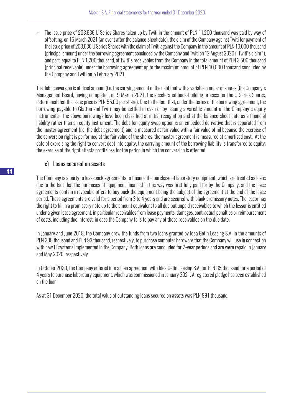» The issue price of 203,636 U Series Shares taken up by Twiti in the amount of PLN 11,200 thousand was paid by way of offsetting, on 15 March 2021 (an event after the balance-sheet date), the claim of the Company against Twiti for payment of the issue price of 203,636 U Series Shares with the claim of Twiti against the Company in the amount of PLN 10,000 thousand (principal amount) under the borrowing agreement concluded by the Company and Twiti on 12 August 2020 ("Twiti's claim"), and part, equal to PLN 1,200 thousand, of Twiti's receivables from the Company in the total amount of PLN 3,500 thousand (principal receivable) under the borrowing agreement up to the maximum amount of PLN 10,000 thousand concluded by the Company and Twiti on 5 February 2021.

The debt conversion is of fixed amount (i.e. the carrying amount of the debt) but with a variable number of shares (the Company's Management Board, having completed, on 9 March 2021, the accelerated book-building process for the U Series Shares, determined that the issue price is PLN 55.00 per share). Due to the fact that, under the terms of the borrowing agreement, the borrowing payable to Glatton and Twiti may be settled in cash or by issuing a variable amount of the Company's equity instruments - the above borrowings have been classified at initial recognition and at the balance-sheet date as a financial liability rather than an equity instrument. The debt-for-equity swap option is an embedded derivative that is separated from the master agreement (i.e. the debt agreement) and is measured at fair value with a fair value of nil because the exercise of the conversion right is performed at the fair value of the shares; the master agreement is measured at amortised cost. At the date of exercising the right to convert debt into equity, the carrying amount of the borrowing liability is transferred to equity; the exercise of the right affects profit/loss for the period in which the conversion is effected.

# c) Loans secured on assets

The Company is a party to leaseback agreements to finance the purchase of laboratory equipment, which are treated as loans due to the fact that the purchases of equipment financed in this way was first fully paid for by the Company, and the lease agreements contain irrevocable offers to buy back the equipment being the subject of the agreement at the end of the lease period. These agreements are valid for a period from 3 to 4 years and are secured with blank promissory notes. The lessor has the right to fill in a promissory note up to the amount equivalent to all due but unpaid receivables to which the lessor is entitled under a given lease agreement, in particular receivables from lease payments, damages, contractual penalties or reimbursement of costs, including due interest, in case the Company fails to pay any of these receivables on the due date.

In January and June 2018, the Company drew the funds from two loans granted by Idea Getin Leasing S.A. in the amounts of PLN 208 thousand and PLN 93 thousand, respectively, to purchase computer hardware that the Company will use in connection with new IT systems implemented in the Company. Both loans are concluded for 2-year periods and are were repaid in January and May 2020, respectively.

In October 2020, the Company entered into a loan agreement with Idea Getin Leasing S.A. for PLN 35 thousand for a period of 4 years to purchase laboratory equipment, which was commissioned in January 2021. A registered pledge has been established on the loan.

As at 31 December 2020, the total value of outstanding loans secured on assets was PLN 991 thousand.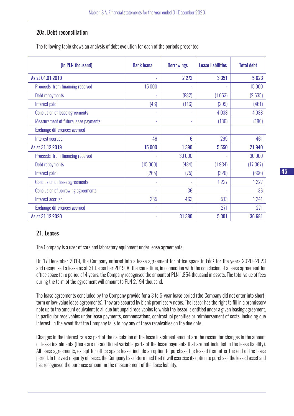# 20a. Debt reconciliation

The following table shows an analysis of debt evolution for each of the periods presented.

| (in PLN thousand)                         | <b>Bank loans</b>        | <b>Borrowings</b> | <b>Lease liabilities</b> | <b>Total debt</b> |
|-------------------------------------------|--------------------------|-------------------|--------------------------|-------------------|
| As at 01.01.2019                          |                          | 2 2 7 2           | 3 3 5 1                  | 5623              |
| Proceeds from financing received          | 15 000                   |                   |                          | 15 000            |
| Debt repayments                           |                          | (882)             | (1653)                   | (2535)            |
| Interest paid                             | (46)                     | (116)             | (299)                    | (461)             |
| <b>Conclusion of lease agreements</b>     | ۰                        |                   | 4038                     | 4038              |
| Measurement of future lease payments      | $\overline{\phantom{a}}$ |                   | (186)                    | (186)             |
| Exchange differences accrued              | ٠                        |                   |                          |                   |
| Interest accrued                          | 46                       | 116               | 299                      | 461               |
| As at 31.12.2019                          | 15 000                   | 1 3 9 0           | 5 5 5 0                  | 21 940            |
| Proceeds from financing received          |                          | 30 000            |                          | 30 000            |
| Debt repayments                           | (15000)                  | (434)             | (1934)                   | (17367)           |
| Interest paid                             | (265)                    | (75)              | (326)                    | (666)             |
| <b>Conclusion of lease agreements</b>     | ٠                        |                   | 1227                     | 1227              |
| <b>Conclusion of borrowing agreements</b> | ٠                        | 36                |                          | 36                |
| Interest accrued                          | 265                      | 463               | 513                      | 1241              |
| Exchange differences accrued              | ÷,                       |                   | 271                      | 271               |
| As at 31.12.2020                          | ۰                        | 31 380            | 5 3 0 1                  | 36 681            |

# 21. Leases

The Company is a user of cars and laboratory equipment under lease agreements.

On 17 December 2019, the Company entered into a lease agreement for office space in Łódź for the years 2020–2023 and recognised a lease as at 31 December 2019. At the same time, in connection with the conclusion of a lease agreement for office space for a period of 4 years, the Company recognised the amount of PLN 1,854 thousand in assets. The total value of fees during the term of the agreement will amount to PLN 2,194 thousand.

The lease agreements concluded by the Company provide for a 3 to 5-year lease period (the Company did not enter into shortterm or low-value lease agreements). They are secured by blank promissory notes. The lessor has the right to fill in a promissory note up to the amount equivalent to all due but unpaid receivables to which the lessor is entitled under a given leasing agreement, in particular receivables under lease payments, compensations, contractual penalties or reimbursement of costs, including due interest, in the event that the Company fails to pay any of these receivables on the due date.

Changes in the interest rate as part of the calculation of the lease instalment amount are the reason for changes in the amount of lease instalments (there are no additional variable parts of the lease payments that are not included in the lease liability). All lease agreements, except for office space lease, include an option to purchase the leased item after the end of the lease period. In the vast majority of cases, the Company has determined that it will exercise its option to purchase the leased asset and has recognised the purchase amount in the measurement of the lease liability.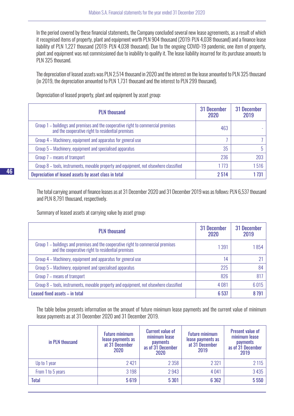In the period covered by these financial statements, the Company concluded several new lease agreements, as a result of which it recognised items of property, plant and equipment worth PLN 904 thousand (2019: PLN 4,038 thousand) and a finance lease liability of PLN 1,227 thousand (2019: PLN 4,038 thousand). Due to the ongoing COVID-19 pandemic, one item of property, plant and equipment was not commissioned due to inability to qualify it. The lease liability incurred for its purchase amounts to PLN 325 thousand.

The depreciation of leased assets was PLN 2,514 thousand in 2020 and the interest on the lease amounted to PLN 325 thousand (in 2019, the depreciation amounted to PLN 1,731 thousand and the interest to PLN 299 thousand).

| <b>PLN thousand</b>                                                                                                                    | 31 December<br>2020 | 31 December<br>2019 |
|----------------------------------------------------------------------------------------------------------------------------------------|---------------------|---------------------|
| Group 1 – buildings and premises and the cooperative right to commercial premises<br>and the cooperative right to residential premises | 463                 |                     |
| Group 4 – Machinery, equipment and apparatus for general use                                                                           |                     |                     |
| Group 5 – Machinery, equipment and specialised apparatus                                                                               | 35                  |                     |
| Group 7 – means of transport                                                                                                           | 236                 | 203                 |
| Group 8 – tools, instruments, movable property and equipment, not elsewhere classified                                                 | 1773                | 1516                |
| Depreciation of leased assets by asset class in total                                                                                  | 2 5 1 4             | 1 731               |

Depreciation of leased property, plant and equipment by asset group:

The total carrying amount of finance leases as at 31 December 2020 and 31 December 2019 was as follows: PLN 6,537 thousand and PLN 8,791 thousand, respectively.

Summary of leased assets at carrying value by asset group:

| <b>PLN</b> thousand                                                                                                                    | 31 December<br>2020 | 31 December<br>2019 |
|----------------------------------------------------------------------------------------------------------------------------------------|---------------------|---------------------|
| Group 1 – buildings and premises and the cooperative right to commercial premises<br>and the cooperative right to residential premises | 1 3 9 1             | 1854                |
| Group 4 – Machinery, equipment and apparatus for general use                                                                           | 14                  |                     |
| Group 5 - Machinery, equipment and specialised apparatus                                                                               | 225                 | 84                  |
| Group 7 – means of transport                                                                                                           | 826                 | 817                 |
| Group 8 – tools, instruments, movable property and equipment, not elsewhere classified                                                 | 4081                | 6015                |
| Leased fixed assets - in total                                                                                                         | 6537                | 8791                |

The table below presents information on the amount of future minimum lease payments and the current value of minimum lease payments as at 31 December 2020 and 31 December 2019.

| in PLN thousand   | <b>Future minimum</b><br>lease payments as<br>at 31 December<br>2020 | <b>Current value of</b><br>minimum lease<br>payments<br>as of 31 December<br>2020 | <b>Future minimum</b><br>lease payments as<br>at 31 December<br>2019 | <b>Present value of</b><br>minimum lease<br><b>payments</b><br>as of 31 December<br>2019 |
|-------------------|----------------------------------------------------------------------|-----------------------------------------------------------------------------------|----------------------------------------------------------------------|------------------------------------------------------------------------------------------|
| Up to 1 year      | 2421                                                                 | 2 3 5 8                                                                           | 2 3 2 1                                                              | 2115                                                                                     |
| From 1 to 5 years | 3 1 9 8                                                              | 2943                                                                              | 4041                                                                 | 3435                                                                                     |
| <b>Total</b>      | 5619                                                                 | 5 3 0 1                                                                           | 6 3 6 2                                                              | 5550                                                                                     |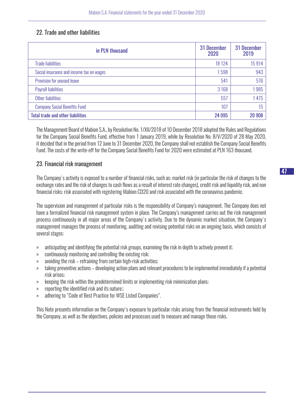#### 22. Trade and other liabilities

| in PLN thousand                          | 31 December<br>2020 | 31 December<br>2019 |
|------------------------------------------|---------------------|---------------------|
| <b>Trade liabilities</b>                 | 18 124              | 15914               |
| Social insurance and income tax on wages | 1598                | 943                 |
| Provision for unused leave               | 541                 | 576                 |
| <b>Payroll liabilities</b>               | 3 1 6 8             | 1985                |
| Other liabilities                        | 557                 | 1475                |
| <b>Company Social Benefits Fund</b>      | 107                 | 15                  |
| <b>Total trade and other liabilities</b> | 24 095              | 20 908              |

The Management Board of Mabion S.A., by Resolution No. 1/XII/2018 of 10 December 2018 adopted the Rules and Regulations for the Company Social Benefits Fund, effective from 1 January 2019, while by Resolution No. 8/V/2020 of 28 May 2020, it decided that in the period from 12 June to 31 December 2020, the Company shall not establish the Company Social Benefits Fund. The costs of the write-off for the Company Social Benefits Fund for 2020 were estimated at PLN 163 thousand.

#### 23. Financial risk management

The Company's activity is exposed to a number of financial risks, such as: market risk (in particular the risk of changes to the exchange rates and the risk of changes to cash flows as a result of interest rate changes), credit risk and liquidity risk, and non financial risks: risk associated with registering Mabion CD20 and risk associated with the coronavirus pandemic.

The supervision and management of particular risks is the responsibility of Company's management. The Company does not have a formalized financial risk management system in place. The Company's management carries out the risk management process continuously in all major areas of the Company's activity. Due to the dynamic market situation, the Company's management manages the process of monitoring, auditing and revising potential risks on an ongoing basis, which consists of several stages:

- » anticipating and identifying the potential risk groups, examining the risk in depth to actively prevent it;
- » continuously monitoring and controlling the existing risk;
- » avoiding the risk refraining from certain high-risk activities;
- » taking preventive actions developing action plans and relevant procedures to be implemented immediately if a potential risk arises;
- » keeping the risk within the predetermined limits or implementing risk minimization plans;
- » reporting the identified risk and its nature;;
- » adhering to "Code of Best Practice for WSE Listed Companies".

This Note presents information on the Company's exposure to particular risks arising from the financial instruments held by the Company, as well as the objectives, policies and processes used to measure and manage those risks.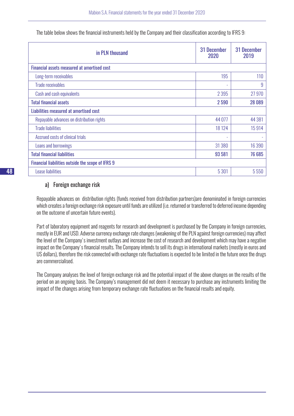| in PLN thousand                                   | 31 December<br>2020 | <b>31 December</b><br>2019 |
|---------------------------------------------------|---------------------|----------------------------|
| Financial assets measured at amortised cost       |                     |                            |
| Long-term receivables                             | 195                 | 110                        |
| <b>Trade receivables</b>                          | ۰                   | 9                          |
| Cash and cash equivalents                         | 2 3 9 5             | 27 970                     |
| <b>Total financial assets</b>                     | 2590                | 28 089                     |
| Liabilities measured at amortised cost            |                     |                            |
| Repayable advances on distribution rights         | 44 077              | 44 381                     |
| <b>Trade liabilities</b>                          | 18 124              | 15914                      |
| Accrued costs of clinical trials                  | ٠                   |                            |
| Loans and borrowings                              | 31 380              | 16 390                     |
| <b>Total financial liabilities</b>                | 93 581              | 76 685                     |
| Financial liabilities outside the scope of IFRS 9 |                     |                            |
| Lease liabilities                                 | 5 3 0 1             | 5 5 5 0                    |

The table below shows the financial instruments held by the Company and their classification according to IFRS 9:

# a) Foreign exchange risk

Repayable advances on distribution rights (funds received from distribution partners)are denominated in foreign currencies which creates a foreign exchange risk exposure until funds are utilized (i.e. returned or transferred to deferred income depending on the outcome of uncertain future events).

Part of laboratory equipment and reagents for research and development is purchased by the Company in foreign currencies, mostly in EUR and USD. Adverse currency exchange rate changes (weakening of the PLN against foreign currencies) may affect the level of the Company's investment outlays and increase the cost of research and development which may have a negative impact on the Company's financial results. The Company intends to sell its drugs in international markets (mostly in euros and US dollars), therefore the risk connected with exchange rate fluctuations is expected to be limited in the future once the drugs are commercialised.

The Company analyses the level of foreign exchange risk and the potential impact of the above changes on the results of the period on an ongoing basis. The Company's management did not deem it necessary to purchase any instruments limiting the impact of the changes arising from temporary exchange rate fluctuations on the financial results and equity.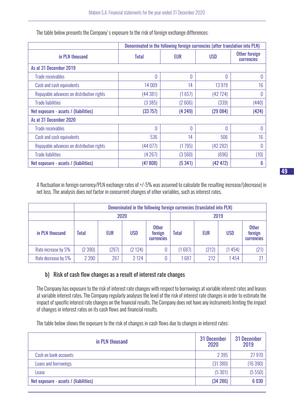|                                           | Denominated in the following foreign currencies (after translation into PLN) |            |            |                                           |  |
|-------------------------------------------|------------------------------------------------------------------------------|------------|------------|-------------------------------------------|--|
| in PLN thousand                           | <b>Total</b>                                                                 | <b>EUR</b> | <b>USD</b> | <b>Other foreign</b><br><b>currencies</b> |  |
| As at 31 December 2019                    |                                                                              |            |            |                                           |  |
| Trade receivables                         | $\theta$                                                                     | 0          | 0          | 0                                         |  |
| Cash and cash equivalents                 | 14 009                                                                       | 14         | 13979      | 16                                        |  |
| Repayable advances on distribution rights | (44381)                                                                      | (1657)     | (42724)    | 0                                         |  |
| <b>Trade liabilities</b>                  | (3385)                                                                       | (2606)     | (339)      | (440)                                     |  |
| Net exposure - assets / (liabilities)     | (33 757)                                                                     | (4249)     | (29084)    | (424)                                     |  |
| As at 31 December 2020                    |                                                                              |            |            |                                           |  |
| Trade receivables                         | 0                                                                            | O          | 0          | 0                                         |  |
| Cash and cash equivalents                 | 536                                                                          | 14         | 506        | 16                                        |  |
| Repayable advances on distribution rights | (44077)                                                                      | (1795)     | (42282)    | 0                                         |  |
| <b>Trade liabilities</b>                  | (4267)                                                                       | (3560)     | (696)      | (10)                                      |  |
| Net exposure - assets / (liabilities)     | (47808)                                                                      | (5341)     | (42 472)   | 6                                         |  |

The table below presents the Company's exposure to the risk of foreign exchange differences:

A fluctuation in foreign currency/PLN exchange rates of +/-5% was assumed to calculate the resulting increase/(decrease) in net loss. The analysis does not factor in concurrent changes of other variables, such as interest rates.

|                     |         | Denominated in the following foreign currencies (translated into PLN) |            |                                              |              |            |            |                                              |  |
|---------------------|---------|-----------------------------------------------------------------------|------------|----------------------------------------------|--------------|------------|------------|----------------------------------------------|--|
|                     | 2020    |                                                                       |            |                                              |              |            | 2019       |                                              |  |
| in PLN thousand     | Total   | <b>EUR</b>                                                            | <b>USD</b> | <b>Other</b><br>foreign<br><b>currencies</b> | <b>Total</b> | <b>EUR</b> | <b>USD</b> | <b>Other</b><br>foreign<br><b>currencies</b> |  |
| Rate increase by 5% | (2390)  | (267)                                                                 | (2124)     |                                              | (1687)       | (212)      | (1454)     | (21)                                         |  |
| Rate decrease by 5% | 2 3 9 0 | 267                                                                   | 2 1 2 4    |                                              | 687          | 212        | 1454       | 21                                           |  |

# b) Risk of cash flow changes as a result of interest rate changes

The Company has exposure to the risk of interest rate changes with respect to borrowings at variable interest rates and leases at variable interest rates. The Company regularly analyses the level of the risk of interest rate changes in order to estimate the impact of specific interest rate changes on the financial results. The Company does not have any instruments limiting the impact of changes in interest rates on its cash flows and financial results.

The table below shows the exposure to the risk of changes in cash flows due to changes in interest rates:

| in PLN thousand                       | 31 December<br>2020 | 31 December<br>2019 |
|---------------------------------------|---------------------|---------------------|
| Cash on bank accounts                 | 2 3 9 5             | 27 970              |
| Loans and borrowings                  | (31380)             | (16 390)            |
| Lease                                 | (5301)              | (5550)              |
| Net exposure - assets / (liabilities) | (34 286)            | 6 0 30              |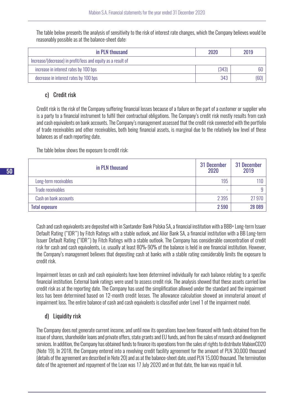The table below presents the analysis of sensitivity to the risk of interest rate changes, which the Company believes would be reasonably possible as at the balance-sheet date:

| in PLN thousand                                              | 2020  | 2019 |
|--------------------------------------------------------------|-------|------|
| Increase/(decrease) in profit/loss and equity as a result of |       |      |
| increase in interest rates by 100 bps                        | (343) |      |
| decrease in interest rates by 100 bps                        | 343   | (60) |

# c) Credit risk

Credit risk is the risk of the Company suffering financial losses because of a failure on the part of a customer or supplier who is a party to a financial instrument to fulfil their contractual obligations. The Company's credit risk mostly results from cash and cash equivalents on bank accounts. The Company's management assessed that the credit risk connected with the portfolio of trade receivables and other receivables, both being financial assets, is marginal due to the relatively low level of these balances as of each reporting date.

The table below shows the exposure to credit risk:

| in PLN thousand          | 31 December<br>2020 | 31 December<br>2019 |
|--------------------------|---------------------|---------------------|
| Long-term receivables    | 195                 | 110                 |
| <b>Trade receivables</b> | ۰                   | 9                   |
| Cash on bank accounts    | 2 3 9 5             | 27 970              |
| <b>Total exposure</b>    | 2590                | 28 089              |

Cash and cash equivalents are deposited with in Santander Bank Polska SA, a financial institution with a BBB+ Long-term Issuer Default Rating ("IDR") by Fitch Ratings with a stable outlook, and Alior Bank SA, a financial institution with a BB Long-term Issuer Default Rating ("IDR") by Fitch Ratings with a stable outlook. The Company has considerable concentration of credit risk for cash and cash equivalents, i.e. usually at least 80%-90% of the balance is held in one financial institution. However, the Company's management believes that depositing cash at banks with a stable rating considerably limits the exposure to credit risk.

Impairment losses on cash and cash equivalents have been determined individually for each balance relating to a specific financial institution. External bank ratings were used to assess credit risk. The analysis showed that these assets carried low credit risk as at the reporting date. The Company has used the simplification allowed under the standard and the impairment loss has been determined based on 12-month credit losses. The allowance calculation showed an immaterial amount of impairment loss. The entire balance of cash and cash equivalents is classified under Level 1 of the impairment model.

# d) Liquidity risk

The Company does not generate current income, and until now its operations have been financed with funds obtained from the issue of shares, shareholder loans and private offers, state grants and EU funds, and from the sales of research and development services. In addition, the Company has obtained funds to finance its operations from the sales of rights to distribute MabionCD20 (Note 19). In 2018, the Company entered into a revolving credit facility agreement for the amount of PLN 30,000 thousand (details of the agreement are described in Note 20) and as at the balance-sheet date, used PLN 15,000 thousand. The termination date of the agreement and repayment of the Loan was 17 July 2020 and on that date, the loan was repaid in full.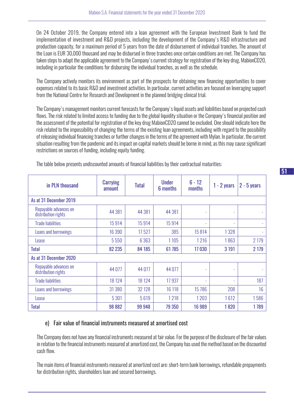On 24 October 2019, the Company entered into a loan agreement with the European Investment Bank to fund the implementation of investment and R&D projects, including the development of the Company's R&D infrastructure and production capacity, for a maximum period of 5 years from the date of disbursement of individual tranches. The amount of the Loan is EUR 30,000 thousand and may be disbursed in three tranches once certain conditions are met. The Company has taken steps to adapt the applicable agreement to the Company's current strategy for registration of the key drug, MabionCD20, including in particular the conditions for disbursing the individual tranches, as well as the schedule.

The Company actively monitors its environment as part of the prospects for obtaining new financing opportunities to cover expenses related to its basic R&D and investment activities. In particular, current activities are focused on leveraging support from the National Centre for Research and Development in the planned bridging clinical trial.

The Company's management monitors current forecasts for the Company's liquid assets and liabilities based on projected cash flows. The risk related to limited access to funding due to the global liquidity situation or the Company's financial position and the assessment of the potential for registration of the key drug MabionCD20 cannot be excluded. One should indicate here the risk related to the impossibility of changing the terms of the existing loan agreements, including with regard to the possibility of releasing individual financing tranches or further changes in the terms of the agreement with Mylan. In particular, the current situation resulting from the pandemic and its impact on capital markets should be borne in mind, as this may cause significant restrictions on sources of funding, including equity funding.

| in PLN thousand                              | <b>Carrying</b><br>amount | <b>Total</b> | <b>Under</b><br>6 months | $6 - 12$<br>months | $1 - 2$ years | $2 - 5$ years |
|----------------------------------------------|---------------------------|--------------|--------------------------|--------------------|---------------|---------------|
| As at 31 December 2019                       |                           |              |                          |                    |               |               |
| Repayable advances on<br>distribution rights | 44 381                    | 44 381       | 44 381                   | ٠                  | ٠             |               |
| <b>Trade liabilities</b>                     | 15914                     | 15914        | 15914                    |                    | ٠             |               |
| Loans and borrowings                         | 16 390                    | 17527        | 385                      | 15814              | 1328          |               |
| Lease                                        | 5 5 5 0                   | 6 3 6 3      | 1 1 0 5                  | 1216               | 1863          | 2 1 7 9       |
| <b>Total</b>                                 | 82 235                    | 84 185       | 61 785                   | 17030              | 3 1 9 1       | 2 1 7 9       |
| As at 31 December 2020                       |                           |              |                          |                    |               |               |
| Repayable advances on<br>distribution rights | 44 077                    | 44 0 77      | 44 077                   |                    | ۰             |               |
| <b>Trade liabilities</b>                     | 18 124                    | 18 124       | 17937                    | ٠                  | ٠             | 187           |
| Loans and borrowings                         | 31 380                    | 32 1 28      | 16 118                   | 15786              | 208           | 16            |
| Lease                                        | 5 3 0 1                   | 5619         | 1218                     | 1203               | 1612          | 1586          |
| <b>Total</b>                                 | 98 882                    | 99 948       | 79 350                   | 16 989             | 1820          | 1789          |

The table below presents undiscounted amounts of financial liabilities by their contractual maturities:

# e) Fair value of financial instruments measured at amortised cost

The Company does not have any financial instruments measured at fair value. For the purpose of the disclosure of the fair values in relation to the financial instruments measured at amortized cost, the Company has used the method based on the discounted cash flow.

The main items of financial instruments measured at amortized cost are: short-term bank borrowings, refundable prepayments for distribution rights, shareholders loan and secured borrowings.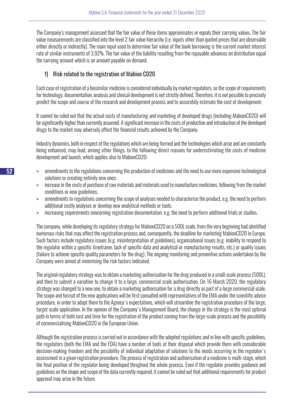The Company's management assessed that the fair value of these items approximates or equals their carrying values. The fair value measurements are classified into the level 2 fair value hierarchy (i.e. inputs other than quoted prices that are observable either directly or indirectly). The main input used to determine fair value of the bank borrowing is the current market interest rate of similar instruments of 3.92%. The fair value of the liability resulting from the repayable advances on distribution equal the carrying amount which is an amount payable on demand.

# f) Risk related to the registration of Mabion CD20

Each case of registration of a biosimilar medicine is considered individually by market regulators, so the scope of requirements for technology, documentation, analysis and clinical development is not strictly defined. Therefore, it is not possible to precisely predict the scope and course of the research and development process and to accurately estimate the cost of development.

It cannot be ruled out that the actual costs of manufacturing and marketing of developed drugs (including MabionCD20) will be significantly higher than currently assumed. A significant increase in the costs of production and introduction of the developed drugs to the market may adversely affect the financial results achieved by the Company.

Industry dynamics, both in respect of the regulations which are being formed and the technologies which arise and are constantly being enhanced, may lead, among other things, to the following direct reasons for underestimating the costs of medicine development and launch, which applies also to MabionCD20:

- » amendments to the regulations concerning the production of medicines and the need to use more expensive technological solutions or creating entirely new ones;
- » increase in the costs of purchase of raw materials and materials used to manufacture medicines, following from the market conditions or new guidelines;
- » amendments to regulations concerning the scope of analyses needed to characterise the product, e.g. the need to perform additional costly analyses or develop new analytical methods or tools;
- » increasing requirements concerning registration documentation, e.g. the need to perform additional trials or studies.

The company, while developing its regulatory strategy for MabionCD20 on a 500L scale, from the very beginning had identified numerous risks that may affect the registration process and, consequently, the deadline for marketing MabionCD20 in Europe. Such factors include regulatory issues (e.g. misinterpretation of guidelines), organisational issues (e.g. inability to respond to the regulator within a specific timeframe, lack of specific data and analytical or manufacturing results, etc.) or quality issues (failure to achieve specific quality parameters for the drug). The ongoing monitoring and preventive actions undertaken by the Company were aimed at minimising the risk factors indicated.

The original regulatory strategy was to obtain a marketing authorisation for the drug produced in a small-scale process (500L), and then to submit a variation to change it to a large, commercial scale authorisation. On 16 March 2020, the regulatory strategy was changed to a new one, to obtain a marketing authorisation for a drug directly as part of a large commercial scale. The scope and format of the new applications will be first consulted with representatives of the EMA under the scientific advice procedure, in order to adapt them to the Agency's expectations, which will streamline the registration procedure of the large, target scale application. In the opinion of the Company's Management Board, the change in the strategy is the most optimal path in terms of both cost and time for the registration of the product coming from the large-scale process and the possibility of commercialising MabionCD20 in the European Union.

Although the registration process is carried out in accordance with the adopted regulations and in line with specific guidelines, the regulators (both the EMA and the FDA) have a number of tools at their disposal which provide them with considerable decision-making freedom and the possibility of individual adaptation of solutions to the needs occurring in the regulator's assessment in a given registration procedure. The process of registration and authorisation of a medicine is multi-stage, which the final position of the regulator being developed throghout the whole process. Even if the regulator provides guidance and guidelines on the shape and scope of the data currently required, it cannot be ruled out that additional requirements for product approval may arise in the future.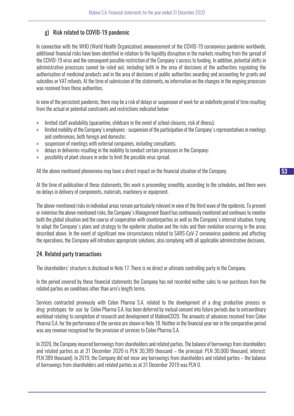# g) Risk related to COVID-19 pandemic

In connection with the WHO (World Health Organization) announcement of the COVID-19 coronavirus pandemic worldwide, additional financial risks have been identified in relation to the liquidity disruption in the markets resulting from the spread of the COVID-19 virus and the consequent possible restriction of the Company's access to funding. In addition, potential shifts in administrative processes cannot be ruled out, including both in the area of decisions of the authorities regulating the authorisation of medicinal products and in the area of decisions of public authorities awarding and accounting for grants and subsidies or VAT refunds. At the time of submission of the statements, no information on the changes in the ongoing processes was received from these authorities.

In view of the persistent pandemic, there may be a risk of delays or suspension of work for an indefinite period of time resulting from the actual or potential constraints and restrictions indicated below:

- » limited staff availability (quarantine, childcare in the event of school closures, risk of illness);
- » limited mobility of the Company's employees suspension of the participation of the Company's representatives in meetings and conferences, both foreign and domestic;
- » suspension of meetings with external companies, including consultants;
- » delays in deliveries resulting in the inability to conduct certain processes in the Company;
- » possibility of plant closure in order to limit the possible virus spread.

All the above mentioned phenomena may have a direct impact on the financial situation of the Company.

At the time of publication of these statements, this work is proceeding smoothly, according to the schedules, and there were no delays in delivery of components, materials, machinery or equipment.

The above-mentioned risks in individual areas remain particularly relevant in view of the third wave of the epidemic. To prevent or minimise the above-mentioned risks, the Company's Management Board has continuously monitored and continues to monitor both the global situation and the course of cooperation with counterparties as well as the Company's internal situation, trying to adapt the Company's plans and strategy to the epidemic situation and the risks and their evolution occurring in the areas described above. In the event of significant new circumstances related to SARS-CoV-2 coronavirus pandemic and affecting the operations, the Company will introduce appropriate solutions, also complying with all applicable administrative decisions.

# 24. Related party transactions

The shareholders' structure is disclosed in Note 17. There is no direct or ultimate controlling party in the Company.

In the period covered by these financial statements the Company has not recorded neither sales to nor purchases from the related parties on conditions other than arm's length terms.

Services contracted previously with Celon Pharma S.A. related to the development of a drug production process or drug prototypes for use by Celon Pharma S.A. has been deferred by mutual consent into future periods due to extraordinary workload relating to completion of research and development of MabionCD20. The amounts of advances received from Celon Pharma S.A. for the performance of the service are shown in Note 18. Neither in the financial year nor in the comparative period was any revenue recognised for the provision of services to Celon Pharma S.A.

In 2020, the Company incurred borrowings from shareholders and related parties. The balance of borrowings from shareholders and related parties as at 31 December 2020 is PLN 30,389 thousand – the principal: PLN 30,000 thousand, interest: PLN 389 thousand). In 2019, the Company did not incur any borrowings from shareholders and related parties – the balance of borrowings from shareholders and related parties as at 31 December 2019 was PLN 0.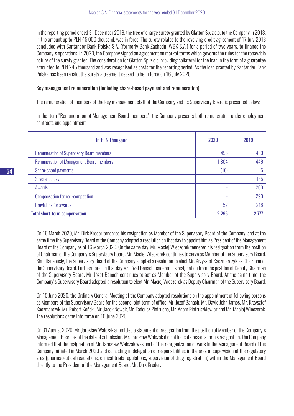In the reporting period ended 31 December 2019, the free of charge surety granted by Glatton Sp. z o.o. to the Company in 2018, in the amount up to PLN 45,000 thousand, was in force. The surety relates to the revolving credit agreement of 17 July 2018 concluded with Santander Bank Polska S.A. (formerly Bank Zachodni WBK S.A.) for a period of two years, to finance the Company's operations. In 2020, the Company signed an agreement on market terms which governs the rules for the repayable nature of the surety granted. The consideration for Glatton Sp. z o.o. providing collateral for the loan in the form of a guarantee amounted to PLN 245 thousand and was recognised as costs for the reporting period. As the loan granted by Santander Bank Polska has been repaid, the surety agreement ceased to be in force on 16 July 2020.

#### Key management remuneration (including share-based payment and remuneration)

The remuneration of members of the key management staff of the Company and its Supervisory Board is presented below:

In the item "Remuneration of Management Board members", the Company presents both remuneration under employment contracts and appointment.

| in PLN thousand                                  | 2020                     | 2019 |
|--------------------------------------------------|--------------------------|------|
| <b>Remuneration of Supervisory Board members</b> | 455                      | 483  |
| <b>Remuneration of Management Board members</b>  | 1804                     | 1446 |
| Share-based payments                             | (16)                     | 5    |
| Severance pay                                    | ۰                        | 135  |
| Awards                                           |                          | 200  |
| <b>Compensation for non-competition</b>          | $\overline{\phantom{a}}$ | 290  |
| Provisions for awards                            | 52                       | 218  |
| <b>Total short-term compensation</b>             | 2 2 9 5                  | 2777 |

On 16 March 2020, Mr. Dirk Kreder tendered his resignation as Member of the Supervisory Board of the Company, and at the same time the Supervisory Board of the Company adopted a resolution on that day to appoint him as President of the Management Board of the Company as of 16 March 2020. On the same day, Mr. Maciej Wieczorek tendered his resignation from the position of Chairman of the Company's Supervisory Board. Mr. Maciej Wieczorek continues to serve as Member of the Supervisory Board. Simultaneously, the Supervisory Board of the Company adopted a resolution to elect Mr. Krzysztof Kaczmarczyk as Chairman of the Supervisory Board. Furthermore, on that day Mr. Józef Banach tendered his resignation from the position of Deputy Chairman of the Supervisory Board. Mr. Józef Banach continues to act as Member of the Supervisory Board. At the same time, the Company's Supervisory Board adopted a resolution to elect Mr. Maciej Wieczorek as Deputy Chairman of the Supervisory Board.

On 15 June 2020, the Ordinary General Meeting of the Company adopted resolutions on the appointment of following persons as Members of the Supervisory Board for the second joint term of office: Mr. Józef Banach, Mr. David John James, Mr. Krzysztof Kaczmarczyk, Mr. Robert Koński, Mr. Jacek Nowak, Mr. Tadeusz Pietrucha, Mr. Adam Pietruszkiewicz and Mr. Maciej Wieczorek. The resolutions came into force on 16 June 2020.

On 31 August 2020, Mr. Jarosław Walczak submitted a statement of resignation from the position of Member of the Company's Management Board as of the date of submission. Mr. Jarosław Walczak did not indicate reasons for his resignation. The Company informed that the resignation of Mr. Jarosław Walczak was part of the reorganization of work in the Management Board of the Company initiated in March 2020 and consisting in delegation of responsibilities in the area of supervision of the regulatory area (pharmaceutical regulations, clinical trials regulations, supervision of drug registration) within the Management Board directly to the President of the Management Board, Mr. Dirk Kreder.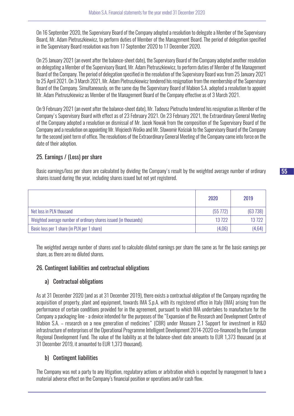On 16 September 2020, the Supervisory Board of the Company adopted a resolution to delegate a Member of the Supervisory Board, Mr. Adam Pietruszkiewicz, to perform duties of Member of the Management Board. The period of delegation specified in the Supervisory Board resolution was from 17 September 2020 to 17 December 2020.

On 25 January 2021 (an event after the balance-sheet date), the Supervisory Board of the Company adopted another resolution on delegating a Member of the Supervisory Board, Mr. Adam Pietruszkiewicz, to perform duties of Member of the Management Board of the Company. The period of delegation specified in the resolution of the Supervisory Board was from 25 January 2021 to 25 April 2021. On 3 March 2021, Mr. Adam Pietruszkiewicz tendered his resignation from the membership of the Supervisory Board of the Company. Simultaneously, on the same day the Supervisory Board of Mabion S.A. adopted a resolution to appoint Mr. Adam Pietruszkiewicz as Member of the Management Board of the Company effective as of 3 March 2021.

On 9 February 2021 (an event after the balance-sheet date), Mr. Tadeusz Pietrucha tendered his resignation as Member of the Company's Supervisory Board with effect as of 23 February 2021. On 23 February 2021, the Extraordinary General Meeting of the Company adopted a resolution on dismissal of Mr. Jacek Nowak from the composition of the Supervisory Board of the Company and a resolution on appointing Mr. Wojciech Wośko and Mr. Sławomir Kościak to the Supervisory Board of the Company for the second joint term of office. The resolutions of the Extraordinary General Meeting of the Company came into force on the date of their adoption.

# 25. Earnings / (Loss) per share

Basic earnings/loss per share are calculated by dividing the Company's result by the weighted average number of ordinary shares issued during the year, including shares issued but not yet registered.

|                                                                  | 2020        | 2019    |
|------------------------------------------------------------------|-------------|---------|
| Net loss in PLN thousand                                         | $(55\,772)$ | (63738) |
| Weighted average number of ordinary shares issued (in thousands) | 13722       | 13722   |
| Basic loss per 1 share (in PLN per 1 share)                      | (4,06)      | (4,64)  |

The weighted average number of shares used to calculate diluted earnings per share the same as for the basic earnings per share, as there are no diluted shares.

# 26. Contingent liabilities and contractual obligations

# a) Contractual obligations

As at 31 December 2020 (and as at 31 December 2019), there exists a contractual obligation of the Company regarding the acquisition of property, plant and equipment, towards IMA S.p.A. with its registered office in Italy (IMA) arising from the performance of certain conditions provided for in the agreement, pursuant to which IMA undertakes to manufacture for the Company a packaging line - a device intended for the purposes of the "Expansion of the Research and Development Centre of Mabion S.A. – research on a new generation of medicines" (CBR) under Measure 2.1 Support for investment in R&D infrastructure of enterprises of the Operational Programme Intelligent Development 2014-2020 co-financed by the European Regional Development Fund. The value of the liability as at the balance-sheet date amounts to EUR 1,373 thousand (as at 31 December 2019, it amounted to EUR 1,373 thousand).

# b) Contingent liabilities

The Company was not a party to any litigation, regulatory actions or arbitration which is expected by management to have a material adverse effect on the Company's financial position or operations and/or cash flow.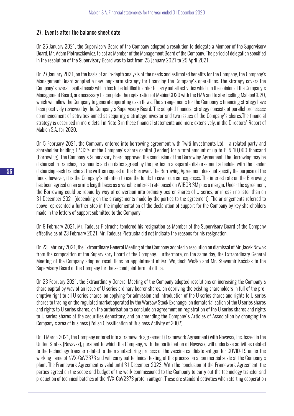# 27. Events after the balance sheet date

On 25 January 2021, the Supervisory Board of the Company adopted a resolution to delegate a Member of the Supervisory Board, Mr. Adam Pietruszkiewicz, to act as Member of the Management Board of the Company. The period of delegation specified in the resolution of the Supervisory Board was to last from 25 January 2021 to 25 April 2021.

On 27 January 2021, on the basis of an in-depth analysis of the needs and estimated benefits for the Company, the Company's Management Board adopted a new long-term strategy for financing the Company's operations. The strategy covers the Company's overall capital needs which has to be fulfilled in order to carry out all activities which, in the opinion of the Company's Management Board, are necessary to complete the registration of MabionCD20 with the EMA and to start selling MabionCD20, which will allow the Company to generate operating cash flows. The arrangements for the Company's financing strategy have been positively reviewed by the Company's Supervisory Board. The adopted financial strategy consists of parallel processes: commencement of activities aimed at acquiring a strategic investor and two issues of the Company's shares.The financial strategy is described in more detail in Note 3 in these financial statements and more extensively, in the Directors' Report of Mabion S.A. for 2020.

On 5 February 2021, the Company entered into borrowing agreement with Twiti Investments Ltd. - a related party and shareholder holding 17.33% of the Company's share capital (Lender) for a total amount of up to PLN 10,000 thousand (Borrowing). The Company's Supervisory Board approved the conclusion of the Borrowing Agreement. The Borrowing may be disbursed in tranches, in amounts and on dates agreed by the parties in a separate disbursement schedule, with the Lender disbursing each tranche at the written request of the Borrower. The Borrowing Agreement does not specify the purpose of the funds, however, it is the Company's intention to use the funds to cover current expenses. The interest rate on the Borrowing has been agreed on an arm's length basis as a variable interest rate based on WIBOR 3M plus a margin. Under the agreement, the Borrowing could be repaid by way of conversion into ordinary bearer shares of U series, or in cash no later than on 31 December 2021 (depending on the arrangements made by the parties to the agreement). The arrangements referred to above represented a further step in the implementation of the declaration of support for the Company by key shareholders made in the letters of support submitted to the Company.

On 9 February 2021, Mr. Tadeusz Pietrucha tendered his resignation as Member of the Supervisory Board of the Company effective as of 23 February 2021. Mr. Tadeusz Pietrucha did not indicate the reasons for his resignation.

On 23 February 2021, the Extraordinary General Meeting of the Company adopted a resolution on dismissal of Mr. Jacek Nowak from the composition of the Supervisory Board of the Company. Furthermore, on the same day, the Extraordinary General Meeting of the Company adopted resolutions on appointment of Mr. Wojciech Wośko and Mr. Sławomir Kościak to the Supervisory Board of the Company for the second joint term of office.

On 23 February 2021, the Extraordinary General Meeting of the Company adopted resolutions on increasing the Company's share capital by way of an issue of U series ordinary bearer shares, on depriving the existing shareholders in full of the preemptive right to all U series shares, on applying for admission and introduction of the U series shares and rights to U series shares to trading on the regulated market operated by the Warsaw Stock Exchange, on dematerialisation of the U series shares and rights to U series shares, on the authorisation to conclude an agreement on registration of the U series shares and rights to U series shares at the securities depositary, and on amending the Company's Articles of Association by changing the Company's area of business (Polish Classification of Business Activity of 2007).

On 3 March 2021, the Company entered into a framework agreement (Framework Agreement) with Novavax, Inc. based in the United States (Novavax), pursuant to which the Company, with the participation of Novavax, will undertake activities related to the technology transfer related to the manufacturing process of the vaccine candidate antigen for COVID-19 under the working name of NVX-CoV2373 and will carry out technical testing of the process on a commercial scale at the Company's plant. The Framework Agreement is valid until 31 December 2023. With the conclusion of the Framework Agreement, the parties agreed on the scope and budget of the work commissioned to the Company to carry out the technology transfer and production of technical batches of the NVX-CoV2373 protein antigen. These are standard activities when starting cooperation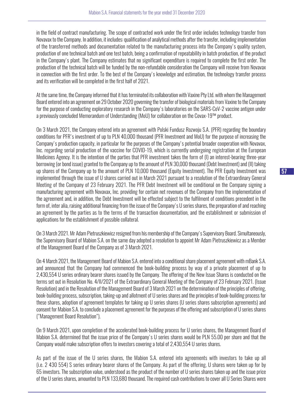in the field of contract manufacturing. The scope of contracted work under the first order includes technology transfer from Novavax to the Company. In addition, it includes: qualification of analytical methods after the transfer, including implementation of the transferred methods and documentation related to the manufacturing process into the Company's quality system, production of one technical batch and one test batch, being a confirmation of repeatability in batch production, of the product in the Company's plant. The Company estimates that no significant expenditure is required to complete the first order. The production of the technical batch will be funded by the non-refundable consideration the Company will receive from Novavax in connection with the first order. To the best of the Company's knowledge and estimation, the technology transfer process and its verification will be completed in the first half of 2021.

At the same time, the Company informed that it has terminated its collaboration with Vaxine Pty Ltd. with whom the Management Board entered into an agreement on 29 October 2020 governing the transfer of biological materials from Vaxine to the Company for the purpose of conducting exploratory research in the Company's laboratories on the SARS-CoV-2 vaccine antigen under a previously concluded Memorandum of Understanding (MoU) for collaboration on the Covax-19™ product.

On 3 March 2021, the Company entered into an agreement with Polski Fundusz Rozwoju S.A. (PFR) regarding the boundary conditions for PFR's investment of up to PLN 40,000 thousand (PFR Investment and MoU) for the purpose of increasing the Company's production capacity, in particular for the purposes of the Company's potential broader cooperation with Novavax, Inc. regarding serial production of the vaccine for COVID-19, which is currently undergoing registration at the European Medicines Agency. It is the intention of the parties that PFR investment takes the form of (I) an interest-bearing three-year borrowing (or bond issue) granted to the Company up to the amount of PLN 30,000 thousand (Debt Investment) and (II) taking up shares of the Company up to the amount of PLN 10,000 thousand (Equity Investment). The PFR Equity Investment was implemented through the issue of U shares carried out in March 2021 pursuant to a resolution of the Extraordinary General Meeting of the Company of 23 February 2021. The PFR Debt Investment will be conditional on the Company signing a manufacturing agreement with Novavax, Inc. providing for certain net revenues of the Company from the implementation of the agreement and, in addition, the Debt Investment will be effected subject to the fulfilment of conditions precedent in the form of, inter alia, raising additional financing from the issue of the Company's U series shares, the preparation of and reaching an agreement by the parties as to the terms of the transaction documentation, and the establishment or submission of applications for the establishment of possible collateral.

On 3 March 2021. Mr Adam Pietruszkiewicz resigned from his membership of the Company's Supervisory Board. Simultaneously, the Supervisory Board of Mabion S.A. on the same day adopted a resolution to appoint Mr Adam Pietruszkiewicz as a Member of the Management Board of the Company as of 3 March 2021.

On 4 March 2021, the Management Board of Mabion S.A. entered into a conditional share placement agreement with mBank S.A. and announced that the Company had commenced the book-building process by way of a private placement of up to 2,430,554 U series ordinary bearer shares issued by the Company. The offering of the New Issue Shares is conducted on the terms set out in Resolution No. 4/II/2021 of the Extraordinary General Meeting of the Company of 23 February 2021. (Issue Resolution) and in the Resolution of the Management Board of 3 March 2021 on the determination of the principles of offering, book-building process, subscription, taking-up and allotment of U series shares and the principles of book-building process for these shares, adoption of agreement templates for taking up U series shares (U series shares subscription agreements) and consent for Mabion S.A. to conclude a placement agreement for the purposes of the offering and subscription of U series shares ("Management Board Resolution").

On 9 March 2021, upon completion of the accelerated book-building process for U series shares, the Management Board of Mabion S.A. determined that the issue price of the Company's U series shares would be PLN 55.00 per share and that the Company would make subscription offers to investors covering a total of 2,430,554 U series shares.

As part of the issue of the U series shares, the Mabion S.A. entered into agreements with investors to take up all (i.e. 2 430 554) S series ordinary bearer shares of the Company. As part of the offering, U shares were taken up for by 65 investors. The subscription value, understood as the product of the number of U series shares taken up and the issue price of the U series shares, amounted to PLN 133,680 thousand. The required cash contributions to cover all U Series Shares were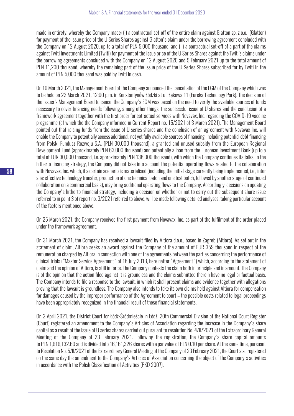made in entirety, whereby the Company made: (i) a contractual set-off of the entire claim against Glatton sp. z o.o. (Glatton) for payment of the issue price of the U Series Shares against Glatton's claim under the borrowing agreement concluded with the Company on 12 August 2020, up to a total of PLN 5,000 thousand; and (ii) a contractual set-off of a part of the claims against Twiti Investments Limited (Twiti) for payment of the issue price of the U Series Shares against the Twiti's claims under the borrowing agreements concluded with the Company on 12 August 2020 and 5 February 2021 up to the total amount of PLN 11,200 thousand, whereby the remaining part of the issue price of the U Series Shares subscribed for by Twiti in the amount of PLN 5,000 thousand was paid by Twiti in cash.

On 16 March 2021, the Management Board of the Company announced the cancellation of the EGM of the Company which was to be held on 22 March 2021, 12:00 p.m. in Konstantynów Łódzki at ul. Łąkowa 11 (Eureka Technology Park). The decision of the Issuer's Management Board to cancel the Company's EGM was based on the need to verify the available sources of funds necessary to cover financing needs following, among other things, the successful issue of U shares and the conclusion of a framework agreement together with the first order for cotractual services with Novavax, Inc. regarding the COVID-19 vaccine programme (of which the the Company informed in Current Report no. 15/2021 of 3 March 2021). The Management Board pointed out that raising funds from the issue of U series shares and the conclusion of an agreement with Novavax Inc. will enable the Company to potentially access additional, not yet fully available sources of financing, including potential debt financing from Polski Fundusz Rozwoju S.A. (PLN 30,000 thousand), a granted and unused subsidy from the European Regional Development Fund (approximately PLN 63,000 thousand) and potentially a loan from the European Investment Bank (up to a total of EUR 30,000 thousand, i.e. approximately PLN 138,000 thousand), with which the Company continues its talks. In the hitherto financing strategy, the Company did not take into account the potential operating flows related to the collaboration with Novavax, Inc. which, if a certain scenario is materialised (including the initial stage currently being implemented, i.e., inter alia: effective technology transfer, production of one technical batch and one test batch, followed by another stage of continued collaboration on a commercial basis), may bring additional operating flows to the Company. Accordingly, decisions on updating the Company's hitherto financial strategy, including a decision on whether or not to carry out the subsequent share issue referred to in point 3 of report no. 3/2021 referred to above, will be made following detailed analyses, taking particular account of the factors mentioned above.

On 25 March 2021, the Company received the first payment from Novavax, Inc. as part of the fulfilment of the order placed under the framework agreement.

On 31 March 2021, the Company has received a lawsuit filed by Altiora d.o.o., based in Zagreb (Altiora). As set out in the statement of claim, Altiora seeks an award against the Company of the amount of EUR 359 thousand in respect of the remuneration charged by Altiora in connection with one of the agreements between the parties concerning the performance of clinical trials ("Master Service Agreement" of 18 July 2013, hereinafter "Agreement") which, according to the statement of claim and the opinion of Altiora, is still in force. The Company contests the claim both in principle and in amount. The Company is of the opinion that the action filed against it is groundless and the claims submitted therein have no legal or factual basis. The Company intends to file a response to the lawsuit, in which it shall present claims and evidence together with allegations proving that the lawsuit is groundless. The Company also intends to take its own claims held against Altiora for compensation for damages caused by the improper performance of the Agreement to court – the possible costs related to legal proceedings have been appropriately recognized in the financial result of these financial statements.

On 2 April 2021, the District Court for Łódź-Śródmieście in Łódź, 20th Commercial Division of the National Court Register (Court) registered an amendment to the Company's Articles of Association regarding the increase in the Company's share capital as a result of the issue of U series shares carried out pursuant to resolution No. 4/II/2021 of the Extraordinary General Meeting of the Company of 23 February 2021. Following the registration, the Company's share capital amounts to PLN 1,616,132.60 and is divided into 16,161,326 shares with a par value of PLN 0.10 per share. At the same time, pursuant to Resolution No. 5/II/2021 of the Extraordinary General Meeting of the Company of 23 February 2021, the Court also registered on the same day the amendment to the Company's Articles of Association concerning the object of the Company's activities in accordance with the Polish Classification of Activities (PKD 2007).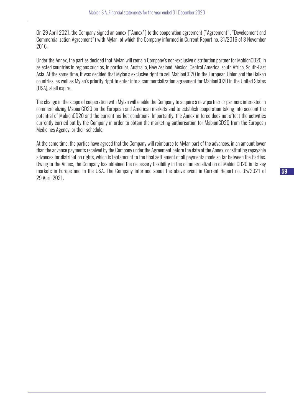On 29 April 2021, the Company signed an annex ("Annex") to the cooperation agreement ("Agreement", "Development and Commercialization Agreement") with Mylan, of which the Company informed in Current Report no. 31/2016 of 8 November 2016.

Under the Annex, the parties decided that Mylan will remain Company's non-exclusive distribution partner for MabionCD20 in selected countries in regions such as, in particular, Australia, New Zealand, Mexico, Central America, south Africa, South-East Asia. At the same time, it was decided that Mylan's exclusive right to sell MabionCD20 in the European Union and the Balkan countries, as well as Mylan's priority right to enter into a commercialization agreement for MabionCD20 in the United States (USA), shall expire.

The change in the scope of cooperation with Mylan will enable the Company to acquire a new partner or partners interested in commercializing MabionCD20 on the European and American markets and to establish cooperation taking into account the potential of MabionCD20 and the current market conditions. Importantly, the Annex in force does not affect the activities currently carried out by the Company in order to obtain the marketing authorisation for MabionCD20 from the European Medicines Agency, or their schedule.

At the same time, the parties have agreed that the Company will reimburse to Mylan part of the advances, in an amount lower than the advance payments received by the Company under the Agreement before the date of the Annex, constituting repayable advances for distribution rights, which is tantamount to the final settlement of all payments made so far between the Parties. Owing to the Annex, the Company has obtained the necessary flexibility in the commercialization of MabionCD20 in its key markets in Europe and in the USA. The Company informed about the above event in Current Report no. 35/2021 of 29 April 2021.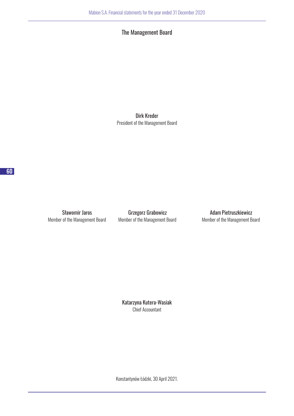The Management Board

Dirk Kreder President of the Management Board

Member of the Management Board Member of the Management Board Member of the Management Board

Sławomir Jaros **Grzegorz Grabowicz Grammatical Adam Pietruszkiewicz** 

Katarzyna Kutera-Wasiak Chief Accountant

Konstantynów Łódzki, 30 April 2021.